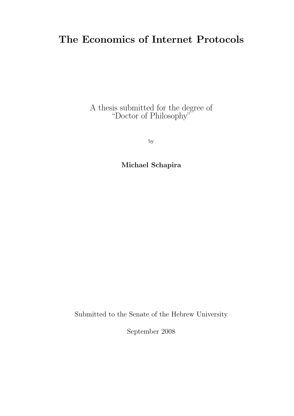### The Economics of Internet Protocols

A thesis submitted for the degree of "Doctor of Philosophy"

by

Michael Schapira

Submitted to the Senate of the Hebrew University

September 2008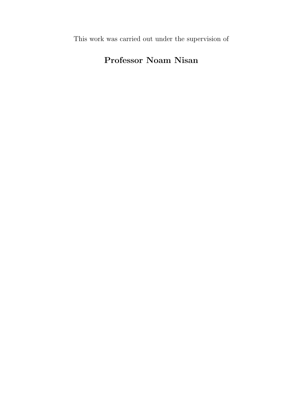This work was carried out under the supervision of

### Professor Noam Nisan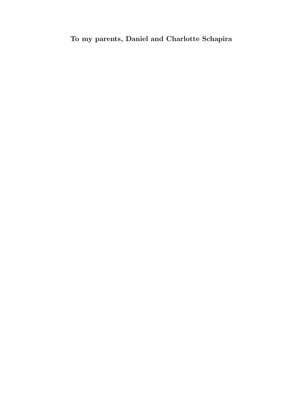### To my parents, Daniel and Charlotte Schapira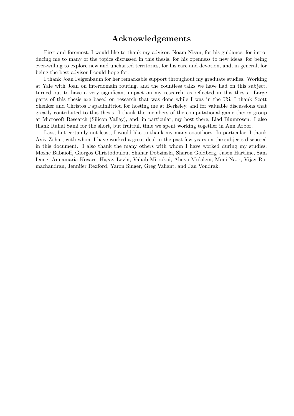### Acknowledgements

First and foremost, I would like to thank my advisor, Noam Nisan, for his guidance, for introducing me to many of the topics discussed in this thesis, for his openness to new ideas, for being ever-willing to explore new and uncharted territories, for his care and devotion, and, in general, for being the best advisor I could hope for.

I thank Joan Feigenbaum for her remarkable support throughout my graduate studies. Working at Yale with Joan on interdomain routing, and the countless talks we have had on this subject, turned out to have a very significant impact on my research, as reflected in this thesis. Large parts of this thesis are based on research that was done while I was in the US. I thank Scott Shenker and Christos Papadimitriou for hosting me at Berkeley, and for valuable discussions that greatly contributed to this thesis. I thank the members of the computational game theory group at Microsoft Research (Silicon Valley), and, in particular, my host there, Liad Blumrosen. I also thank Rahul Sami for the short, but fruitful, time we spent working together in Ann Arbor.

Last, but certainly not least, I would like to thank my many coauthors. In particular, I thank Aviv Zohar, with whom I have worked a great deal in the past few years on the subjects discussed in this document. I also thank the many others with whom I have worked during my studies: Moshe Babaioff, Giorgos Christodoulou, Shahar Dobzinski, Sharon Goldberg, Jason Hartline, Sam Ieong, Annamaria Kovacs, Hagay Levin, Vahab Mirrokni, Ahuva Mu'alem, Moni Naor, Vijay Ramachandran, Jennifer Rexford, Yaron Singer, Greg Valiant, and Jan Vondrak.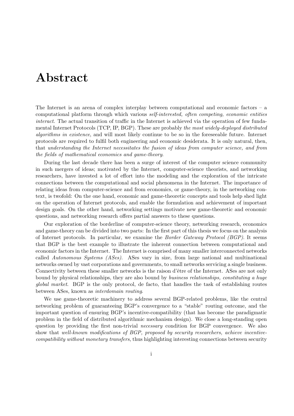# Abstract

The Internet is an arena of complex interplay between computational and economic factors – a computational platform through which various self-interested, often competing, economic entities interact. The actual transition of traffic in the Internet is achieved via the operation of few fundamental Internet Protocols (TCP, IP, BGP). These are probably the most widely-deployed distributed algorithms in existence, and will most likely continue to be so in the foreseeable future. Internet protocols are required to fulfil both engineering and economic desiderata. It is only natural, then, that understanding the Internet necessitates the fusion of ideas from computer science, and from the fields of mathematical economics and game-theory.

During the last decade there has been a surge of interest of the computer science community in such mergers of ideas; motivated by the Internet, computer-science theorists, and networking researchers, have invested a lot of effort into the modeling and the exploration of the intricate connections between the computational and social phenomena in the Internet. The importance of relating ideas from computer-science and from economics, or game-theory, in the networking context, is twofold: On the one hand, economic and game-theoretic concepts and tools help shed light on the operation of Internet protocols, and enable the formulation and achievement of important design goals. On the other hand, networking settings motivate new game-theoretic and economic questions, and networking research offers partial answers to these questions.

Our exploration of the borderline of computer-science theory, networking research, economics and game-theory can be divided into two parts: In the first part of this thesis we focus on the analysis of Internet protocols. In particular, we examine the Border Gateway Protocol (BGP). It seems that BGP is the best example to illustrate the inherent connection between computational and economic factors in the Internet. The Internet is comprised of many smaller interconnected networks called Autonomous Systems (ASes). ASes vary in size, from large national and multinational networks owned by vast corporations and governments, to small networks servicing a single business. Connectivity between these smaller networks is the raison d'être of the Internet. ASes are not only bound by physical relationships, they are also bound by business relationships, constituting a huge global market. BGP is the only protocol, de facto, that handles the task of establishing routes between ASes, known as interdomain routing.

We use game-theoretic machinery to address several BGP-related problems, like the central networking problem of guaranteeing BGP's convergence to a "stable" routing outcome, and the important question of ensuring BGP's incentive-compatibility (that has become the paradigmatic problem in the field of distributed algorithmic mechanism design). We close a long-standing open question by providing the first non-trivial necessary condition for BGP convergence. We also show that well-known modifications of BGP, proposed by security researchers, achieve incentivecompatibility without monetary transfers, thus highlighting interesting connections between security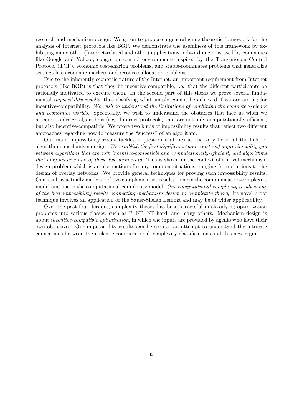research and mechanism design. We go on to propose a general game-theoretic framework for the analysis of Internet protocols like BGP. We demonstrate the usefulness of this framework by exhibiting many other (Internet-related and other) applications: adword auctions used by companies like Google and Yahoo!, congestion-control environments inspired by the Transmission Control Protocol (TCP), economic cost-sharing problems, and stable-roommates problems that generalize settings like economic markets and resource allocation problems.

Due to the inherently economic nature of the Internet, an important requirement from Internet protocols (like BGP) is that they be incentive-compatible, i.e., that the different participants be rationally motivated to execute them. In the second part of this thesis we prove several fundamental *impossibility results*, thus clarifying what simply cannot be achieved if we are aiming for incentive-compatibility. We wish to understand the limitations of combining the computer-science and economics worlds. Specifically, we wish to understand the obstacles that face us when we attempt to design algorithms (e.g., Internet protocols) that are not only computationally-efficient, but also incentive-compatible. We prove two kinds of impossibility results that reflect two different approaches regarding how to measure the "success" of an algorithm.

Our main impossibility result tackles a question that lies at the very heart of the field of algorithmic mechanism design. We establish the first significant (non-constant) approximability gap between algorithms that are both incentive-compatible and computationally-efficient, and algorithms that only achieve one of these two desiderata. This is shown in the context of a novel mechanism design problem which is an abstraction of many common situations, ranging from elections to the design of overlay networks. We provide general techniques for proving such impossibility results. Our result is actually made up of two complementary results – one in the communication-complexity model and one in the computational-complexity model. Our computational-complexity result is one of the first impossibility results connecting mechanism design to complexity theory; its novel proof technique involves an application of the Sauer-Shelah Lemma and may be of wider applicability.

Over the past four decades, complexity theory has been successful in classifying optimization problems into various classes, such as P, NP, NP-hard, and many others. Mechanism design is about incentive-compatible optimization, in which the inputs are provided by agents who have their own objectives. Our impossibility results can be seen as an attempt to understand the intricate connections between these classic computational complexity classifications and this new regime.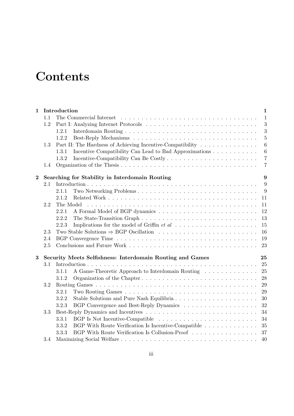# **Contents**

| $\mathbf{1}$   |     | Introduction                                                    | $\mathbf{1}$   |
|----------------|-----|-----------------------------------------------------------------|----------------|
|                | 1.1 |                                                                 | $\mathbf{1}$   |
|                | 1.2 |                                                                 | 3              |
|                |     | 1.2.1                                                           | 3              |
|                |     | 1.2.2                                                           | $\overline{5}$ |
|                | 1.3 | Part II: The Hardness of Achieving Incentive-Compatibility      | 6              |
|                |     | Incentive Compatibility Can Lead to Bad Approximations<br>1.3.1 | $\overline{6}$ |
|                |     | 1.3.2                                                           | $\overline{7}$ |
|                | 1.4 |                                                                 | $\overline{7}$ |
| $\overline{2}$ |     | Searching for Stability in Interdomain Routing                  | 9              |
|                | 2.1 |                                                                 | 9              |
|                |     | Two Networking Problems<br>2.1.1                                | 9              |
|                |     | 2.1.2                                                           | 11             |
|                | 2.2 | The Model                                                       | 11             |
|                |     | 2.2.1                                                           | 12             |
|                |     | 2.2.2                                                           | 13             |
|                |     | 2.2.3                                                           | 15             |
|                | 2.3 |                                                                 | 16             |
|                | 2.4 |                                                                 | 19             |
|                | 2.5 |                                                                 | 23             |
| $\bf{3}$       |     | Security Meets Selfishness: Interdomain Routing and Games       | 25             |
|                | 3.1 |                                                                 | 25             |
|                |     | A Game-Theoretic Approach to Interdomain Routing<br>3.1.1       | 25             |
|                |     | Organization of the Chapter<br>3.1.2                            | 28             |
|                | 3.2 |                                                                 | 29             |
|                |     | 3.2.1                                                           | 29             |
|                |     | 3.2.2<br>Stable Solutions and Pure Nash Equilibria              | 30             |
|                |     | 3.2.3                                                           | 32             |
|                | 3.3 |                                                                 | 34             |
|                |     | BGP Is Not Incentive-Compatible<br>3.3.1                        | 34             |
|                |     | 3.3.2<br>BGP With Route Verification Is Incentive-Compatible    | 35             |
|                |     | BGP With Route Verification Is Collusion-Proof<br>3.3.3         | 37             |
|                | 3.4 |                                                                 | 40             |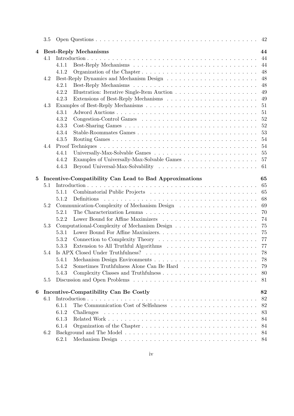|                | 3.5 | 42                                                                                                                |
|----------------|-----|-------------------------------------------------------------------------------------------------------------------|
| $\overline{4}$ |     | 44<br><b>Best-Reply Mechanisms</b>                                                                                |
|                | 4.1 | 44                                                                                                                |
|                |     | 44<br>4.1.1                                                                                                       |
|                |     | 48<br>4.1.2                                                                                                       |
|                | 4.2 | 48                                                                                                                |
|                |     | 48<br>4.2.1                                                                                                       |
|                |     | 49<br>4.2.2                                                                                                       |
|                |     | 4.2.3<br>49                                                                                                       |
|                | 4.3 | 51                                                                                                                |
|                |     | 51<br>4.3.1                                                                                                       |
|                |     | 52<br>4.3.2                                                                                                       |
|                |     | 52<br>4.3.3                                                                                                       |
|                |     |                                                                                                                   |
|                |     | 53<br>4.3.4                                                                                                       |
|                |     | 4.3.5<br>54                                                                                                       |
|                | 4.4 | 54                                                                                                                |
|                |     | 55<br>Universally-Max-Solvable Games $\dots \dots \dots \dots \dots \dots \dots \dots \dots \dots \dots$<br>4.4.1 |
|                |     | 57<br>4.4.2                                                                                                       |
|                |     | 4.4.3<br>61                                                                                                       |
| $\bf{5}$       |     | Incentive-Compatibility Can Lead to Bad Approximations<br>65                                                      |
|                | 5.1 | 65                                                                                                                |
|                |     | 65<br>5.1.1                                                                                                       |
|                |     | 68<br>Definitions<br>5.1.2                                                                                        |
|                | 5.2 | 69                                                                                                                |
|                |     |                                                                                                                   |
|                |     | 70<br>5.2.1                                                                                                       |
|                |     | Lower Bound for Affine Maximizers<br>74<br>5.2.2                                                                  |
|                | 5.3 | 75                                                                                                                |
|                |     | 75<br>5.3.1                                                                                                       |
|                |     | 77<br>5.3.2                                                                                                       |
|                |     | 77<br>5.3.3                                                                                                       |
|                | 5.4 | 78                                                                                                                |
|                |     | 78<br>5.4.1                                                                                                       |
|                |     | 5.4.2<br>79                                                                                                       |
|                |     | 5.4.3<br>80                                                                                                       |
|                | 5.5 | 81                                                                                                                |
|                |     |                                                                                                                   |
| 6              |     | Incentive-Compatibility Can Be Costly<br>82<br>82                                                                 |
|                | 6.1 |                                                                                                                   |
|                |     | 82<br>6.1.1                                                                                                       |
|                |     | 83<br>6.1.2<br>Challenges                                                                                         |
|                |     | 6.1.3<br>84                                                                                                       |
|                |     | 6.1.4<br>84                                                                                                       |
|                | 6.2 | 84                                                                                                                |
|                |     | 6.2.1<br>84                                                                                                       |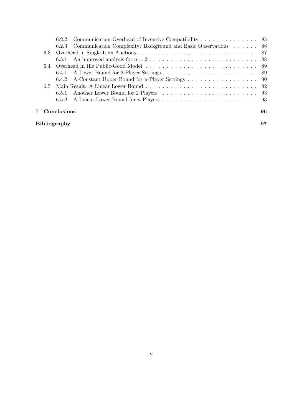|                     |     | 6.2.2                                                                   |  |  |  |
|---------------------|-----|-------------------------------------------------------------------------|--|--|--|
|                     |     | Communication Complexity: Background and Basic Observations 86<br>6.2.3 |  |  |  |
|                     | 6.3 |                                                                         |  |  |  |
|                     |     | 6.3.1                                                                   |  |  |  |
|                     |     |                                                                         |  |  |  |
|                     |     |                                                                         |  |  |  |
|                     |     | 6.4.2 A Constant Upper Bound for n-Player Settings 90                   |  |  |  |
|                     | 6.5 |                                                                         |  |  |  |
|                     |     | 6.5.1                                                                   |  |  |  |
|                     |     | 6.5.2                                                                   |  |  |  |
|                     |     | Conclusions<br>96                                                       |  |  |  |
| <b>Bibliography</b> |     |                                                                         |  |  |  |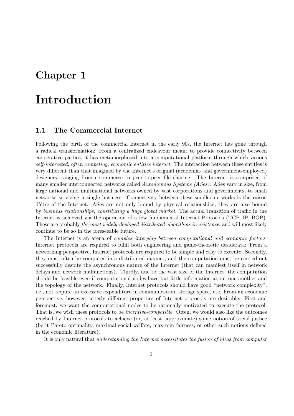### Chapter 1

## Introduction

#### 1.1 The Commercial Internet

Following the birth of the commercial Internet in the early 90s, the Internet has gone through a radical transformation: From a centralized endeavour meant to provide connectivity between cooperative parties, it has metamorphosed into a computational platform through which various self-interested, often competing, economic entities interact. The interaction between these entities is very different than that imagined by the Internet's original (academia- and government-employed) designers, ranging from e-commerce to peer-to-peer file sharing. The Internet is comprised of many smaller interconnected networks called Autonomous Systems (ASes). ASes vary in size, from large national and multinational networks owned by vast corporations and governments, to small networks servicing a single business. Connectivity between these smaller networks is the raison d'être of the Internet. ASes are not only bound by physical relationships, they are also bound by business relationships, constituting a huge global market. The actual transition of traffic in the Internet is achieved via the operation of a few fundamental Internet Protocols (TCP, IP, BGP). These are probably the most widely-deployed distributed algorithms in existence, and will most likely continue to be so in the foreseeable future.

The Internet is an arena of *complex interplay between computational and economic factors*. Internet protocols are required to fulfil both engineering and game-theoretic desiderata: From a networking perspective, Internet protocols are required to be simple and easy to execute. Secondly, they must often be computed in a distributed manner, and the computation must be carried out successfully despite the asynchronous nature of the Internet (that can manifest itself in network delays and network malfunctions). Thirdly, due to the vast size of the Internet, the computation should be feasible even if computational nodes have but little information about one another and the topology of the network. Finally, Internet protocols should have good "network complexity", i.e., not require an excessive expenditure in communication, storage space, etc. From an economic perspective, however, utterly different properties of Internet protocols are desirable: First and foremost, we want the computational nodes to be rationally motivated to execute the protocol. That is, we wish these protocols to be *incentive-compatible*. Often, we would also like the outcomes reached by Internet protocols to achieve (or, at least, approximate) some notion of social justice (be it Pareto optimality, maximal social-welfare, max-min fairness, or other such notions defined in the economic literature).

It is only natural that understanding the Internet necessitates the fusion of ideas from computer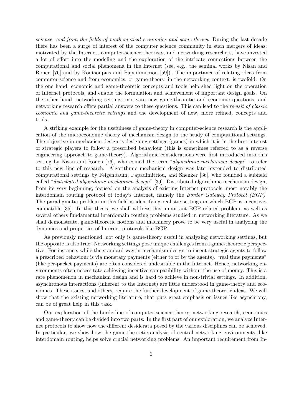science, and from the fields of mathematical economics and game-theory. During the last decade there has been a surge of interest of the computer science community in such mergers of ideas; motivated by the Internet, computer-science theorists, and networking researchers, have invested a lot of effort into the modeling and the exploration of the intricate connections between the computational and social phenomena in the Internet (see, e.g., the seminal works by Nisan and Ronen [76] and by Koutsoupias and Papadimitriou [59]). The importance of relating ideas from computer-science and from economics, or game-theory, in the networking context, is twofold: On the one hand, economic and game-theoretic concepts and tools help shed light on the operation of Internet protocols, and enable the formulation and achievement of important design goals. On the other hand, networking settings motivate new game-theoretic and economic questions, and networking research offers partial answers to these questions. This can lead to the revisit of classic economic and game-theoretic settings and the development of new, more refined, concepts and tools.

A striking example for the usefulness of game-theory in computer-science research is the application of the microeconomic theory of mechanism design to the study of computational settings. The objective in mechanism design is designing settings (games) in which it is in the best interest of strategic players to follow a prescribed behaviour (this is sometimes referred to as a reverse engineering approach to game-theory). Algorithmic considerations were first introduced into this setting by Nisan and Ronen [76], who coined the term "algorithmic mechanism design" to refer to this new line of research. Algorithmic mechanism design was later extended to distributed computational settings by Feigenbaum, Papadimitriou, and Shenker [36], who founded a subfield called "distributed algorithmic mechanism design" [39]. Distributed algorithmic mechanism design, from its very beginning, focused on the analysis of existing Internet protocols, most notably the interdomain routing protocol of today's Internet, namely the Border Gateway Protocol (BGP). The paradigmatic problem in this field is identifying realistic settings in which BGP is incentivecompatible [35]. In this thesis, we shall address this important BGP-related problem, as well as several others fundamental interdomain routing problems studied in networking literature. As we shall demonstrate, game-theoretic notions and machinery prove to be very useful in analyzing the dynamics and properties of Internet protocols like BGP.

As previously mentioned, not only is game-theory useful in analyzing networking settings, but the opposite is also true: Networking settings pose unique challenges from a game-theoretic perspective. For instance, while the standard way in mechanism design to incent strategic agents to follow a prescribed behaviour is via monetary payments (either to or by the agents), "real time payments" (like per-packet payments) are often considered undesirable in the Internet. Hence, networking environments often necessitate achieving incentive-compatibility without the use of money. This is a rare phenomenon in mechanism design and is hard to achieve in non-trivial settings. In addition, asynchronous interactions (inherent to the Internet) are little understood in game-theory and economics. These issues, and others, require the further development of game-theoretic ideas. We will show that the existing networking literature, that puts great emphasis on issues like asynchrony, can be of great help in this task.

Our exploration of the borderline of computer-science theory, networking research, economics and game-theory can be divided into two parts: In the first part of our exploration, we analyze Internet protocols to show how the different desiderata posed by the various disciplines can be achieved. In particular, we show how the game-theoretic analysis of central networking environments, like interdomain routing, helps solve crucial networking problems. An important requirement from In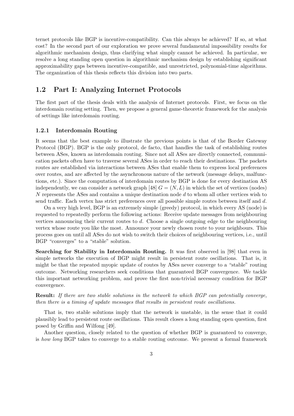ternet protocols like BGP is incentive-compatibility. Can this always be achieved? If so, at what cost? In the second part of our exploration we prove several fundamental impossibility results for algorithmic mechanism design, thus clarifying what simply cannot be achieved. In particular, we resolve a long standing open question in algorithmic mechanism design by establishing significant approximability gaps between incentive-compatible, and unrestricted, polynomial-time algorithms. The organization of this thesis reflects this division into two parts.

#### 1.2 Part I: Analyzing Internet Protocols

The first part of the thesis deals with the analysis of Internet protocols. First, we focus on the interdomain routing setting. Then, we propose a general game-theoretic framework for the analysis of settings like interdomain routing.

#### 1.2.1 Interdomain Routing

It seems that the best example to illustrate the previous points is that of the Border Gateway Protocol (BGP). BGP is the only protocol, de facto, that handles the task of establishing routes between ASes, known as interdomain routing. Since not all ASes are directly connected, communication packets often have to traverse several ASes in order to reach their destinations. The packets routes are established via interactions between ASes that enable them to express local preferences over routes, and are affected by the asynchronous nature of the network (message delays, malfunctions, etc.). Since the computation of interdomain routes by BGP is done for every destination AS independently, we can consider a network graph [48]  $G = (N, L)$  in which the set of vertices (nodes) N represents the ASes and contains a unique destination node d to whom all other vertices wish to send traffic. Each vertex has strict preferences over all possible simple routes between itself and d.

On a very high level, BGP is an extremely simple (greedy) protocol, in which every AS (node) is requested to repeatedly perform the following actions: Receive update messages from neighbouring vertices announcing their current routes to  $d$ . Choose a single outgoing edge to the neighbouring vertex whose route you like the most. Announce your newly chosen route to your neighbours. This process goes on until all ASes do not wish to switch their choices of neighbouring vertices, i.e., until BGP "converges" to a "stable" solution.

Searching for Stability in Interdomain Routing. It was first observed in [98] that even in simple networks the execution of BGP might result in persistent route oscillations. That is, it might be that the repeated myopic update of routes by ASes never converge to a "stable" routing outcome. Networking researchers seek conditions that guaranteed BGP convergence. We tackle this important networking problem, and prove the first non-trivial necessary condition for BGP convergence.

Result: If there are two stable solutions in the network to which BGP can potentially converge, then there is a timing of update messages that results in persistent route oscillations.

That is, two stable solutions imply that the network is unstable, in the sense that it could plausibly lead to persistent route oscillations. This result closes a long standing open question, first posed by Griffin and Wilfong [49].

Another question, closely related to the question of whether BGP is guaranteed to converge, is how long BGP takes to converge to a stable routing outcome. We present a formal framework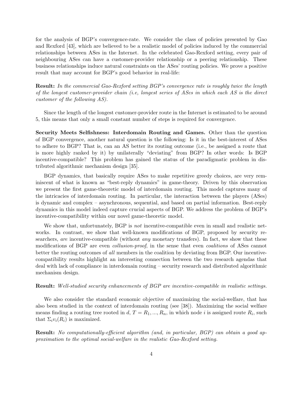for the analysis of BGP's convergence-rate. We consider the class of policies presented by Gao and Rexford [43], which are believed to be a realistic model of policies induced by the commercial relationships between ASes in the Internet. In the celebrated Gao-Rexford setting, every pair of neighbouring ASes can have a customer-provider relationship or a peering relationship. These business relationships induce natural constraints on the ASes' routing policies. We prove a positive result that may account for BGP's good behavior in real-life:

Result: In the commercial Gao-Rexford setting BGP's convergence rate is roughly twice the length of the longest customer-provider chain (i.e, longest series of ASes in which each AS is the direct customer of the following AS).

Since the length of the longest customer-provider route in the Internet is estimated to be around 5, this means that only a small constant number of steps is required for convergence.

Security Meets Selfishness: Interdomain Routing and Games. Other than the question of BGP convergence, another natural question is the following: Is it in the best-interest of ASes to adhere to BGP? That is, can an AS better its routing outcome (i.e., be assigned a route that is more highly ranked by it) by unilaterally "deviating" from BGP? In other words: Is BGP incentive-compatible? This problem has gained the status of the paradigmatic problem in distributed algorithmic mechanism design [35].

BGP dynamics, that basically require ASes to make repetitive greedy choices, are very reminiscent of what is known as "best-reply dynamics" in game-theory. Driven by this observation we present the first game-theoretic model of interdomain routing. This model captures many of the intricacies of interdomain routing. In particular, the interaction between the players (ASes) is dynamic and complex – asynchronous, sequential, and based on partial information. Best-reply dynamics in this model indeed capture crucial aspects of BGP. We address the problem of BGP's incentive-compatibility within our novel game-theoretic model.

We show that, unfortunately, BGP is *not* incentive-compatible even in small and realistic networks. In contrast, we show that well-known modifications of BGP, proposed by security researchers, are incentive-compatible (without any monetary transfers). In fact, we show that these modifications of BGP are even *collusion-proof*, in the sense that even *coalitions* of ASes cannot better the routing outcomes of all members in the coalition by deviating from BGP. Our incentivecompatibility results highlight an interesting connection between the two research agendas that deal with lack of compliance in interdomain routing – security research and distributed algorithmic mechanism design.

Result: Well-studied security enhancements of BGP are incentive-compatible in realistic settings.

We also consider the standard economic objective of maximizing the social-welfare, that has also been studied in the context of interdomain routing (see [38]). Maximizing the social welfare means finding a routing tree rooted in  $d, T = R_1, ..., R_n$ , in which node i is assigned route  $R_i$ , such that  $\Sigma_i v_i(R_i)$  is maximized.

Result: No computationally-efficient algorithm (and, in particular, BGP) can obtain a good approximation to the optimal social-welfare in the realistic Gao-Rexford setting.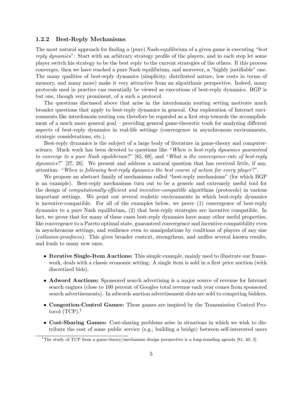#### 1.2.2 Best-Reply Mechanisms

The most natural approach for finding a (pure) Nash-equilibrium of a given game is executing "best reply dynamics": Start with an arbitrary strategy profile of the players, and in each step let some player switch his strategy to be the best reply to the current strategies of the others. If this process converges, then we have reached a pure Nash equilibrium, and moreover, a "highly justifiable" one. The many qualities of best-reply dynamics (simplicity, distributed nature, low costs in terms of memory, and many more) make it very attractive from an algorithmic perspective. Indeed, many protocols used in practice can essentially be viewed as executions of best-reply dynamics. BGP is but one, though very prominent, of a such a protocol.

The questions discussed above that arise in the interdomain routing setting motivate much broader questions that apply to best-reply dynamics in general. Our exploration of Internet environments like interdomain routing can therefore be regarded as a first step towards the accomplishment of a much more general goal – providing general game-theoretic tools for analyzing different aspects of best-reply dynamics in real-life settings (convergence in asynchronous environments, strategic considerations, etc.).

Best-reply dynamics is the subject of a large body of literature in game-theory and computerscience. Much work has been devoted to questions like "When is best-reply dynamics quaranteed to converge to a pure Nash equilibrium?" [85, 68], and "What is the convergence-rate of best-reply dynamics?" [27, 26]. We present and address a natural question that has received little, if any, attention: "When is following best-reply dynamics the best course of action for every player?".

We propose an abstract family of mechanisms called "best-reply mechanisms" (for which BGP is an example). Best-reply mechanisms turn out to be a generic and extremely useful tool for the design of computationally-efficient and incentive-compatible algorithms (protocols) in various important settings. We point out several realistic environments in which best-reply dynamics is incentive-compatible. For all of the examples below, we prove (1) convergence of best-reply dynamics to a pure Nash equilibrium, (2) that best-reply strategies are incentive compatible. In fact, we prove that for many of these cases best-reply dynamics have many other useful properties, like convergence to a Pareto optimal state, guaranteed convergence and incentive-compatibility even in asynchronous settings, and resilience even to manipulations by coalitions of players of any size (collusion-proofness). This gives broader context, strengthens, and unifies several known results, and leads to many new ones.

- Iterative Single-Item Auctions: This simple example, mainly used to illustrate our framework, deals with a classic economic setting: A single item is sold in a first price auction (with discretized bids).
- Adword Auctions: Sponsored search advertising is a major source of revenue for Internet search engines (close to 100 percent of Googles total revenue each year comes from sponsored search advertisements). In adwords auction advertisement slots are sold to competing bidders.
- Congestion-Control Games: These games are inspired by the Transmission Control Protocol  $(TCP)^1$
- Cost-Sharing Games: Cost-sharing problems arise in situations in which we wish to distribute the cost of some public service (e.g., building a bridge) between self-interested users

<sup>&</sup>lt;sup>1</sup>The study of TCP from a game-theory/mechanism design perspective is a long-standing agenda [81, 40, 3].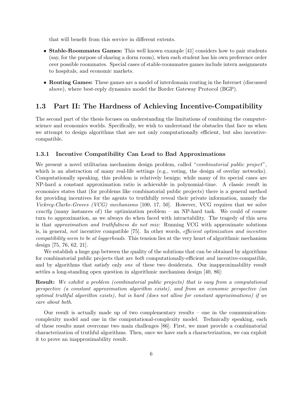that will benefit from this service in different extents.

- Stable-Roommates Games: This well known example [41] considers how to pair students (say, for the purpose of sharing a dorm room), when each student has his own preference order over possible roommates. Special cases of stable-roommates games include intern assignments to hospitals, and economic markets.
- Routing Games: These games are a model of interdomain routing in the Internet (discussed above), where best-reply dynamics model the Border Gateway Protocol (BGP).

#### 1.3 Part II: The Hardness of Achieving Incentive-Compatibility

The second part of the thesis focuses on understanding the limitations of combining the computerscience and economics worlds. Specifically, we wish to understand the obstacles that face us when we attempt to design algorithms that are not only computationally efficient, but also incentivecompatible.

#### 1.3.1 Incentive Compatibility Can Lead to Bad Approximations

We present a novel utilitarian mechanism design problem, called "*combinatorial public project*", which is an abstraction of many real-life settings (e.g., voting, the design of overlay networks). Computationally speaking, this problem is relatively benign; while many of its special cases are NP-hard a constant approximation ratio is achievable in polynomial-time. A classic result in economics states that (for problems like combinatorial public projects) there is a general method for providing incentives for the agents to truthfully reveal their private information, namely the Vickrey-Clarke-Groves (VCG) mechanisms [100, 17, 50]. However, VCG requires that we solve exactly (many instances of) the optimization problem – an NP-hard task. We could of course turn to approximation, as we always do when faced with intractability. The tragedy of this area is that approximation and truthfulness do not mix: Running VCG with approximate solutions is, in general, not incentive compatible [75]. In other words, efficient optimization and incentive compatibility seem to be at loggerheads. This tension lies at the very heart of algorithmic mechanism design [75, 76, 62, 21].

We establish a huge gap between the quality of the solutions that can be obtained by algorithms for combinatorial public projects that are both computationally-efficient and incentive-compatible, and by algorithms that satisfy only *one* of these two desiderata. Our inapproximability result settles a long-standing open question in algorithmic mechanism design [40, 86]:

Result: We exhibit a problem (combinatorial public projects) that is easy from a computational perspective (a constant approximation algorithm exists), and from an economic perspective (an optimal truthful algorithm exists), but is hard (does not allow for constant approximations) if we care about both.

Our result is actually made up of two complementary results – one in the communicationcomplexity model and one in the computational-complexity model. Technically speaking, each of these results must overcome two main challenges [86]: First, we must provide a combinatorial characterization of truthful algorithms. Then, once we have such a characterization, we can exploit it to prove an inapproximability result.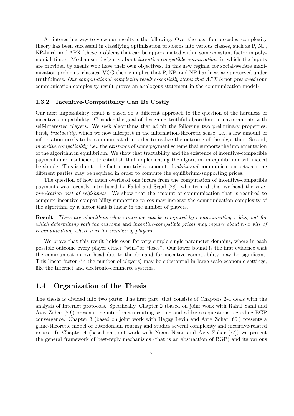An interesting way to view our results is the following: Over the past four decades, complexity theory has been successful in classifying optimization problems into various classes, such as P, NP, NP-hard, and APX (those problems that can be approximated within some constant factor in polynomial time). Mechanism design is about *incentive-compatible optimization*, in which the inputs are provided by agents who have their own objectives. In this new regime, for social-welfare maximization problems, classical VCG theory implies that P, NP, and NP-hardness are preserved under truthfulness. Our computational-complexity result essentially states that APX is not preserved (our communication-complexity result proves an analogous statement in the communication model).

#### 1.3.2 Incentive-Compatibility Can Be Costly

Our next impossibility result is based on a different approach to the question of the hardness of incentive-compatibility: Consider the goal of designing truthful algorithms in environments with self-interested players. We seek algorithms that admit the following two preliminary properties: First, tractability, which we now interpret in the information-theoretic sense, i.e., a low amount of information needs to be communicated in order to realize the outcome of the algorithm. Second, incentive compatibility, i.e., the existence of some payment scheme that supports the implementation of the algorithm in equilibrium. We show that tractability and the existence of incentive-compatible payments are insufficient to establish that implementing the algorithm in equilibrium will indeed be simple. This is due to the fact a non-trivial amount of additional communication between the different parties may be required in order to compute the equilibrium-supporting prices.

The question of how much overhead one incurs from the computation of incentive-compatible payments was recently introduced by Fadel and Segal [28], who termed this overhead the communication cost of selfishness. We show that the amount of communication that is required to compute incentive-compatibility-supporting prices may increase the communication complexity of the algorithm by a factor that is linear in the number of players.

Result: There are algorithms whose outcome can be computed by communicating x bits, but for which determining both the outcome and incentive-compatible prices may require about  $n \cdot x$  bits of communication, where n is the number of players.

We prove that this result holds even for very simple single-parameter domains, where in each possible outcome every player either "wins"or "loses". Our lower bound is the first evidence that the communication overhead due to the demand for incentive compatibility may be significant. This linear factor (in the number of players) may be substantial in large-scale economic settings, like the Internet and electronic-commerce systems.

#### 1.4 Organization of the Thesis

The thesis is divided into two parts: The first part, that consists of Chapters 2-4 deals with the analysis of Internet protocols. Specifically, Chapter 2 (based on joint work with Rahul Sami and Aviv Zohar [89]) presents the interdomain routing setting and addresses questions regarding BGP convergence. Chapter 3 (based on joint work with Hagay Levin and Aviv Zohar [65]) presents a game-theoretic model of interdomain routing and studies several complexity and incentive-related issues. In Chapter 4 (based on joint work with Noam Nisan and Aviv Zohar [77]) we present the general framework of best-reply mechanisms (that is an abstraction of BGP) and its various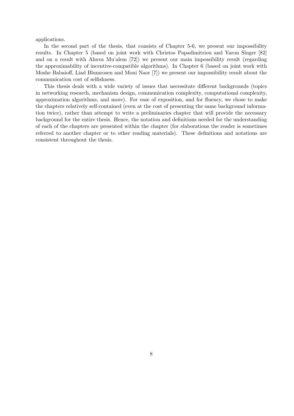applications.

In the second part of the thesis, that consists of Chapter 5-6, we present our impossibility results. In Chapter 5 (based on joint work with Christos Papadimitriou and Yaron Singer [82] and on a result with Ahuva Mu'alem [72]) we present our main impossibility result (regarding the approximability of incentive-compatible algorithms). In Chapter 6 (based on joint work with Moshe Babaioff, Liad Blumrosen and Moni Naor [7]) we present our impossibility result about the communication cost of selfishness.

This thesis deals with a wide variety of issues that necessitate different backgrounds (topics in networking research, mechanism design, communication complexity, computational complexity, approximation algorithms, and more). For ease of exposition, and for fluency, we chose to make the chapters relatively self-contained (even at the cost of presenting the same background information twice), rather than attempt to write a preliminaries chapter that will provide the necessary background for the entire thesis. Hence, the notation and definitions needed for the understanding of each of the chapters are presented within the chapter (for elaborations the reader is sometimes referred to another chapter or to other reading materials). These definitions and notations are consistent throughout the thesis.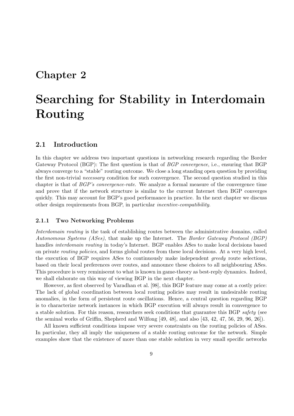### Chapter 2

# Searching for Stability in Interdomain Routing

#### 2.1 Introduction

In this chapter we address two important questions in networking research regarding the Border Gateway Protocol (BGP): The first question is that of *BGP convergence*, i.e., ensuring that BGP always converge to a "stable" routing outcome. We close a long standing open question by providing the first non-trivial *necessary* condition for such convergence. The second question studied in this chapter is that of BGP's convergence-rate. We analyze a formal measure of the convergence time and prove that if the network structure is similar to the current Internet then BGP converges quickly. This may account for BGP's good performance in practice. In the next chapter we discuss other design requirements from BGP, in particular incentive-compatibility.

#### 2.1.1 Two Networking Problems

Interdomain routing is the task of establishing routes between the administrative domains, called Autonomous Systems (ASes), that make up the Internet. The Border Gateway Protocol (BGP) handles *interdomain routing* in today's Internet. BGP enables ASes to make local decisions based on private routing policies, and forms global routes from these local decisions. At a very high level, the execution of BGP requires ASes to continuously make independent greedy route selections, based on their local preferences over routes, and announce these choices to all neighbouring ASes. This procedure is very reminiscent to what is known in game-theory as best-reply dynamics. Indeed, we shall elaborate on this way of viewing BGP in the next chapter.

However, as first observed by Varadhan et al. [98], this BGP feature may come at a costly price: The lack of global coordination between local routing policies may result in undesirable routing anomalies, in the form of persistent route oscillations. Hence, a central question regarding BGP is to characterize network instances in which BGP execution will always result in convergence to a stable solution. For this reason, researchers seek conditions that guarantee this BGP safety (see the seminal works of Griffin, Shepherd and Wilfong [49, 48], and also [43, 42, 47, 56, 29, 96, 26]).

All known sufficient conditions impose very severe constraints on the routing policies of ASes. In particular, they all imply the uniqueness of a stable routing outcome for the network. Simple examples show that the existence of more than one stable solution in very small specific networks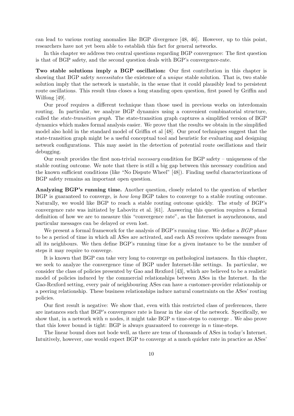can lead to various routing anomalies like BGP divergence [48, 46]. However, up to this point, researchers have not yet been able to establish this fact for general networks.

In this chapter we address two central questions regarding BGP convergence: The first question is that of BGP safety, and the second question deals with BGP's convergence-rate.

Two stable solutions imply a BGP oscillation: Our first contribution in this chapter is showing that BGP safety *necessitates* the existence of a *unique* stable solution. That is, two stable solution imply that the network is unstable, in the sense that it could plausibly lead to persistent route oscillations. This result thus closes a long standing open question, first posed by Griffin and Wilfong [49].

Our proof requires a different technique than those used in previous works on interdomain routing. In particular, we analyze BGP dynamics using a convenient combinatorial structure, called the state-transition graph. The state-transition graph captures a simplified version of BGP dynamics which makes formal analysis easier. We prove that the results we obtain in the simplified model also hold in the standard model of Griffin et al [48]. Our proof techniques suggest that the state-transition graph might be a useful conceptual tool and heuristic for evaluating and designing network configurations. This may assist in the detection of potential route oscillations and their debugging.

Our result provides the first non-trivial necessary condition for BGP safety – uniqueness of the stable routing outcome. We note that there is still a big gap between this necessary condition and the known sufficient conditions (like "No Dispute Wheel" [48]). Finding useful characterizations of BGP safety remains an important open question.

Analyzing BGP's running time. Another question, closely related to the question of whether BGP is guaranteed to converge, is how long BGP takes to converge to a stable routing outcome. Naturally, we would like BGP to reach a stable routing outcome quickly. The study of BGP's convergence rate was initiated by Labovitz et al. [61]. Answering this question requires a formal definition of how we are to measure this "convergence rate", as the Internet is asynchronous, and particular messages can be delayed or even lost.

We present a formal framework for the analysis of BGP's running time. We define a BGP phase to be a period of time in which all ASes are activated, and each AS receives update messages from all its neighbours. We then define BGP's running time for a given instance to be the number of steps it may require to converge.

It is known that BGP can take very long to converge on pathological instances. In this chapter, we seek to analyze the convergence time of BGP under Internet-like settings. In particular, we consider the class of policies presented by Gao and Rexford [43], which are believed to be a realistic model of policies induced by the commercial relationships between ASes in the Internet. In the Gao-Rexford setting, every pair of neighbouring ASes can have a customer-provider relationship or a peering relationship. These business relationships induce natural constraints on the ASes' routing policies.

Our first result is negative: We show that, even with this restricted class of preferences, there are instances such that BGP's convergence rate is linear in the size of the network. Specifically, we show that, in a network with n nodes, it might take BGP  $n$  time-steps to converge. We also prove that this lower bound is tight: BGP is always guaranteed to converge in  $n$  time-steps.

The linear bound does not bode well, as there are tens of thousands of ASes in today's Internet. Intuitively, however, one would expect BGP to converge at a much quicker rate in practice as ASes'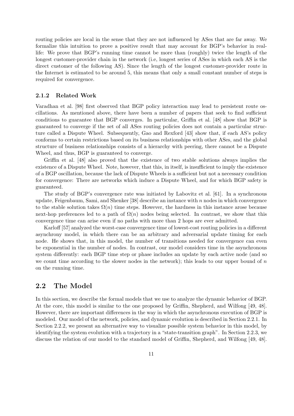routing policies are local in the sense that they are not influenced by ASes that are far away. We formalize this intuition to prove a positive result that may account for BGP's behavior in reallife: We prove that BGP's running time cannot be more than (roughly) twice the length of the longest customer-provider chain in the network (i.e, longest series of ASes in which each AS is the direct customer of the following AS). Since the length of the longest customer-provider route in the Internet is estimated to be around 5, this means that only a small constant number of steps is required for convergence.

#### 2.1.2 Related Work

Varadhan et al. [98] first observed that BGP policy interaction may lead to persistent route oscillations. As mentioned above, there have been a number of papers that seek to find sufficient conditions to guarantee that BGP converges. In particular, Griffin et al. [48] show that BGP is guaranteed to converge if the set of all ASes routing policies does not contain a particular structure called a Dispute Wheel. Subsequently, Gao and Rexford [43] show that, if each AS's policy conforms to certain restrictions based on its business relationships with other ASes, and the global structure of business relationships consists of a hierarchy with peering, there cannot be a Dispute Wheel, and thus, BGP is guaranteed to converge.

Griffin et al. [48] also proved that the existence of two stable solutions always implies the existence of a Dispute Wheel. Note, however, that this, in itself, is insufficient to imply the existence of a BGP oscillation, because the lack of Dispute Wheels is a sufficient but not a necessary condition for convergence: There are networks which induce a Dispute Wheel, and for which BGP safety is guaranteed.

The study of BGP's convergence rate was initiated by Labovitz et al. [61]. In a synchronous update, Feigenbaum, Sami, and Shenker  $[38]$  describe an instance with n nodes in which convergence to the stable solution takes  $\Omega(n)$  time steps. However, the hardness in this instance arose because next-hop preferences led to a path of  $\Omega(n)$  nodes being selected. In contrast, we show that this convergence time can arise even if no paths with more than 2 hops are ever admitted.

Karloff [57] analyzed the worst-case convergence time of lowest-cost routing policies in a different asynchrony model, in which there can be an arbitrary and adversarial update timing for each node. He shows that, in this model, the number of transitions needed for convergence can even be exponential in the number of nodes. In contrast, our model considers time in the asynchronous system differently: each BGP time step or phase includes an update by each active node (and so we count time according to the slower nodes in the network); this leads to our upper bound of  $n$ on the running time.

#### 2.2 The Model

In this section, we describe the formal models that we use to analyze the dynamic behavior of BGP. At the core, this model is similar to the one proposed by Griffin, Shepherd, and Wilfong [49, 48]. However, there are important differences in the way in which the asynchronous execution of BGP is modeled. Our model of the network, policies, and dynamic evolution is described in Section 2.2.1. In Section 2.2.2, we present an alternative way to visualize possible system behavior in this model, by identifying the system evolution with a trajectory in a "state-transition graph". In Section 2.2.3, we discuss the relation of our model to the standard model of Griffin, Shepherd, and Wilfong [49, 48].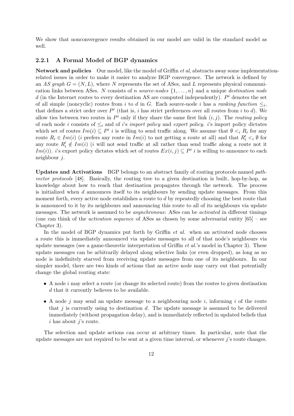We show that nonconvergence results obtained in our model are valid in the standard model as well.

#### 2.2.1 A Formal Model of BGP dynamics

Network and policies Our model, like the model of Griffin *et al*, abstracts away some implementationrelated issues in order to make it easier to analyze BGP convergence. The network is defined by an AS graph  $G = (N, L)$ , where N represents the set of ASes, and L represents physical communication links between ASes. N consists of n source-nodes  $\{1, \ldots, n\}$  and a unique destination node d (in the Internet routes to every destination AS are computed independently).  $P^i$  denotes the set of all simple (noncyclic) routes from i to d in G. Each source-node i has a ranking function  $\leq_i$ , that defines a strict order over  $P^i$  (that is, i has strict preferences over all routes from i to d). We allow ties between two routes in  $P^i$  only if they share the same first link  $(i, j)$ . The routing policy of each node i consists of  $\leq_i$  and of i's import policy and export policy. i's import policy dictates which set of routes  $Im(i) \subseteq P^i$  i is willing to send traffic along. We assume that  $\emptyset \leq_i R_i$  for any route  $R_i \in Im(i)$  (*i* prefers any route in  $Im(i)$  to not getting a route at all) and that  $R'_i \leq_i \emptyset$  for any route  $R'_i \notin Im(i)$  (*i* will not send traffic at all rather than send traffic along a route not it Im(i)). i's export policy dictates which set of routes  $Ex(i, j) \subseteq P^i$  is willing to announce to each neighbour j.

Updates and Activations BGP belongs to an abstract family of routing protocols named pathvector protocols [48]. Basically, the routing tree to a given destination is built, hop-by-hop, as knowledge about how to reach that destination propagates through the network. The process is initialized when d announces itself to its neighbours by sending update messages. From this moment forth, every active node establishes a route to d by repeatedly choosing the best route that is announced to it by its neighbours and announcing this route to all of its neighbours via update messages. The network is assumed to be asynchronous: ASes can be activated in different timings (one can think of the *activation sequence* of ASes as chosen by some adversarial entity  $[65]$  – see Chapter 3).

In the model of BGP dynamics put forth by Griffin *et al.* when an activated node chooses a route this is immediately announced via update messages to all of that node's neighbours via update messages (see a game-theoretic interpretation of Griffin et al.'s model in Chapter 3). These update messages can be arbitrarily delayed along selective links (or even dropped), as long as no node is indefinitely starved from receiving update messages from one of its neighbours. In our simpler model, there are two kinds of actions that an active node may carry out that potentially change the global routing state:

- $\bullet$  A node *i* may select a route (or change its selected route) from the routes to given destination d that it currently believes to be available.
- A node j may send an update message to a neighbouring node i, informing i of the route that  $j$  is currently using to destination  $d$ . The update message is assumed to be delivered immediately (without propagation delay), and is immediately reflected in updated beliefs that  $i$  has about  $j$ 's route.

The selection and update actions can occur at arbitrary times. In particular, note that the update messages are not required to be sent at a given time interval, or whenever  $j$ 's route changes.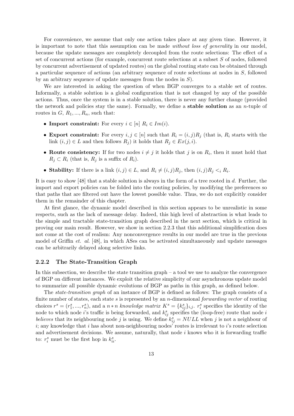For convenience, we assume that only one action takes place at any given time. However, it is important to note that this assumption can be made without loss of generality in our model, because the update messages are completely decoupled from the route selections: The effect of a set of concurrent actions (for example, concurrent route selections at a subset S of nodes, followed by concurrent advertisement of updated routes) on the global routing state can be obtained through a particular sequence of actions (an arbitrary sequence of route selections at nodes in S, followed by an arbitrary sequence of update messages from the nodes in  $S$ ).

We are interested in asking the question of when BGP converges to a stable set of routes. Informally, a stable solution is a global configuration that is not changed by any of the possible actions. Thus, once the system is in a stable solution, there is never any further change (provided the network and policies stay the same). Formally, we define a **stable solution** as an *n*-tuple of routes in  $G, R_1, ..., R_n$ , such that:

- Import constraint: For every  $i \in [n]$   $R_i \in Im(i)$ .
- Export constraint: For every  $i, j \in [n]$  such that  $R_i = (i, j)R_j$  (that is,  $R_i$  starts with the link  $(i, j) \in L$  and then follows  $R_j$ ) it holds that  $R_j \in Ex(j, i)$ .
- Route consistency: If for two nodes  $i \neq j$  it holds that j is on  $R_i$ , then it must hold that  $R_i \subset R_i$  (that is,  $R_i$  is a suffix of  $R_i$ ).
- Stability: If there is a link  $(i, j) \in L$ , and  $R_i \neq (i, j)R_j$ , then  $(i, j)R_j < iR_i$ .

It is easy to show [48] that a stable solution is always in the form of a tree rooted in d. Further, the import and export policies can be folded into the routing policies, by modifying the preferences so that paths that are filtered out have the lowest possible value. Thus, we do not explicitly consider them in the remainder of this chapter.

At first glance, the dynamic model described in this section appears to be unrealistic in some respects, such as the lack of message delay. Indeed, this high level of abstraction is what leads to the simple and tractable state-transition graph described in the next section, which is critical in proving our main result. However, we show in section 2.2.3 that this additional simplification does not come at the cost of realism: Any nonconvergence results in our model are true in the previous model of Griffin et. al. [48], in which ASes can be activated simultaneously and update messages can be arbitrarily delayed along selective links.

#### 2.2.2 The State-Transition Graph

In this subsection, we describe the state transition graph – a tool we use to analyze the convergence of BGP on different instances. We exploit the relative simplicity of our asynchronous update model to summarize all possible dynamic evolutions of BGP as paths in this graph, as defined below.

The state-transition graph of an instance of BGP is defined as follows: The graph consists of a finite number of states, each state s is represented by an *n*-dimensional *forwarding vector* of routing choices  $r^s = (r_1^s, ..., r_n^s)$ , and a  $n * n$  knowledge matrix  $K^s = \{k_{ij}^s\}_{i,j}$ .  $r_i^s$  specifies the identity of the node to which node *i*'s traffic is being forwarded, and  $k_{ij}^s$  specifies the (loop-free) route that node *i* believes that its neighbouring node j is using. We define  $k_{ij}^s = NULL$  when j is not a neighbour of  $i$ ; any knowledge that  $i$  has about non-neighbouring nodes' routes is irrelevant to  $i$ 's route selection and advertisement decisions. We assume, naturally, that node  $i$  knows who it is forwarding traffic to:  $r_i^s$  must be the first hop in  $k_{ii}^s$ .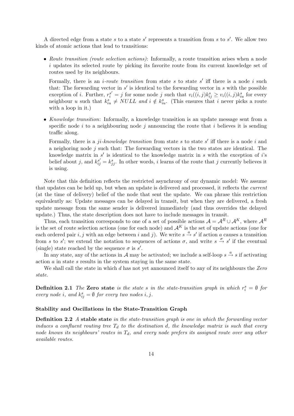A directed edge from a state s to a state s' represents a transition from s to s'. We allow two kinds of atomic actions that lead to transitions:

• Route transition (route selection actions): Informally, a route transition arises when a node i updates its selected route by picking its favorite route from its current knowledge set of routes used by its neighbours.

Formally, there is an *i-route transition* from state s to state s' iff there is a node i such that: The forwarding vector in  $s'$  is identical to the forwarding vector in  $s$  with the possible exception of *i*. Further,  $r_i^{s'} = j$  for some node *j* such that  $v_i((i,j)k_{ij}^s \ge v_i((i,j)k_{iu}^s$  for every neighbour u such that  $k_{iu}^s \neq NULL$  and  $i \notin k_{iu}^s$ . (This ensures that i never picks a route with a loop in it.)

• Knowledge transition: Informally, a knowledge transition is an update message sent from a specific node i to a neighbouring node j announcing the route that i believes it is sending traffic along.

Formally, there is a *ji-knowledge transition* from state s to state s' iff there is a node i and a neighboring node  $j$  such that: The forwarding vectors in the two states are identical. The knowledge matrix in  $s'$  is identical to the knowledge matrix in s with the exception of i's belief about j, and  $k_{ij}^{s'} = k_{jj}^s$ . In other words, i learns of the route that j currently believes it is using.

Note that this definition reflects the restricted asynchrony of our dynamic model: We assume that updates can be held up, but when an update is delivered and processed, it reflects the current (at the time of delivery) belief of the node that sent the update. We can phrase this restriction equivalently as: Update messages can be delayed in transit, but when they are delivered, a fresh update message from the same sender is delivered immediately (and thus overrides the delayed update.) Thus, the state description does not have to include messages in transit.

Thus, each transition corresponds to one of a set of possible actions  $\mathcal{A} = \mathcal{A}^R \cup \mathcal{A}^K$ , where  $\mathcal{A}^R$ is the set of route selection actions (one for each node) and  $A^K$  is the set of update actions (one for each ordered pair i, j with an edge between i and j). We write  $s \stackrel{a}{\rightarrow} s'$  if action a causes a transition from s to s'; we extend the notation to sequences of actions  $\sigma$ , and write  $s \stackrel{\sigma}{\rightarrow} s'$  if the eventual (single) state reached by the sequence  $\sigma$  is  $s'$ .

In any state, any of the actions in A may be activated; we include a self-loop  $s \stackrel{a}{\rightarrow} s$  if activating action  $a$  in state  $s$  results in the system staying in the same state.

We shall call the state in which d has not yet announced itself to any of its neighbours the Zero state.

**Definition 2.1** The Zero state is the state s in the state-transition graph in which  $r_i^s = \emptyset$  for every node i, and  $k_{ij}^s = \emptyset$  for every two nodes i, j.

#### Stability and Oscillations in the State-Transition Graph

**Definition 2.2** A stable state in the state-transition graph is one in which the forwarding vector induces a confluent routing tree  $T_d$  to the destination d, the knowledge matrix is such that every node knows its neighbours' routes in  $T_d$ , and every node prefers its assigned route over any other available routes.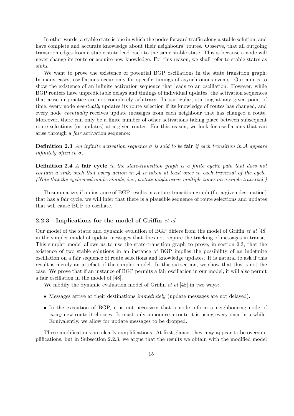In other words, a stable state is one in which the nodes forward traffic along a stable solution, and have complete and accurate knowledge about their neighbours' routes. Observe, that all outgoing transition edges from a stable state lead back to the same stable state. This is because a node will never change its route or acquire new knowledge. For this reason, we shall refer to stable states as sinks.

We want to prove the existence of potential BGP oscillations in the state transition graph. In many cases, oscillations occur only for specific timings of asynchronous events. Our aim is to show the existence of an infinite activation sequence that leads to an oscillation. However, while BGP routers have unpredictable delays and timings of individual updates, the activation sequences that arise in practice are not completely arbitrary. In particular, starting at any given point of time, every node *eventually* updates its route selection if its knowledge of routes has changed, and every node eventually receives update messages from each neighbour that has changed a route. Moreover, there can only be a finite number of other activations taking place between subsequent route selections (or updates) at a given router. For this reason, we look for oscillations that can arise through a fair activation sequence:

**Definition 2.3** An infinite activation sequence  $\sigma$  is said to be fair if each transition in A appears *infinitely often in*  $\sigma$ *.* 

**Definition 2.4** A fair cycle in the state-transition graph is a finite cyclic path that does not contain a sink, such that every action in  $A$  is taken at least once in each traversal of the cycle. (Note that the cycle need not be simple, *i.e.*, a state might occur multiple times on a single traversal.)

To summarize, if an instance of BGP results in a state-transition graph (for a given destination) that has a fair cycle, we will infer that there is a plausible sequence of route selections and updates that will cause BGP to oscillate.

#### 2.2.3 Implications for the model of Griffin  $et$  al

Our model of the static and dynamic evolution of BGP differs from the model of Griffin et al [48] in the simpler model of update messages that does not require the tracking of messages in transit. This simpler model allows us to use the state-transition graph to prove, in section 2.3, that the existence of two stable solutions in an instance of BGP implies the possibility of an indefinite oscillation on a fair sequence of route selections and knowledge updates. It is natural to ask if this result is merely an artefact of the simpler model. In this subsection, we show that this is not the case. We prove that if an instance of BGP permits a fair oscillation in our model, it will also permit a fair oscillation in the model of [48].

We modify the dynamic evaluation model of Griffin *et al* [48] in two ways:

- Messages arrive at their destinations immediately (update messages are not delayed).
- In the execution of BGP, it is not necessary that a node inform a neighbouring node of every new route it chooses. It must only announce a route it is using every once in a while. Equivalently, we allow for update messages to be dropped.

These modifications are clearly simplifications. At first glance, they may appear to be oversimplifications, but in Subsection 2.2.3, we argue that the results we obtain with the modified model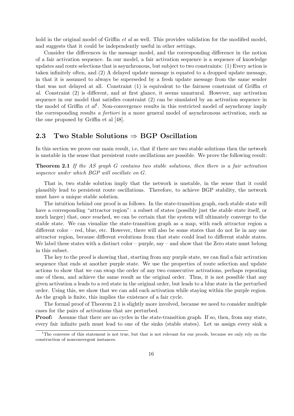hold in the original model of Griffin *et al* as well. This provides validation for the modified model, and suggests that it could be independently useful in other settings.

Consider the differences in the message model, and the corresponding difference in the notion of a fair activation sequence. In our model, a fair activation sequence is a sequence of knowledge updates and route selections that is asynchronous, but subject to two constraints: (1) Every action is taken infinitely often, and (2) A delayed update message is equated to a dropped update message, in that it is assumed to always be superseded by a fresh update message from the same sender that was not delayed at all. Constraint (1) is equivalent to the fairness constraint of Griffin et al. Constraint (2) is different, and at first glance, it seems unnatural. However, any activation sequence in our model that satisfies constraint (2) can be simulated by an activation sequence in the model of Griffin *et al*<sup>1</sup>. Non-convergence results in this restricted model of asynchrony imply the corresponding results a fortiori in a more general model of asynchronous activation, such as the one proposed by Griffin et al [48].

#### 2.3 Two Stable Solutions  $\Rightarrow$  BGP Oscillation

In this section we prove our main result, i.e, that if there are two stable solutions then the network is unstable in the sense that persistent route oscillations are possible. We prove the following result:

Theorem 2.1 If the AS graph G contains two stable solutions, then there is a fair activation sequence under which BGP will oscillate on G.

That is, two stable solution imply that the network is unstable, in the sense that it could plausibly lead to persistent route oscillations. Therefore, to achieve BGP stability, the network must have a unique stable solution.

The intuition behind our proof is as follows. In the state-transition graph, each stable state will have a corresponding "attractor region": a subset of states (possibly just the stable state itself, or much larger) that, once reached, we can be certain that the system will ultimately converge to the stable state. We can visualize the state-transition graph as a map, with each attractor region a different color – red, blue, etc. However, there will also be some states that do not lie in any one attractor region, because different evolutions from that state could lead to different stable states. We label these states with a distinct color – purple, say – and show that the Zero state must belong in this subset.

The key to the proof is showing that, starting from any purple state, we can find a fair activation sequence that ends at another purple state. We use the properties of route selection and update actions to show that we can swap the order of any two consecutive activations, perhaps repeating one of them, and achieve the same result as the original order. Thus, it is not possible that any given activation a leads to a red state in the original order, but leads to a blue state in the perturbed order. Using this, we show that we can add each activation while staying within the purple region. As the graph is finite, this implies the existence of a fair cycle.

The formal proof of Theorem 2.1 is slightly more involved, because we need to consider multiple cases for the pairs of activations that are perturbed.

**Proof:** Assume that there are no cycles in the state-transition graph. If so, then, from any state, every fair infinite path must lead to one of the sinks (stable states). Let us assign every sink a

 $1$ The converse of this statement is not true, but that is not relevant for our proofs, because we only rely on the construction of nonconvergent instances.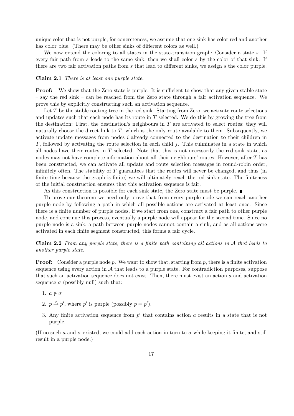unique color that is not purple; for concreteness, we assume that one sink has color red and another has color blue. (There may be other sinks of different colors as well.)

We now extend the coloring to all states in the state-transition graph: Consider a state s. If every fair path from s leads to the same sink, then we shall color s by the color of that sink. If there are two fair activation paths from s that lead to different sinks, we assign s the color purple.

#### Claim 2.1 There is at least one purple state.

**Proof:** We show that the Zero state is purple. It is sufficient to show that any given stable state – say the red sink – can be reached from the Zero state through a fair activation sequence. We prove this by explicitly constructing such an activation sequence.

Let  $T$  be the stable routing tree in the red sink. Starting from Zero, we activate route selections and updates such that each node has its route in  $T$  selected. We do this by growing the tree from the destination: First, the destination's neighbours in  $T$  are activated to select routes; they will naturally choose the direct link to  $T$ , which is the only route available to them. Subsequently, we activate update messages from nodes i already connected to the destination to their children in T, followed by activating the route selection in each child  $j$ . This culminates in a state in which all nodes have their routes in  $T$  selected. Note that this is not necessarily the red sink state, as nodes may not have complete information about all their neighbours' routes. However, after T has been constructed, we can activate all update and route selection messages in round-robin order, infinitely often. The stability of  $T$  guarantees that the routes will never be changed, and thus (in finite time because the graph is finite) we will ultimately reach the red sink state. The finiteness of the initial construction ensures that this activation sequence is fair.

As this construction is possible for each sink state, the Zero state must be purple.

To prove our theorem we need only prove that from every purple node we can reach another purple node by following a path in which all possible actions are activated at least once. Since there is a finite number of purple nodes, if we start from one, construct a fair path to other purple node, and continue this process, eventually a purple node will appear for the second time. Since no purple node is a sink, a path between purple nodes cannot contain a sink, and as all actions were activated in each finite segment constructed, this forms a fair cycle.

Claim 2.2 From any purple state, there is a finite path containing all actions in A that leads to another purple state.

**Proof:** Consider a purple node p. We want to show that, starting from p, there is a finite activation sequence using every action in  $A$  that leads to a purple state. For contradiction purposes, suppose that such an activation sequence does not exist. Then, there must exist an action a and activation sequence  $\sigma$  (possibly null) such that:

- 1.  $a \notin \sigma$
- 2.  $p \stackrel{\sigma}{\rightarrow} p'$ , where p' is purple (possibly  $p = p'$ ).
- 3. Any finite activation sequence from  $p'$  that contains action a results in a state that is not purple.

(If no such a and  $\sigma$  existed, we could add each action in turn to  $\sigma$  while keeping it finite, and still result in a purple node.)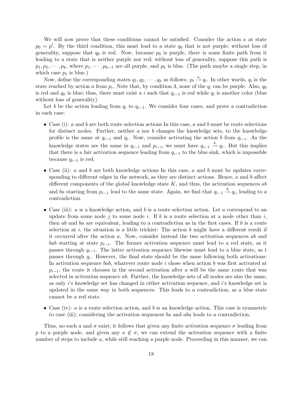We will now prove that these conditions cannot be satisfied. Consider the action  $a$  at state  $p_0 = p'$ . By the third condition, this must lead to a state  $q_0$  that is not purple; without loss of generality, suppose that  $q_0$  is red. Now, because  $p_0$  is purple, there is some finite path from it leading to a state that is neither purple nor red; without loss of generality, suppose this path is  $p_1, p_2, \dots, p_k$ , where  $p_1, \dots, p_{k-1}$  are all purple, and  $p_k$  is blue. (The path maybe a single step, in which case  $p_1$  is blue.)

Now, define the corresponding states  $q_1, q_2, \cdots, q_k$  as follows:  $p_i \stackrel{a}{\rightarrow} q_i$ . In other words,  $q_i$  is the state reached by action a from  $p_i$ . Note that, by condition 3, none of the  $q_i$  can be purple. Also,  $q_0$ is red and  $q_k$  is blue; thus, there must exist a i such that  $q_{i-1}$  is red while  $q_i$  is another color (blue without loss of generality).

Let b be the action leading from  $q_i$  to  $q_{i-1}$ . We consider four cases, and prove a contradiction in each case:

- Case (i):  $a$  and  $b$  are both route selection actions In this case,  $a$  and  $b$  must be route selections for distinct nodes. Further, neither  $a$  nor  $b$  changes the knowledge sets, to the knowledge profile is the same at  $q_{i-1}$  and  $q_i$ . Now, consider activating the action b from  $q_{i-i}$ . As the knowledge states are the same in  $q_{i-1}$  and  $p_{i-i}$ , we must have  $q_{i-1} \stackrel{b}{\rightarrow} q_i$ . But this implies that there is a fair activation sequence leading from  $q_{i-1}$  to the blue sink, which is impossible because  $q_{i-1}$  is red.
- Case (ii):  $a$  and  $b$  are both knowledge actions In this case,  $a$  and  $b$  must be updates corresponding to different edges in the network, as they are distinct actions. Hence, a and b affect different components of the global knowledge state  $K$ , and thus, the activation sequences ab and ba starting from  $p_{i-1}$  lead to the same state. Again, we find that  $q_{i-1} \stackrel{b}{\rightarrow} q_i$ , leading to a contradiction.
- Case (iii):  $a$  is a knowledge action, and  $b$  is a route selection action. Let  $a$  correspond to an update from some node j to some node i. If b is a route selection at a node other than i, then  $ab$  and  $ba$  are equivalent, leading to a contradiction as in the first cases. If  $b$  is a route selection at i, the situation is a little trickier: The action  $b$  might have a different result if it occurred after the action a. Now, consider instead the two activation sequences ab and bab starting at state  $p_{i-i}$ . The former activation sequence must lead to a red state, as it passes through  $q_{i-1}$ . The latter activation sequence likewise must lead to a blue state, as t passes through  $q_i$ . However, the final state should be the same following both activations: In activation sequence bab, whatever route node i chose when action b was first activated at  $p_{i-1}$ , the route it chooses in the second activation after a will be the same route that was selected in activation sequence ab. Further, the knowledge sets of all nodes are also the same, as only i's knowledge set has changed in either activation sequence, and i's knowledge set is updated in the same way in both sequences. This leads to a contradiction, as a blue state cannot be a red state.
- Case (iv):  $a$  is a route selection action, and  $b$  is an knowledge action. This case is symmetric to case (iii); considering the activation sequences ba and aba leads to a contradiction.

Thus, no such a and  $\sigma$  exist; it follows that given any finite activation sequence  $\sigma$  leading from p to a purple node, and given any  $a \notin \sigma$ , we can extend the activation sequence with a finite number of steps to include a, while still reaching a purple node. Proceeding in this manner, we can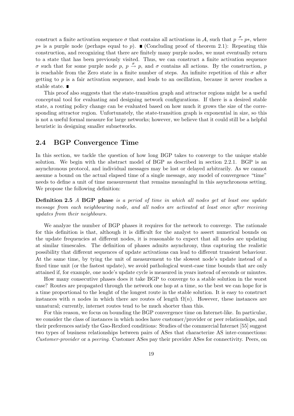construct a finite activation sequence  $\sigma$  that contains all activations in A, such that  $p \stackrel{\sigma}{\rightarrow} p^*$ , where  $p*$  is a purple node (perhaps equal to p). ■ (Concluding proof of theorem 2.1): Repeating this construction, and recognizing that there are finitely many purple nodes, we must eventually return to a state that has been previously visited. Thus, we can construct a finite activation sequence  $\sigma$  such that for some purple node p, p  $\stackrel{\sigma}{\rightarrow}$  p, and  $\sigma$  contains all actions. By the construction, p is reachable from the Zero state in a finite number of steps. An infinite repetition of this  $\sigma$  after getting to  $p$  is a fair activation sequence, and leads to an oscillation, because it never reaches a stable state. ■

This proof also suggests that the state-transition graph and attractor regions might be a useful conceptual tool for evaluating and designing network configurations. If there is a desired stable state, a routing policy change can be evaluated based on how much it grows the size of the corresponding attractor region. Unfortunately, the state-transition graph is exponential in size, so this is not a useful formal measure for large networks; however, we believe that it could still be a helpful heuristic in designing smaller subnetworks.

#### 2.4 BGP Convergence Time

In this section, we tackle the question of how long BGP takes to converge to the unique stable solution. We begin with the abstract model of BGP as described in section 2.2.1. BGP is an asynchronous protocol, and individual messages may be lost or delayed arbitrarily. As we cannot assume a bound on the actual elapsed time of a single message, any model of convergence "time" needs to define a unit of time measurement that remains meaningful in this asynchronous setting. We propose the following definition:

**Definition 2.5** A **BGP** phase is a period of time in which all nodes get at least one update message from each neighbouring node, and all nodes are activated at least once after receiving updates from their neighbours.

We analyze the number of BGP phases it requires for the network to converge. The rationale for this definition is that, although it is difficult for the analyst to assert numerical bounds on the update frequencies at different nodes, it is reasonable to expect that all nodes are updating at similar timescales. The definition of phases admits asynchrony, thus capturing the realistic possibility that different sequences of update activations can lead to different transient behaviour. At the same time, by tying the unit of measurement to the slowest node's update instead of a fixed time unit (or the fastest update), we avoid pathological worst-case time bounds that are only attained if, for example, one node's update cycle is measured in years instead of seconds or minutes.

How many consecutive phases does it take BGP to converge to a stable solution in the worst case? Routes are propagated through the network one hop at a time, so the best we can hope for is a time proportional to the lenght of the longest route in the stable solution. It is easy to construct instances with n nodes in which there are routes of length  $\Omega(n)$ . However, these instances are unnatural; currently, internet routes tend to be much shorter than this.

For this reason, we focus on bounding the BGP convergence time on Internet-like. In particular, we consider the class of instances in which nodes have customer/provider or peer relationships, and their preferences satisfy the Gao-Rexford conditions: Studies of the commercial Internet [55] suggest two types of business relationships between pairs of ASes that characterize AS inter-connections: Customer-provider or a peering. Customer ASes pay their provider ASes for connectivity. Peers, on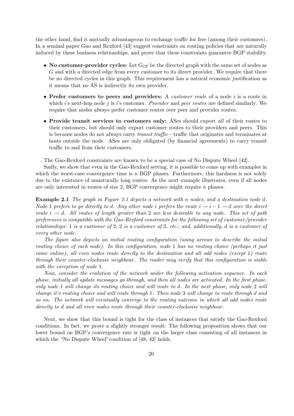the other hand, find it mutually advantageous to exchange traffic for free (among their customers). In a seminal paper Gao and Rexford [43] suggest constraints on routing policies that are naturally induced by these business relationships, and prove that these constraints guarantee BGP stability.

- No customer-provider cycles: Let  $G_{\text{CP}}$  be the directed graph with the same set of nodes as G and with a directed edge from every customer to its direct provider. We require that there be no directed cycles in this graph. This requirement has a natural economic justification as it means that no AS is indirectly its own provider.
- Prefer customers to peers and providers: A *customer route* of a node i is a route in which i's next-hop node j is i's customer. Provider and peer routes are defined similarly. We require that nodes always prefer customer routes over peer and provider routes.
- Provide transit services to customers only: ASes should export all of their routes to their customers, but should only export customer routes to their providers and peers. This is because nodes do not always carry transit traffic—traffic that originates and terminates at hosts outside the node. ASes are only obligated (by financial agreements) to carry transit traffic to and from their customers.

The Gao-Rexford constraints are known to be a special case of No Dispute Wheel [42].

Sadly, we show that even in the Gao-Rexford setting, it is possible to come up with examples in which the worst-case convergence time is  $n$  BGP phases. Furthermore, this hardness is not solely due to the existence of unnaturally long routes: As the next example illustrates, even if all nodes are only interested in routes of size 2, BGP convergence might require n phases.

Example 2.1 The graph in Figure 2.1 depicts a network with n nodes, and a destination node d. Node 1 prefers to go directly to d. Any other node i prefers the route  $i \to i - 1 \to d$  over the direct route  $i \rightarrow d$ . All routes of length greater than 2 are less desirable to any node. This set of path preferences is compatible with the Gao-Rexford constraints for the following set of customer/provider relationships: 1 is a customer of 2, 2 is a customer of 3, etc.; and, additionally, d is a customer of every other node.

The figure also depicts an initial routing configuration (using arrows to describe the initial routing choice of each node). In this configuration, node 1 has no routing choice (perhaps it just came online), all even nodes route directly to the destination and all odd nodes (except 1) route through their counter-clockwise neighbour. The reader may verify that this configuration is stable with the exception of node 1.

Now, consider the evolution of the network under the following activation sequence. In each phase, initially all update messages go through, and then all nodes are activated. In the first phase, only node 1 will change its routing choice and will route to d. In the next phase, only node 2 will change it's routing choice and will route through 1. Then node 3 will change to route through d and so on. The network will eventually converge to the routing outcome in which all odd nodes route directly to d and all even nodes route through their counter-clockwise neighbour.

Next, we show that this bound is tight for the class of instances that satisfy the Gao-Rexford conditions. In fact, we prove a slightly stronger result: The following proposition shows that our lower bound on BGP's convergence rate is tight on the larger class consisting of all instances in which the "No Dispute Wheel" condition of [48, 42] holds.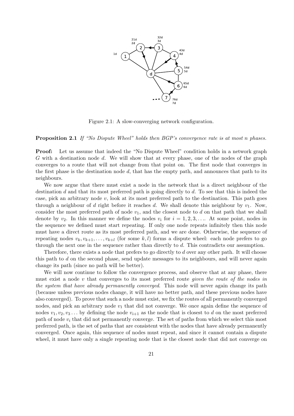

Figure 2.1: A slow-converging network configuration.

Proposition 2.1 If "No Dispute Wheel" holds then BGP's convergence rate is at most n phases.

Proof: Let us assume that indeed the "No Dispute Wheel" condition holds in a network graph G with a destination node d. We will show that at every phase, one of the nodes of the graph converges to a route that will not change from that point on. The first node that converges in the first phase is the destination node  $d$ , that has the empty path, and announces that path to its neighbours.

We now argue that there must exist a node in the network that is a direct neighbour of the destination  $d$  and that its most preferred path is going directly to  $d$ . To see that this is indeed the case, pick an arbitrary node  $v$ , look at its most preferred path to the destination. This path goes through a neighbour of d right before it reaches d. We shall denote this neighbour by  $v_1$ . Now, consider the most preferred path of node  $v_1$ , and the closest node to d on that path that we shall denote by  $v_2$ . In this manner we define the nodes  $v_i$  for  $i = 1, 2, 3, \ldots$ . At some point, nodes in the sequence we defined must start repeating. If only one node repeats infinitely then this node must have a direct route as its most preferred path, and we are done. Otherwise, the sequence of repeating nodes  $v_k, v_{k+1}, \ldots, v_{k+l}$  (for some k, l) forms a dispute wheel: each node prefers to go through the next one in the sequence rather than directly to d. This contradicts our assumption.

Therefore, there exists a node that prefers to go directly to d over any other path. It will choose this path to  $d$  on the second phase, send update messages to its neighbours, and will never again change its path (since no path will be better).

We will now continue to follow the convergence process, and observe that at any phase, there must exist a node  $v$  that converges to its most preferred route *given the route of the nodes in* the system that have already permanently converged. This node will never again change its path (because unless previous nodes change, it will have no better path, and these previous nodes have also converged). To prove that such a node must exist, we fix the routes of all permanently converged nodes, and pick an arbitrary node  $v_1$  that did not converge. We once again define the sequence of nodes  $v_1, v_2, v_3, \ldots$  by defining the node  $v_{i+1}$  as the node that is closest to d on the most preferred path of node  $v_i$  that did not permanently converge. The set of paths from which we select this most preferred path, is the set of paths that are consistent with the nodes that have already permanently converged. Once again, this sequence of nodes must repeat, and since it cannot contain a dispute wheel, it must have only a single repeating node that is the closest node that did not converge on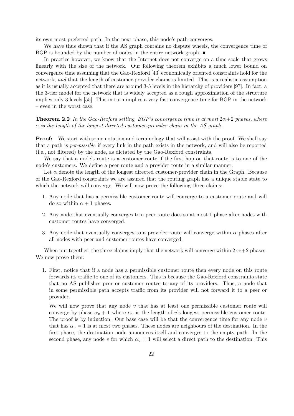its own most preferred path. In the next phase, this node's path converges.

We have thus shown that if the AS graph contains no dispute wheels, the convergence time of BGP is bounded by the number of nodes in the entire network graph.  $\blacksquare$ 

In practice however, we know that the Internet does not converge on a time scale that grows linearly with the size of the network. Our following theorem exhibits a much lower bound on convergence time assuming that the Gao-Rexford [43] economically oriented constraints hold for the network, and that the length of customer-provider chains is limited. This is a realistic assumption as it is usually accepted that there are around 3-5 levels in the hierarchy of providers [97]. In fact, a the 3-tier model for the network that is widely accepted as a rough approximation of the structure implies only 3 levels [55]. This in turn implies a very fast convergence time for BGP in the network – even in the worst case.

**Theorem 2.2** In the Gao-Rexford setting, BGP's convergence time is at most  $2\alpha + 2$  phases, where  $\alpha$  is the length of the longest directed customer-provider chain in the AS graph.

**Proof:** We start with some notation and terminology that will assist with the proof. We shall say that a path is permissible if every link in the path exists in the network, and will also be reported (i.e., not filtered) by the node, as dictated by the Gao-Rexford constraints.

We say that a node's route is a customer route if the first hop on that route is to one of the node's customers. We define a peer route and a provider route in a similar manner.

Let  $\alpha$  denote the length of the longest directed customer-provider chain in the Graph. Because of the Gao-Rexford constraints we are assured that the routing graph has a unique stable state to which the network will converge. We will now prove the following three claims:

- 1. Any node that has a permissible customer route will converge to a customer route and will do so within  $\alpha + 1$  phases.
- 2. Any node that eventually converges to a peer route does so at most 1 phase after nodes with customer routes have converged.
- 3. Any node that eventually converges to a provider route will converge within  $\alpha$  phases after all nodes with peer and customer routes have converged.

When put together, the three claims imply that the network will converge within  $2 \cdot \alpha + 2$  phases. We now prove them:

1. First, notice that if a node has a permissible customer route then every node on this route forwards its traffic to one of its customers. This is because the Gao-Rexford constraints state that no AS publishes peer or customer routes to any of its providers. Thus, a node that in some permissible path accepts traffic from its provider will not forward it to a peer or provider.

We will now prove that any node  $v$  that has at least one permissible customer route will converge by phase  $\alpha_v + 1$  where  $\alpha_v$  is the length of v's longest permissible customer route. The proof is by induction. Our base case will be that the convergence time for any node  $v$ that has  $\alpha_v = 1$  is at most two phases. These nodes are neighbours of the destination. In the first phase, the destination node announces itself and converges to the empty path. In the second phase, any node v for which  $\alpha_v = 1$  will select a direct path to the destination. This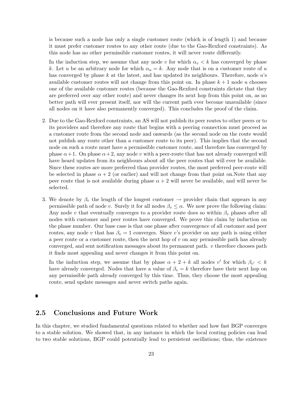is because such a node has only a single customer route (which is of length 1) and because it must prefer customer routes to any other route (due to the Gao-Rexford constraints). As this node has no other permissible customer routes, it will never route differently.

In the induction step, we assume that any node v for which  $\alpha_v < k$  has converged by phase k. Let u be an arbitrary node for which  $\alpha_u = k$ . Any node that is on a customer route of u has converged by phase  $k$  at the latest, and has updated its neighbours. Therefore, node  $u$ 's available customer routes will not change from this point on. In phase  $k + 1$  node u chooses one of the available customer routes (because the Gao-Rexford constraints dictate that they are preferred over any other route) and never changes its next hop from this point on, as no better path will ever present itself, nor will the current path ever become unavailable (since all nodes on it have also permanently converged). This concludes the proof of the claim.

- 2. Due to the Gao-Rexford constraints, an AS will not publish its peer routes to other peers or to its providers and therefore any route that begins with a peering connection must proceed as a customer route from the second node and onwards (as the second node on the route would not publish any route other than a customer route to its peer). This implies that the second node on such a route must have a permissible customer route, and therefore has converged by phase  $\alpha+1$ . On phase  $\alpha+2$ , any node v with a peer-route that has not already converged will have heard updates from its neighbours about all the peer routes that will ever be available. Since these routes are more preferred than provider routes, the most preferred peer-route will be selected in phase  $\alpha + 2$  (or earlier) and will not change from that point on. Note that any peer route that is not available during phase  $\alpha + 2$  will never be available, and will never be selected.
- 3. We denote by  $\beta_v$  the length of the longest customer  $\rightarrow$  provider chain that appears in any permissible path of node v. Surely it for all nodes  $\beta_v \leq \alpha$ . We now prove the following claim: Any node v that eventually converges to a provider route does so within  $\beta_v$  phases after all nodes with customer and peer routes have converged. We prove this claim by induction on the phase number. Our base case is that one phase after convergence of all customer and peer routes, any node v that has  $\beta_v = 1$  converges. Since v's provider on any path is using either a peer route or a customer route, then the next hop of  $v$  on any permissible path has already converged, and sent notification messages about its permanent path.  $v$  therefore chooses path it finds most appealing and never changes it from this point on.

In the induction step, we assume that by phase  $\alpha + 2 + k$  all nodes v' for which  $\beta_{v'} < k$ have already converged. Nodes that have a value of  $\beta_v = k$  therefore have their next hop on any permissible path already converged by this time. Thus, they choose the most appealing route, send update messages and never switch paths again.

 $\blacksquare$ 

#### 2.5 Conclusions and Future Work

In this chapter, we studied fundamental questions related to whether and how fast BGP converges to a stable solution. We showed that, in any instance in which the local routing policies can lead to two stable solutions, BGP could potentially lead to persistent oscillations; thus, the existence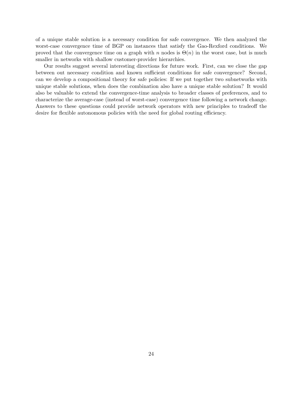of a unique stable solution is a necessary condition for safe convergence. We then analyzed the worst-case convergence time of BGP on instances that satisfy the Gao-Rexford conditions. We proved that the convergence time on a graph with n nodes is  $\Theta(n)$  in the worst case, but is much smaller in networks with shallow customer-provider hierarchies.

Our results suggest several interesting directions for future work. First, can we close the gap between out necessary condition and known sufficient conditions for safe convergence? Second, can we develop a compositional theory for safe policies: If we put together two subnetworks with unique stable solutions, when does the combination also have a unique stable solution? It would also be valuable to extend the convergence-time analysis to broader classes of preferences, and to characterize the average-case (instead of worst-case) convergence time following a network change. Answers to these questions could provide network operators with new principles to tradeoff the desire for flexible autonomous policies with the need for global routing efficiency.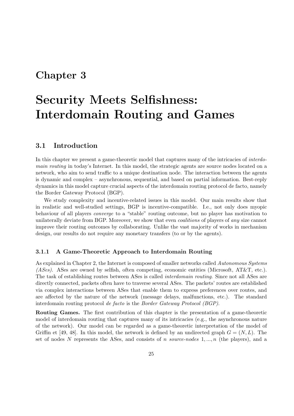### Chapter 3

# Security Meets Selfishness: Interdomain Routing and Games

#### 3.1 Introduction

In this chapter we present a game-theoretic model that captures many of the intricacies of *interdo*main routing in today's Internet. In this model, the strategic agents are source nodes located on a network, who aim to send traffic to a unique destination node. The interaction between the agents is dynamic and complex – asynchronous, sequential, and based on partial information. Best-reply dynamics in this model capture crucial aspects of the interdomain routing protocol de facto, namely the Border Gateway Protocol (BGP).

We study complexity and incentive-related issues in this model. Our main results show that in realistic and well-studied settings, BGP is incentive-compatible. I.e., not only does myopic behaviour of all players converge to a "stable" routing outcome, but no player has motivation to unilaterally deviate from BGP. Moreover, we show that even *coalitions* of players of *any* size cannot improve their routing outcomes by collaborating. Unlike the vast majority of works in mechanism design, our results do not require any monetary transfers (to or by the agents).

#### 3.1.1 A Game-Theoretic Approach to Interdomain Routing

As explained in Chapter 2, the Internet is composed of smaller networks called Autonomous Systems (*ASes*). ASes are owned by selfish, often competing, economic entities (Microsoft, AT&T, etc.). The task of establishing routes between ASes is called interdomain routing. Since not all ASes are directly connected, packets often have to traverse several ASes. The packets' routes are established via complex interactions between ASes that enable them to express preferences over routes, and are affected by the nature of the network (message delays, malfunctions, etc.). The standard interdomain routing protocol de facto is the Border Gateway Protocol (BGP).

Routing Games. The first contribution of this chapter is the presentation of a game-theoretic model of interdomain routing that captures many of its intricacies (e.g., the asynchronous nature of the network). Our model can be regarded as a game-theoretic interpretation of the model of Griffin et [49, 48]. In this model, the network is defined by an undirected graph  $G = (N, L)$ . The set of nodes N represents the ASes, and consists of n source-nodes  $1, ..., n$  (the players), and a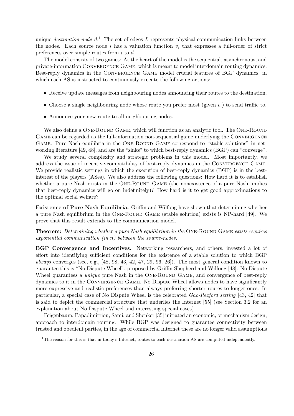unique *destination-node*  $d<sup>1</sup>$ . The set of edges L represents physical communication links between the nodes. Each source node i has a valuation function  $v_i$  that expresses a full-order of strict preferences over simple routes from i to d.

The model consists of two games: At the heart of the model is the sequential, asynchronous, and private-information Convergence Game, which is meant to model interdomain routing dynamics. Best-reply dynamics in the Convergence Game model crucial features of BGP dynamics, in which each AS is instructed to continuously execute the following actions:

- Receive update messages from neighbouring nodes announcing their routes to the destination.
- Choose a single neighbouring node whose route you prefer most (given  $v_i$ ) to send traffic to.
- Announce your new route to all neighbouring nodes.

We also define a ONE-ROUND GAME, which will function as an analytic tool. The ONE-ROUND GAME can be regarded as the full-information non-sequential game underlying the CONVERGENCE Game. Pure Nash equilibria in the One-Round Game correspond to "stable solutions" in networking literature [49, 48], and are the "sinks" to which best-reply dynamics (BGP) can "converge".

We study several complexity and strategic problems in this model. Most importantly, we address the issue of incentive-compatibility of best-reply dynamics in the Convergence Game. We provide realistic settings in which the execution of best-reply dynamics (BGP) is in the bestinterest of the players (ASes). We also address the following questions: How hard it is to establish whether a pure Nash exists in the ONE-ROUND GAME (the nonexistence of a pure Nash implies that best-reply dynamics will go on indefinitely)? How hard is it to get good approximations to the optimal social welfare?

Existence of Pure Nash Equilibria. Griffin and Wilfong have shown that determining whether a pure Nash equilibrium in the One-Round Game (stable solution) exists is NP-hard [49]. We prove that this result extends to the communication model.

**Theorem:** Determining whether a pure Nash equilibrium in the ONE-ROUND GAME exists requires exponential communication  $(in n)$  between the source-nodes.

BGP Convergence and Incentives. Networking researchers, and others, invested a lot of effort into identifying sufficient conditions for the existence of a stable solution to which BGP always converges (see, e.g.,  $[48, 98, 43, 42, 47, 29, 96, 26]$ ). The most general condition known to guarantee this is "No Dispute Wheel", proposed by Griffin Shepherd and Wilfong [48]. No Dispute Wheel guarantees a *unique* pure Nash in the ONE-ROUND GAME, and convergence of best-reply dynamics to it in the Convergence Game. No Dispute Wheel allows nodes to have significantly more expressive and realistic preferences than always preferring shorter routes to longer ones. In particular, a special case of No Dispute Wheel is the celebrated Gao-Rexford setting [43, 42] that is said to depict the commercial structure that underlies the Internet [55] (see Section 3.2 for an explanation about No Dispute Wheel and interesting special cases).

Feigenbaum, Papadimitriou, Sami, and Shenker [35] initiated an economic, or mechanism design, approach to interdomain routing. While BGP was designed to guarantee connectivity between trusted and obedient parties, in the age of commercial Internet these are no longer valid assumptions

<sup>&</sup>lt;sup>1</sup>The reason for this is that in today's Internet, routes to each destination AS are computed independently.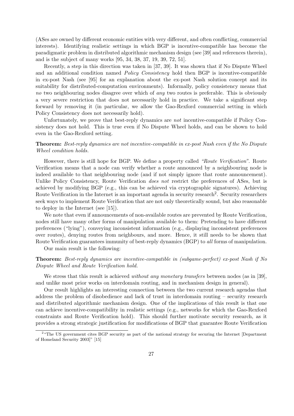(ASes are owned by different economic entities with very different, and often conflicting, commercial interests). Identifying realistic settings in which BGP is incentive-compatible has become the paradigmatic problem in distributed algorithmic mechanism design (see [39] and references therein), and is the subject of many works [95, 34, 38, 37, 19, 39, 72, 51].

Recently, a step in this direction was taken in [37, 39]. It was shown that if No Dispute Wheel and an additional condition named *Policy Consistency* hold then BGP is incentive-compatible in ex-post Nash (see [95] for an explanation about the ex-post Nash solution concept and its suitability for distributed-computation environments). Informally, policy consistency means that no two neighbouring nodes disagree over which of any two routes is preferable. This is obviously a very severe restriction that does not necessarily hold in practice. We take a significant step forward by removing it (in particular, we allow the Gao-Rexford commercial setting in which Policy Consistency does not necessarily hold).

Unfortunately, we prove that best-reply dynamics are not incentive-compatible if Policy Consistency does not hold. This is true even if No Dispute Wheel holds, and can be shown to hold even in the Gao-Rexford setting.

Theorem: Best-reply dynamics are not incentive-compatible in ex-post Nash even if the No Dispute Wheel condition holds.

However, there is still hope for BGP. We define a property called "Route Verification". Route Verification means that a node can verify whether a route announced by a neighbouring node is indeed available to that neighbouring node (and if not simply ignore that route announcement). Unlike Policy Consistency, Route Verification *does not* restrict the preferences of ASes, but is achieved by modifying BGP (e.g., this can be achieved via cryptographic signatures). Achieving Route Verification in the Internet is an important agenda in security research<sup>2</sup>. Security researchers seek ways to implement Route Verification that are not only theoretically sound, but also reasonable to deploy in the Internet (see [15]).

We note that even if announcements of non-available routes are prevented by Route Verification, nodes still have many other forms of manipulation available to them: Pretending to have different preferences ("lying"), conveying inconsistent information (e.g., displaying inconsistent preferences over routes), denying routes from neighbours, and more. Hence, it still needs to be shown that Route Verification guarantees immunity of best-reply dynamics (BGP) to all forms of manipulation.

Our main result is the following:

#### Theorem: Best-reply dynamics are incentive-compatible in (subgame-perfect) ex-post Nash if No Dispute Wheel and Route Verification hold.

We stress that this result is achieved *without any monetary transfers* between nodes (as in [39], and unlike most prior works on interdomain routing, and in mechanism design in general).

Our result highlights an interesting connection between the two current research agendas that address the problem of disobedience and lack of trust in interdomain routing – security research and distributed algorithmic mechanism design. One of the implications of this result is that one can achieve incentive-compatibility in realistic settings (e.g., networks for which the Gao-Rexford constraints and Route Verification hold). This should further motivate security research, as it provides a strong strategic justification for modifications of BGP that guarantee Route Verification

<sup>&</sup>lt;sup>2</sup> "The US government cites BGP security as part of the national strategy for securing the Internet [Department of Homeland Security 2003]" [15]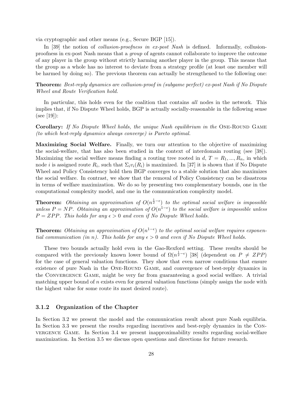via cryptographic and other means (e.g., Secure BGP [15]).

In [39] the notion of collusion-proofness in ex-post Nash is defined. Informally, collusionproofness in ex-post Nash means that a group of agents cannot collaborate to improve the outcome of any player in the group without strictly harming another player in the group. This means that the group as a whole has no interest to deviate from a strategy profile (at least one member will be harmed by doing so). The previous theorem can actually be strengthened to the following one:

Theorem: Best-reply dynamics are collusion-proof in (subgame perfect) ex-post Nash if No Dispute Wheel and Route Verification hold.

In particular, this holds even for the coalition that contains all nodes in the network. This implies that, if No Dispute Wheel holds, BGP is actually socially-reasonable in the following sense (see [19]):

Corollary: If No Dispute Wheel holds, the unique Nash equilibrium in the ONE-ROUND GAME (to which best-reply dynamics always converge) is Pareto optimal.

Maximizing Social Welfare. Finally, we turn our attention to the objective of maximizing the social-welfare, that has also been studied in the context of interdomain routing (see [38]). Maximizing the social welfare means finding a routing tree rooted in d,  $T = R_1, ..., R_n$ , in which node *i* is assigned route  $R_i$ , such that  $\Sigma_i v_i(R_i)$  is maximized. In [37] it is shown that if No Dispute Wheel and Policy Consistency hold then BGP converges to a stable solution that also maximizes the social welfare. In contrast, we show that the removal of Policy Consistency can be disastrous in terms of welfare maximization. We do so by presenting two complementary bounds, one in the computational complexity model, and one in the communication complexity model.

**Theorem:** Obtaining an approximation of  $O(n^{\frac{1}{2}-\epsilon})$  to the optimal social welfare is impossible unless  $P = NP$ . Obtaining an approximation of  $O(n^{1-\epsilon})$  to the social welfare is impossible unless  $P = ZPP$ . This holds for any  $\epsilon > 0$  and even if No Dispute Wheel holds.

**Theorem:** Obtaining an approximation of  $O(n^{1-\epsilon})$  to the optimal social welfare requires exponential communication (in n). This holds for any  $\epsilon > 0$  and even if No Dispute Wheel holds.

These two bounds actually hold even in the Gao-Rexford setting. These results should be compared with the previously known lower bound of  $\Omega(n^{\frac{1}{2}-\epsilon})$  [38] (dependent on  $P \neq ZPP$ ) for the case of general valuation functions. They show that even narrow conditions that ensure existence of pure Nash in the One-Round Game, and convergence of best-reply dynamics in the Convergence Game, might be very far from guaranteeing a good social welfare. A trivial matching upper bound of  $n$  exists even for general valuation functions (simply assign the node with the highest value for some route its most desired route).

#### 3.1.2 Organization of the Chapter

In Section 3.2 we present the model and the communication result about pure Nash equilibria. In Section 3.3 we present the results regarding incentives and best-reply dynamics in the Convergence Game. In Section 3.4 we present inapproximability results regarding social-welfare maximization. In Section 3.5 we discuss open questions and directions for future research.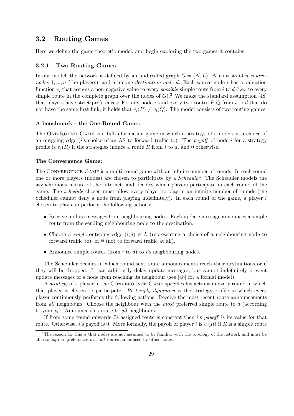## 3.2 Routing Games

Here we define the game-theoretic model, and begin exploring the two games it contains.

#### 3.2.1 Two Routing Games

In our model, the network is defined by an undirected graph  $G = (N, L)$ . N consists of n sourcenodes  $1, \ldots, n$  (the players), and a unique *destination-node d*. Each source node i has a valuation function  $v_i$  that assigns a non-negative value to every *possible* simple route from i to d (i.e., to every simple route in the complete graph over the nodes of  $G$ ).<sup>3</sup> We make the standard assumption [48] that players have strict preferences: For any node  $i$ , and every two routes  $P, Q$  from  $i$  to  $d$  that do not have the same first link, it holds that  $v_i(P) \neq v_i(Q)$ . The model consists of two routing games:

#### A benchmark - the One-Round Game:

The ONE-ROUND GAME is a full-information game in which a strategy of a node  $i$  is a choice of an outgoing edge ( $i$ 's choice of an AS to forward traffic to). The *payoff* of node  $i$  for a strategy profile is  $v_i(R)$  if the strategies induce a route R from i to d, and 0 otherwise.

#### The Convergence Game:

The CONVERGENCE GAME is a multi-round game with an infinite number of rounds. In each round one or more players (nodes) are chosen to participate by a Scheduler. The Scheduler models the asynchronous nature of the Internet, and decides which players participate in each round of the game. The schedule chosen must allow every player to play in an infinite number of rounds (the Scheduler cannot deny a node from playing indefinitely). In each round of the game, a player is chosen to play can perform the following actions:

- Receive update messages from neighbouring nodes. Each update message announces a simple route from the sending neighbouring node to the destination.
- Choose a *single* outgoing edge  $(i, j) \in L$  (representing a choice of a neighbouring node to forward traffic to), or  $\emptyset$  (not to forward traffic at all).
- Announce simple routes (from i to d) to i's neighbouring nodes.

The Scheduler decides in which round sent route announcements reach their destinations or if they will be dropped. It can arbitrarily delay update messages, but cannot indefinitely prevent update messages of a node from reaching its neighbour (see [48] for a formal model).

A *strategy* of a player in the CONVERGENCE GAME specifies his actions in every round in which that player is chosen to participate. Best-reply dynamics is the strategy-profile in which every player continuously performs the following actions: Receive the most recent route announcements from all neighbours. Choose the neighbour with the most preferred simple route to d (according to your  $v_i$ ). Announce this route to *all* neighbours.

If from some round onwards i's assigned route is constant then i's payoff is its value for that route. Otherwise, i's payoff is 0. More formally, the payoff of player i is  $v_i(R)$  if R is a simple route

<sup>&</sup>lt;sup>3</sup>The reason for this is that nodes are not assumed to be familiar with the topology of the network and must be able to express preferences over all routes announced by other nodes.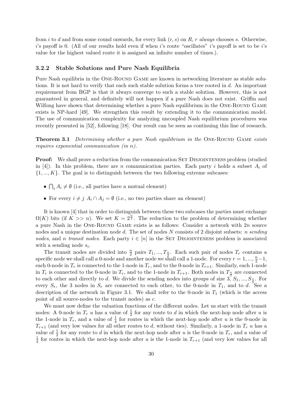from i to d and from some round onwards, for every link  $(r, s)$  on R, r always chooses s. Otherwise,  $i$ 's payoff is 0. (All of our results hold even if when i's route "oscillates" i's payoff is set to be i's value for the highest valued route it is assigned an infinite number of times.).

#### 3.2.2 Stable Solutions and Pure Nash Equilibria

Pure Nash equilibria in the ONE-ROUND GAME are known in networking literature as stable solutions. It is not hard to verify that each such stable solution forms a tree rooted in d. An important requirement from BGP is that it always converge to such a stable solution. However, this is not guaranteed in general, and definitely will not happen if a pure Nash does not exist. Griffin and Wilfong have shown that determining whether a pure Nash equilibrium in the ONE-ROUND GAME exists is NP-hard [49]. We strengthen this result by extending it to the communication model. The use of communication complexity for analyzing uncoupled Nash equilibrium procedures was recently presented in [52], following [18]. Our result can be seen as continuing this line of research.

**Theorem 3.1** Determining whether a pure Nash equilibrium in the ONE-ROUND GAME exists requires exponential communication (in n).

**Proof:** We shall prove a reduction from the communication SET DISJOINTENESS problem (studied in [4]). In this problem, there are n communication parties. Each party i holds a subset  $A_i$  of  $\{1, ..., K\}$ . The goal is to distinguish between the two following extreme subcases:

- $\overline{a}$  $i_A A_i \neq \emptyset$  (i.e., all parties have a mutual element)
- For every  $i \neq j$   $A_i \cap A_j = \emptyset$  (i.e., no two parties share an element)

It is known [4] that in order to distinguish between these two subcases the parties must exchange  $\Omega(K)$  bits (if  $K >> n$ ). We set  $K = 2^{\frac{n}{2}}$ . The reduction to the problem of determining whether a pure Nash in the ONE-ROUND GAME exists is as follows: Consider a network with  $2n$  source nodes and a unique destination node d. The set of nodes  $N$  consists of 2 disjoint subsets: n sending nodes, and n transit nodes. Each party  $i \in [n]$  in the SET DISJOINTENESS problem is associated with a sending node  $s_i$ .

The transit nodes are divided into  $\frac{n}{2}$  pairs  $T_1, ..., T_{\frac{n}{2}}$ . Each such pair of nodes  $T_r$  contains a specific node we shall call a 0-node and another node we shall call a 1-node. For every  $r = 1, ..., \frac{n}{2} - 1$ , each 0-node in  $T_r$  is connected to the 1-node in  $T_r$ , and to the 0-node in  $T_{r+1}$ . Similarly, each 1-node in  $T_r$  is connected to the 0-node in  $T_r$ , and to the 1-node in  $T_{r+1}$ . Both nodes in  $T_{\frac{n}{2}}$  are connected to each other and directly to d. We divide the sending nodes into groups of size 3,  $S_1, ..., S_{\frac{n}{3}}$ . For every  $S_r$ , the 3 nodes in  $S_r$  are connected to each other, to the 0-node in  $T_1$ , and to d. See a description of the network in Figure 3.1. We shall refer to the 0-node in  $T_1$  (which is the access point of all source-nodes to the transit nodes) as c.

We must now define the valuation functions of the different nodes. Let us start with the transit nodes: A 0-node in  $T_r$  u has a value of  $\frac{1}{2}$  for any route to d in which the next-hop node after u is the 1-node in  $T_r$ , and a value of  $\frac{1}{4}$  for routes in which the next-hop node after u is the 0-node in  $T_{r+1}$  (and very low values for all other routes to d, without ties). Similarly, a 1-node in  $T_r$  u has a value of  $\frac{1}{2}$  for any route to d in which the next-hop node after u is the 0-node in  $T_r$ , and a value of 1  $\frac{1}{4}$  for routes in which the next-hop node after u is the 1-node in  $T_{r+1}$  (and very low values for all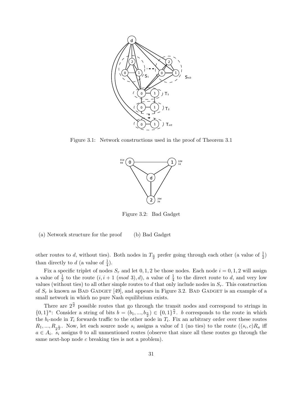

Figure 3.1: Network constructions used in the proof of Theorem 3.1



Figure 3.2: Bad Gadget

(a) Network structure for the proof (b) Bad Gadget

other routes to d, without ties). Both nodes in  $T_{\frac{n}{2}}$  prefer going through each other (a value of  $\frac{1}{2}$ ) than directly to  $d$  (a value of  $\frac{1}{4}$ ).

Fix a specific triplet of nodes  $S_r$  and let 0, 1, 2 be those nodes. Each node  $i = 0, 1, 2$  will assign a value of  $\frac{1}{2}$  to the route  $(i, i + 1 \pmod{3}, d)$ , a value of  $\frac{1}{4}$  to the direct route to d, and very low values (without ties) to all other simple routes to d that only include nodes in  $S_r$ . This construction of  $S_r$  is known as BAD GADGET [49], and appears in Figure 3.2. BAD GADGET is an example of a small network in which no pure Nash equilibrium exists.

There are  $2^{\frac{n}{2}}$  possible routes that go through the transit nodes and correspond to strings in  $\{0,1\}^n$ : Consider a string of bits  $b = (b_1, ..., b_{\frac{n}{2}}) \in \{0,1\}^{\frac{n}{2}}$ . b corresponds to the route in which the  $b_i$ -node in  $T_i$  forwards traffic to the other node in  $T_i$ . Fix an arbitrary order over these routes  $R_1, ..., R_{2^{\frac{n}{2}}}$ . Now, let each source node  $s_i$  assigns a value of 1 (no ties) to the route  $((s_i, c)R_a$  iff  $a \in A_i$ .  $s_i$  assigns 0 to all unmentioned routes (observe that since all these routes go through the same next-hop node c breaking ties is not a problem).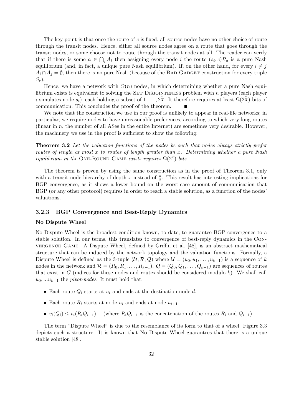The key point is that once the route of c is fixed, all source-nodes have no other choice of route through the transit nodes. Hence, either all source nodes agree on a route that goes through the transit nodes, or some choose not to route through the transit nodes at all. The reader can verify that if there is some  $a \in \bigcap_i A_i$  then assigning every node i the route  $(s_i, c)R_a$  is a pure Nash equilibrium (and, in fact, a unique pure Nash equilibrium). If, on the other hand, for every  $i \neq j$  $A_i \cap A_j = \emptyset$ , then there is no pure Nash (because of the BAD GADGET construction for every triple  $S_r$ ).

Hence, we have a network with  $O(n)$  nodes, in which determining whether a pure Nash equilibrium exists is equivalent to solving the SET DISJOINTENESS problem with  $n$  players (each player i simulates node  $s_i$ ), each holding a subset of  $1, \ldots, 2^{\frac{n}{2}}$ . It therefore requires at least  $\Omega(2^{\frac{n}{2}})$  bits of communication. This concludes the proof of the theorem.

We note that the construction we use in our proof is unlikely to appear in real-life networks; in particular, we require nodes to have unreasonable preferences, according to which very long routes (linear in  $n$ , the number of all ASes in the entire Internet) are sometimes very desirable. However, the machinery we use in the proof is sufficient to show the following:

**Theorem 3.2** Let the valuation functions of the nodes be such that nodes always strictly prefer routes of length at most x to routes of length greater than x. Determining whether a pure Nash equilibrium in the ONE-ROUND GAME exists requires  $\Omega(2^x)$  bits.

The theorem is proven by using the same construction as in the proof of Theorem 3.1, only with a transit node hierarchy of depth x instead of  $\frac{n}{2}$ . This result has interesting implications for BGP convergence, as it shows a lower bound on the worst-case amount of communication that BGP (or any other protocol) requires in order to reach a stable solution, as a function of the nodes' valuations.

#### 3.2.3 BGP Convergence and Best-Reply Dynamics

#### No Dispute Wheel

No Dispute Wheel is the broadest condition known, to date, to guarantee BGP convergence to a stable solution. In our terms, this translates to convergence of best-reply dynamics in the Convergence Game. A Dispute Wheel, defined by Griffin et al. [48], is an abstract mathematical structure that can be induced by the network topology and the valuation functions. Formally, a Dispute Wheel is defined as the 3-tuple  $(\mathcal{U}, \mathcal{R}, \mathcal{Q})$  where  $\mathcal{U} = (u_0, u_1, \dots, u_{k-1})$  is a sequence of k nodes in the network and  $\mathcal{R} = (R_0, R_1, \ldots, R_{k-1}), \mathcal{Q} = (Q_0, Q_1, \ldots, Q_{k-1})$  are sequences of routes that exist in  $G$  (indices for these nodes and routes should be considered modulo k). We shall call  $u_0, \ldots u_{k-1}$  the *pivot-nodes*. It must hold that:

- Each route  $Q_i$  starts at  $u_i$  and ends at the destination node d.
- Each route  $R_i$  starts at node  $u_i$  and ends at node  $u_{i+1}$ .
- $v_i(Q_i) \le v_i(R_iQ_{i+1})$  (where  $R_iQ_{i+1}$  is the concatenation of the routes  $R_i$  and  $Q_{i+1}$ )

The term "Dispute Wheel" is due to the resemblance of its form to that of a wheel. Figure 3.3 depicts such a structure. It is known that No Dispute Wheel guarantees that there is a unique stable solution [48].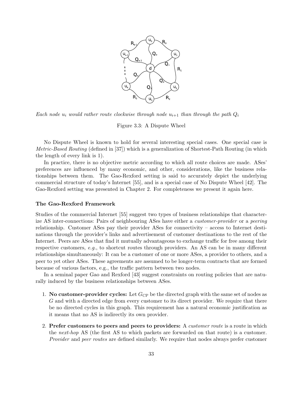

Each node  $u_i$  would rather route clockwise through node  $u_{i+1}$  than through the path  $Q_i$ 

Figure 3.3: A Dispute Wheel

No Dispute Wheel is known to hold for several interesting special cases. One special case is Metric-Based Routing (defined in [37]) which is a generalization of Shortest-Path Routing (in which the length of every link is 1).

In practice, there is no objective metric according to which all route choices are made. ASes' preferences are influenced by many economic, and other, considerations, like the business relationships between them. The Gao-Rexford setting is said to accurately depict the underlying commercial structure of today's Internet [55], and is a special case of No Dispute Wheel [42]. The Gao-Rexford setting was presented in Chapter 2. For completeness we present it again here.

#### The Gao-Rexford Framework

Studies of the commercial Internet [55] suggest two types of business relationships that characterize AS inter-connections: Pairs of neighbouring ASes have either a customer-provider or a peering relationship. Customer ASes pay their provider ASes for connectivity – access to Internet destinations through the provider's links and advertisement of customer destinations to the rest of the Internet. Peers are ASes that find it mutually advantageous to exchange traffic for free among their respective customers, e.g., to shortcut routes through providers. An AS can be in many different relationships simultaneously: It can be a customer of one or more ASes, a provider to others, and a peer to yet other ASes. These agreements are assumed to be longer-term contracts that are formed because of various factors, e.g., the traffic pattern between two nodes.

In a seminal paper Gao and Rexford [43] suggest constraints on routing policies that are naturally induced by the business relationships between ASes.

- 1. No customer-provider cycles: Let  $G_{\text{CP}}$  be the directed graph with the same set of nodes as G and with a directed edge from every customer to its direct provider. We require that there be no directed cycles in this graph. This requirement has a natural economic justification as it means that no AS is indirectly its own provider.
- 2. Prefer customers to peers and peers to providers: A customer route is a route in which the next-hop AS (the first AS to which packets are forwarded on that route) is a customer. Provider and peer routes are defined similarly. We require that nodes always prefer customer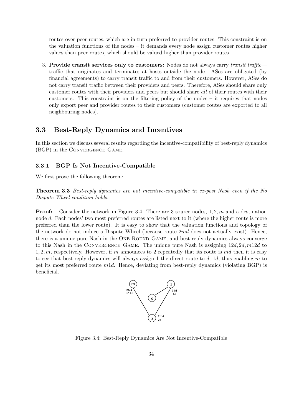routes over peer routes, which are in turn preferred to provider routes. This constraint is on the valuation functions of the nodes – it demands every node assign customer routes higher values than peer routes, which should be valued higher than provider routes.

3. Provide transit services only to customers: Nodes do not always carry transit traffictraffic that originates and terminates at hosts outside the node. ASes are obligated (by financial agreements) to carry transit traffic to and from their customers. However, ASes do not carry transit traffic between their providers and peers. Therefore, ASes should share only customer routes with their providers and peers but should share all of their routes with their customers. This constraint is on the filtering policy of the nodes – it requires that nodes only export peer and provider routes to their customers (customer routes are exported to all neighbouring nodes).

## 3.3 Best-Reply Dynamics and Incentives

In this section we discuss several results regarding the incentive-compatibility of best-reply dynamics (BGP) in the Convergence Game.

## 3.3.1 BGP Is Not Incentive-Compatible

We first prove the following theorem:

Theorem 3.3 Best-reply dynamics are not incentive-compatible in ex-post Nash even if the No Dispute Wheel condition holds.

**Proof:** Consider the network in Figure 3.4. There are 3 source nodes,  $1, 2, m$  and a destination node d. Each nodes' two most preferred routes are listed next to it (where the higher route is more preferred than the lower route). It is easy to show that the valuation functions and topology of the network do not induce a Dispute Wheel (because route  $2md$  does not actually exist). Hence, there is a unique pure Nash in the One-Round Game, and best-reply dynamics always converge to this Nash in the CONVERGENCE GAME. The unique pure Nash is assigning  $12d, 2d, m12d$  to 1, 2, m, respectively. However, if m announces to 2 repeatedly that its route is md then it is easy to see that best-reply dynamics will always assign 1 the direct route to  $d$ , 1 $d$ , thus enabling  $m$  to get its most preferred route  $m1d$ . Hence, deviating from best-reply dynamics (violating BGP) is beneficial.



Figure 3.4: Best-Reply Dynamics Are Not Incentive-Compatible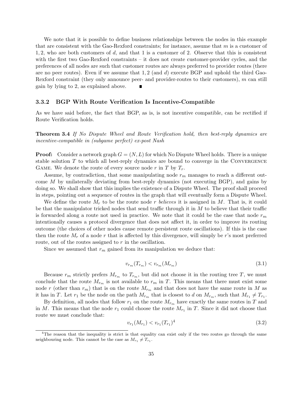We note that it is possible to define business relationships between the nodes in this example that are consistent with the Gao-Rexford constraints; for instance, assume that  $m$  is a customer of 1, 2, who are both customers of d, and that 1 is a customer of 2. Observe that this is consistent with the first two Gao-Rexford constraints – it does not create customer-provider cycles, and the preferences of all nodes are such that customer routes are always preferred to provider routes (there are no peer routes). Even if we assume that  $1, 2$  (and  $d$ ) execute BGP and uphold the third Gao-Rexford constraint (they only announce peer- and provider-routes to their customers),  $m$  can still gain by lying to 2, as explained above.

#### 3.3.2 BGP With Route Verification Is Incentive-Compatible

As we have said before, the fact that BGP, as is, is not incentive compatible, can be rectified if Route Verification holds.

Theorem 3.4 If No Dispute Wheel and Route Verification hold, then best-reply dynamics are incentive-compatible in (subgame perfect) ex-post Nash

**Proof:** Consider a network graph  $G = (N, L)$  for which No Dispute Wheel holds. There is a unique stable solution  $T$  to which all best-reply dynamics are bound to converge in the CONVERGENCE GAME. We denote the route of every source node r in T by  $T_r$ .

Assume, by contradiction, that some manipulating node  $r_m$  manages to reach a different outcome M by unilaterally deviating from best-reply dynamics (not executing BGP), and gains by doing so. We shall show that this implies the existence of a Dispute Wheel. The proof shall proceed in steps, pointing out a sequence of routes in the graph that will eventually form a Dispute Wheel.

We define the route  $M_r$  to be the route node r believes it is assigned in M. That is, it could be that the manipulator tricked nodes that send traffic through it in  $M$  to believe that their traffic is forwarded along a route not used in practice. We note that it could be the case that node  $r_m$ intentionally causes a protocol divergence that does not affect it, in order to improve its routing outcome (the choices of other nodes cause remote persistent route oscillations). If this is the case then the route  $M_r$  of a node r that is affected by this divergence, will simply be r's most preferred route, out of the routes assigned to r in the oscillation.

Since we assumed that  $r_m$  gained from its manipulation we deduce that:

$$
v_{r_m}(T_{r_m}) < v_{r_m}(M_{r_m})\tag{3.1}
$$

Because  $r_m$  strictly prefers  $M_{r_m}$  to  $T_{r_m}$ , but did not choose it in the routing tree T, we must conclude that the route  $M_{r_m}$  is not available to  $r_m$  in T. This means that there must exist some node r (other than  $r_m$ ) that is on the route  $M_{r_m}$  and that does not have the same route in M as it has in T. Let  $r_1$  be the node on the path  $M_{r_m}$  that is closest to d on  $M_{r_m}$ , such that  $M_{r_1} \neq T_{r_1}$ .

By definition, all nodes that follow  $r_1$  on the route  $M_{r_m}$  have exactly the same routes in T and in M. This means that the node  $r_1$  could choose the route  $M_{r_1}$  in T. Since it did not choose that route we must conclude that:

$$
v_{r_1}(M_{r_1}) < v_{r_1}(T_{r_1})^4 \tag{3.2}
$$

 $4$ The reason that the inequality is strict is that equality can exist only if the two routes go through the same neighbouring node. This cannot be the case as  $M_{r_1} \neq T_{r_1}$ .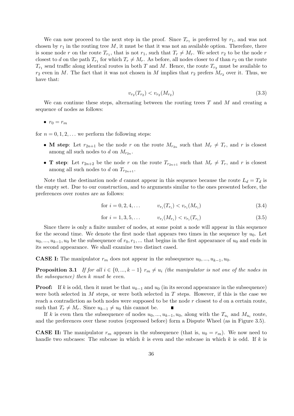We can now proceed to the next step in the proof. Since  $T_{r_1}$  is preferred by  $r_1$ , and was not chosen by  $r_1$  in the routing tree M, it must be that it was not an available option. Therefore, there is some node r on the route  $T_{r_1}$ , that is not  $r_1$ , such that  $T_r \neq M_r$ . We select  $r_2$  to be the node r closest to d on the path  $T_{r_1}$  for which  $T_r \neq M_r$ . As before, all nodes closer to d than  $r_2$  on the route  $T_{r_1}$  send traffic along identical routes in both T and M. Hence, the route  $T_{r_2}$  must be available to  $r_2$  even in M. The fact that it was not chosen in M implies that  $r_2$  prefers  $M_{r_2}$  over it. Thus, we have that:

$$
v_{r_2}(T_{r_2}) < v_{r_2}(M_{r_2})\tag{3.3}
$$

We can continue these steps, alternating between the routing trees  $T$  and  $M$  and creating a sequence of nodes as follows:

$$
\bullet \ \ r_0=r_m
$$

for  $n = 0, 1, 2, \ldots$  we perform the following steps:

- M step: Let  $r_{2n+1}$  be the node r on the route  $M_{r_{2n}}$  such that  $M_r \neq T_r$ , and r is closest among all such nodes to d on  $M_{r_{2n}}$ .
- **T** step: Let  $r_{2n+2}$  be the node r on the route  $T_{r_{2n+1}}$  such that  $M_r \neq T_r$ , and r is closest among all such nodes to d on  $T_{r_{2n+1}}$ .

Note that the destination node d cannot appear in this sequence because the route  $L_d = T_d$  is the empty set. Due to our construction, and to arguments similar to the ones presented before, the preferences over routes are as follows:

$$
\text{for } i = 0, 2, 4, \dots \qquad v_{r_i}(T_{r_i}) < v_{r_i}(M_{r_i}) \tag{3.4}
$$

$$
\text{for } i = 1, 3, 5, \dots \qquad v_{r_i}(M_{r_i}) < v_{r_i}(T_{r_i}) \tag{3.5}
$$

Since there is only a finite number of nodes, at some point a node will appear in this sequence for the second time. We denote the first node that appears two times in the sequence by  $u_0$ . Let  $u_0, \ldots, u_{k-1}, u_0$  be the subsequence of  $r_0, r_1, \ldots$  that begins in the first appearance of  $u_0$  and ends in its second appearance. We shall examine two distinct cased.

**CASE I:** The manipulator  $r_m$  does not appear in the subsequence  $u_0, ..., u_{k-1}, u_0$ .

**Proposition 3.1** If for all  $i \in \{0, ..., k-1\}$   $r_m \neq u_i$  (the manipulator is not one of the nodes in the subsequence) then k must be even.

**Proof:** If k is odd, then it must be that  $u_{k-1}$  and  $u_0$  (in its second appearance in the subsequence) were both selected in  $M$  steps, or were both selected in  $T$  steps. However, if this is the case we reach a contradiction as both nodes were supposed to be the node  $r$  closest to  $d$  on a certain route, such that  $T_r \neq M_r$ . Since  $u_{k-1} \neq u_0$  this cannot be.

If k is even then the subsequence of nodes  $u_0, ..., u_{k-1}, u_0$ , along with the  $T_{u_i}$  and  $M_{u_i}$  route, and the preferences over these routes (expressed before) form a Dispute Wheel (as in Figure 3.5).

**CASE II:** The manipulator  $r_m$  appears in the subsequence (that is,  $u_0 = r_m$ ). We now need to handle two subcases: The subcase in which k is even and the subcase in which k is odd. If k is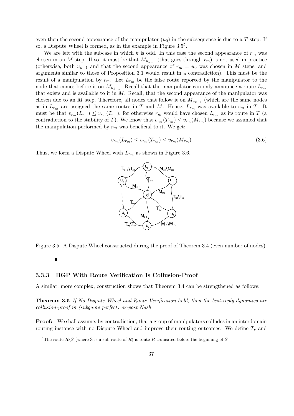even then the second appearance of the manipulator  $(u_0)$  in the subsequence is due to a T step. If so, a Dispute Wheel is formed, as in the example in Figure  $3.5<sup>5</sup>$ .

We are left with the subcase in which k is odd. In this case the second appearance of  $r_m$  was chosen in an M step. If so, it must be that  $M_{u_{k-1}}$  (that goes through  $r_m$ ) is not used in practice (otherwise, both  $u_{k-1}$  and that the second appearance of  $r_m = u_0$  was chosen in M steps, and arguments similar to those of Proposition 3.1 would result in a contradiction). This must be the result of a manipulation by  $r_m$ . Let  $L_{r_m}$  be the false route reported by the manipulator to the node that comes before it on  $M_{u_{k-1}}$ . Recall that the manipulator can only announce a route  $L_{r_m}$ that exists and is available to it in  $M$ . Recall, that the second appearance of the manipulator was chosen due to an M step. Therefore, all nodes that follow it on  $M_{u_{k-1}}$  (which are the same nodes as in  $L_{r_m}$  are assigned the same routes in T and M. Hence,  $L_{r_m}$  was available to  $r_m$  in T. It must be that  $v_{r_m}(L_{r_m}) \le v_{r_m}(T_{r_m})$ , for otherwise  $r_m$  would have chosen  $L_{r_m}$  as its route in T (a contradiction to the stability of T). We know that  $v_{r_m}(T_{r_m}) \le v_{r_m}(M_{r_m})$  because we assumed that the manipulation performed by  $r_m$  was beneficial to it. We get:

$$
v_{r_m}(L_{r_m}) \le v_{r_m}(T_{r_m}) \le v_{r_m}(M_{r_m})\tag{3.6}
$$

Thus, we form a Dispute Wheel with  $L_{r_m}$  as shown in Figure 3.6.



Figure 3.5: A Dispute Wheel constructed during the proof of Theorem 3.4 (even number of nodes).

## Ľ

## 3.3.3 BGP With Route Verification Is Collusion-Proof

A similar, more complex, construction shows that Theorem 3.4 can be strengthened as follows:

Theorem 3.5 If No Dispute Wheel and Route Verification hold, then the best-reply dynamics are collusion-proof in (subgame perfect) ex-post Nash.

Proof: We shall assume, by contradiction, that a group of manipulators colludes in an interdomain routing instance with no Dispute Wheel and improve their routing outcomes. We define  $T_r$  and

<sup>&</sup>lt;sup>5</sup>The route  $R\backslash S$  (where S is a sub-route of R) is route R truncated before the beginning of S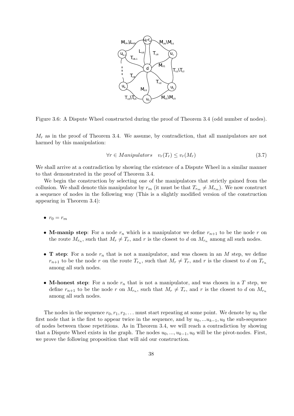

Figure 3.6: A Dispute Wheel constructed during the proof of Theorem 3.4 (odd number of nodes).

 $M_r$  as in the proof of Theorem 3.4. We assume, by contradiction, that all manipulators are not harmed by this manipulation:

$$
\forall r \in Manipulators \quad v_r(T_r) \le v_r(M_r) \tag{3.7}
$$

We shall arrive at a contradiction by showing the existence of a Dispute Wheel in a similar manner to that demonstrated in the proof of Theorem 3.4.

We begin the construction by selecting one of the manipulators that strictly gained from the collusion. We shall denote this manipulator by  $r_m$  (it must be that  $T_{r_m} \neq M_{r_m}$ ). We now construct a sequence of nodes in the following way (This is a slightly modified version of the construction appearing in Theorem 3.4):

- $r_0 = r_m$
- M-manip step: For a node  $r_n$  which is a manipulator we define  $r_{n+1}$  to be the node r on the route  $M_{r_n}$ , such that  $M_r \neq T_r$ , and r is the closest to d on  $M_{r_n}$  among all such nodes.
- **T** step: For a node  $r_n$  that is not a manipulator, and was chosen in an M step, we define  $r_{n+1}$  to be the node r on the route  $T_{r_n}$ , such that  $M_r \neq T_r$ , and r is the closest to d on  $T_{r_n}$ among all such nodes.
- M-honest step: For a node  $r_n$  that is not a manipulator, and was chosen in a T step, we define  $r_{n+1}$  to be the node r on  $M_{r_n}$ , such that  $M_r \neq T_r$ , and r is the closest to d on  $M_{r_n}$ among all such nodes.

The nodes in the sequence  $r_0, r_1, r_2, \ldots$  must start repeating at some point. We denote by  $u_0$  the first node that is the first to appear twice in the sequence, and by  $u_0, \ldots u_{k-1}, u_0$  the sub-sequence of nodes between those repetitions. As in Theorem 3.4, we will reach a contradiction by showing that a Dispute Wheel exists in the graph. The nodes  $u_0, ..., u_{k-1}, u_0$  will be the pivot-nodes. First, we prove the following proposition that will aid our construction.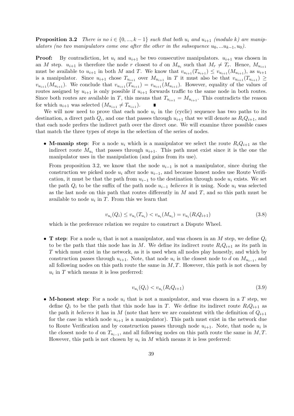**Proposition 3.2** There is no  $i \in \{0, ..., k-1\}$  such that both  $u_i$  and  $u_{i+1}$  (modulo k) are manipulators (no two manipulators come one after the other in the subsequence  $u_0, ...u_{k-1}, u_0$ ).

**Proof:** By contradiction, let  $u_i$  and  $u_{i+1}$  be two consecutive manipulators.  $u_{i+1}$  was chosen in an M step.  $u_{i+1}$  is therefore the node r closest to d on  $M_{u_i}$  such that  $M_r \neq T_r$ . Hence,  $M_{u_{i+1}}$ must be available to  $u_{i+1}$  in both M and T. We know that  $v_{u_{i+1}}(T_{u_{i+1}}) \leq v_{u_{i+1}}(M_{u_{i+1}})$ , as  $u_{i+1}$ is a manipulator. Since  $u_{i+1}$  chose  $T_{u_{i+1}}$  over  $M_{u_{i+1}}$  in T it must also be that  $v_{u_{i+1}}(T_{u_{i+1}}) \geq$  $v_{u_{i+1}}(M_{u_{i+1}})$ . We conclude that  $v_{u_{i+1}}(T_{u_{i+1}}) = v_{u_{i+1}}(M_{u_{i+1}})$ . However, equality of the values of routes assigned by  $u_{i+1}$  is only possible if  $u_{i+1}$  forwards traffic to the same node in both routes. Since both routes are available in T, this means that  $T_{u_{i+1}} = M_{u_{i+1}}$ . This contradicts the reason for which  $u_{i+1}$  was selected  $(M_{u_{i+1}} \neq T_{u_{i+1}})$ .

We will now need to prove that each node  $u_i$  in the (cyclic) sequence has two paths to its destination, a direct path  $Q_i$ , and one that passes through  $u_{i+1}$  that we will denote as  $R_i Q_{i+1}$ , and that each node prefers the indirect path over the direct one. We will examine three possible cases that match the three types of steps in the selection of the series of nodes.

• M-manip step: For a node  $u_i$  which is a manipulator we select the route  $R_iQ_{i+1}$  as the indirect route  $M_{u_i}$  that passes through  $u_{i+1}$ . This path must exist since it is the one the manipulator uses in the manipulation (and gains from its use).

From proposition 3.2, we know that the node  $u_{i-1}$  is not a manipulator, since during the construction we picked node  $u_i$  after node  $u_{i-1}$ , and because honest nodes use Route Verification, it must be that the path from  $u_{i-1}$  to the destination through node  $u_i$  exists. We set the path  $Q_i$  to be the suffix of the path node  $u_{i-1}$  believes it is using. Node  $u_i$  was selected as the last node on this path that routes differently in  $M$  and  $T$ , and so this path must be available to node  $u_i$  in T. From this we learn that

$$
v_{u_i}(Q_i) \le v_{u_i}(T_{u_i}) < v_{u_i}(M_{u_i}) = v_{u_i}(R_i Q_{i+1})\tag{3.8}
$$

which is the preference relation we require to construct a Dispute Wheel.

• **T** step: For a node  $u_i$  that is not a manipulator, and was chosen in an M step, we define  $Q_i$ to be the path that this node has in M. We define its indirect route  $R_iQ_{i+1}$  as its path in T which must exist in the network, as it is used when all nodes play honestly, and which by construction passes through  $u_{i+1}$ . Note, that node  $u_i$  is the closest node to d on  $M_{u_{i-1}}$ , and all following nodes on this path route the same in  $M, T$ . However, this path is not chosen by  $u_i$  in T which means it is less preferred:

$$
v_{u_i}(Q_i) < v_{u_i}(R_i Q_{i+1})\tag{3.9}
$$

• M-honest step: For a node  $u_i$  that is not a manipulator, and was chosen in a T step, we define  $Q_i$  to be the path that this node has in T. We define its indirect route  $R_iQ_{i+1}$  as the path it believes it has in M (note that here we are consistent with the definition of  $Q_{i+1}$ for the case in which node  $u_{i+1}$  is a manipulator). This path must exist in the network due to Route Verification and by construction passes through node  $u_{i+1}$ . Note, that node  $u_i$  is the closest node to d on  $T_{u_{i-1}}$ , and all following nodes on this path route the same in M, T. However, this path is not chosen by  $u_i$  in M which means it is less preferred: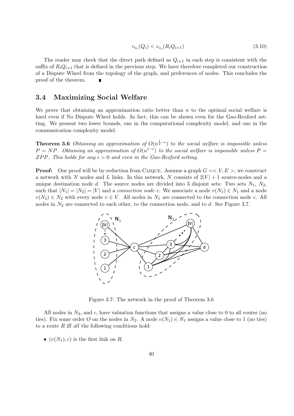$$
v_{u_i}(Q_i) < v_{u_i}(R_i Q_{i+1})\tag{3.10}
$$

The reader may check that the direct path defined as  $Q_{i+1}$  in each step is consistent with the suffix of  $R_iQ_{i+1}$  that is defined in the previous step. We have therefore completed our construction of a Dispute Wheel from the topology of the graph, and preferences of nodes. This concludes the proof of the theorem.

## 3.4 Maximizing Social Welfare

We prove that obtaining an approximation ratio better than  $n$  to the optimal social welfare is hard even if No Dispute Wheel holds. In fact, this can be shown even for the Gao-Rexford setting. We present two lower bounds, one in the computational complexity model, and one in the communication complexity model.

**Theorem 3.6** Obtaining an approximation of  $O(n^{\frac{1}{2}-\epsilon})$  to the social welfare is impossible unless  $P = NP$ . Obtaining an approximation of  $O(n^{1-\epsilon})$  to the social welfare is impossible unless  $P =$ ZPP. This holds for any  $\epsilon > 0$  and even in the Gao-Rexford setting.

**Proof:** Our proof will be by reduction from CLIQUE. Assume a graph  $G = \langle V, E \rangle$ , we construct a network with N nodes and L links. In this network, N consists of  $2|V|+1$  source-nodes and a unique destination node d. The source nodes are divided into 3 disjoint sets: Two sets  $N_1$ ,  $N_2$ , such that  $|N_1| = |N_2| = |V|$  and a *connection node c*. We associate a node  $v(N_1) \in N_1$  and a node  $v(N_2) \in N_2$  with every node  $v \in V$ . All nodes in  $N_1$  are connected to the connection node c. All nodes in  $N_2$  are connected to each other, to the connection node, and to d. See Figure 3.7.



Figure 3.7: The network in the proof of Theorem 3.6

All nodes in  $N_2$ , and c, have valuation functions that assigns a value close to 0 to all routes (no ties). Fix some order O on the nodes in  $N_2$ . A node  $v(N_1) \in N_1$  assigns a value close to 1 (no ties) to a route  $R$  iff all the following conditions hold:

•  $(v(N_1), c)$  is the first link on R.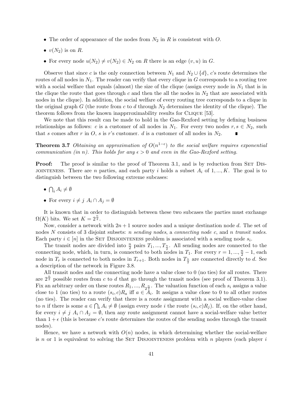- The order of appearance of the nodes from  $N_2$  in R is consistent with O.
- $v(N_2)$  is on R.
- For every node  $u(N_2) \neq v(N_2) \in N_2$  on R there is an edge  $(v, u)$  in G.

Observe that since c is the only connection between  $N_1$  and  $N_2 \cup \{d\}$ , c's route determines the routes of all nodes in  $N_1$ . The reader can verify that every clique in G corresponds to a routing tree with a social welfare that equals (almost) the size of the clique (assign every node in  $N_1$  that is in the clique the route that goes through c and then the all the nodes in  $N_2$  that are associated with nodes in the clique). In addition, the social welfare of every routing tree corresponds to a clique in the original graph G (the route from c to d through  $N_2$  determines the identity of the clique). The theorem follows from the known inapprroximability results for CLIQUE [53].

We note that this result can be made to hold in the Gao-Rexford setting by defining business relationships as follows: c is a customer of all nodes in  $N_1$ . For every two nodes  $r, s \in N_2$ , such that s comes after r in O, s is r's customer. d is a customer of all nodes in  $N_2$ .

**Theorem 3.7** Obtaining an approximation of  $O(n^{1-\epsilon})$  to the social welfare requires exponential communication (in n). This holds for any  $\epsilon > 0$  and even in the Gao-Rexford setting.

**Proof:** The proof is similar to the proof of Theorem 3.1, and is by reduction from SET DIS-JOINTENESS. There are n parties, and each party i holds a subset  $A_i$  of  $1, ..., K$ . The goal is to distinguish between the two following extreme subcases:

- $\overline{a}$  $i A_i \neq \emptyset$
- For every  $i \neq j$   $A_i \cap A_j = \emptyset$

It is known that in order to distinguish between these two subcases the parties must exchange  $\Omega(K)$  bits. We set  $K = 2^{\frac{n}{2}}$ .

Now, consider a network with  $2n + 1$  source nodes and a unique destination node d. The set of nodes N consists of 3 disjoint subsets: *n sending nodes*, a *connecting node c*, and *n transit nodes*. Each party  $i \in [n]$  in the SET DISJOINTENESS problem is associated with a sending node  $s_i$ .

The transit nodes are divided into  $\frac{n}{2}$  pairs  $T_1, ..., T_{\frac{n}{2}}$ . All sending nodes are connected to the connecting node, which, in turn, is connected to both nodes in  $T_1$ . For every  $r = 1, ..., \frac{n}{2} - 1$ , each node in  $T_r$  is connected to both nodes in  $T_{r+1}$ . Both nodes in  $T_{\frac{n}{2}}$  are connected directly to d. See a description of the network in Figure 3.8.

All transit nodes and the connecting node have a value close to 0 (no ties) for all routes. There are  $2^{\frac{n}{2}}$  possible routes from c to d that go through the transit nodes (see proof of Theorem 3.1). Fix an arbitrary order on these routes  $R_1, ..., R_{2^{\frac{n}{2}}}$ . The valuation function of each  $s_i$  assigns a value close to 1 (no ties) to a route  $(s_i, c)R_a$  iff  $a \in A_i$ . It assigns a value close to 0 to all other routes (no ties). The reader can verify that there is a route assignment with a social welfare-value close T to *n* if there is some  $a \in \bigcap_i A_i \neq \emptyset$  (assign every node *i* the route  $(s_i, c)R_j$ ). If, on the other hand, for every  $i \neq j$   $A_i \cap A_j = \emptyset$ , then any route assignment cannot have a social-welfare value better than  $1 + \epsilon$  (this is because c's route determines the routes of the sending nodes through the transit nodes).

Hence, we have a network with  $O(n)$  nodes, in which determining whether the social-welfare is n or 1 is equivalent to solving the SET DISJOINTENESS problem with n players (each player  $i$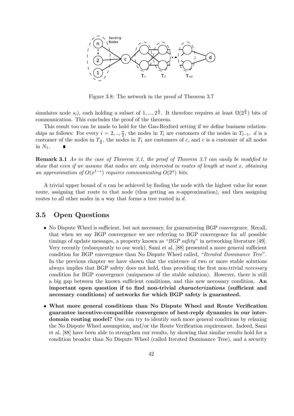

Figure 3.8: The network in the proof of Theorem 3.7

simulates node  $s_i$ ), each holding a subset of 1, ...,  $2^{\frac{n}{2}}$ . It therefore requires at least  $\Omega(2^{\frac{n}{2}})$  bits of communication. This concludes the proof of the theorem.

This result too can be made to hold for the Gao-Rexford setting if we define business relationships as follows: For every  $i = 2, \ldots, \frac{n}{2}$  $\frac{n}{2}$ , the nodes in  $T_i$  are customers of the nodes in  $T_{i-1}$ . d is a customer of the nodes in  $T_{\frac{n}{2}}$ , the nodes in  $T_1$  are customers of c, and c is a customer of all nodes in  $N_1$ .

Remark 3.1 As in the case of Theorem 3.1, the proof of Theorem 3.7 can easily be modified to show that even if we assume that nodes are only interested in routes of length at most  $x$ , obtaining an approximation of  $O(x^{1-\epsilon})$  requires communicating  $O(2^x)$  bits.

A trivial upper bound of  $n$  can be achieved by finding the node with the highest value for some route, assigning that route to that node (thus getting an  $n$ -approximation), and then assigning routes to all other nodes in a way that forms a tree rooted in d.

## 3.5 Open Questions

- No Dispute Wheel is sufficient, but not necessary, for guaranteeing BGP convergence. Recall, that when we say BGP convergence we are referring to BGP convergence for all possible timings of update messages, a property known as "*BGP safety*" in networking literature [49]. Very recently (subsequently to our work), Sami et al. [88] presented a more general sufficient condition for BGP convergence than No Dispute Wheel called, "Iterated Dominance Tree". In the previous chapter we have shown that the existence of two or more stable solutions always implies that BGP safety does not hold, thus providing the first non-trivial necessary condition for BGP convergence (uniqueness of the stable solution). However, there is still a big gap between the known sufficient conditions, and this new necessary condition. An important open question if to find non-trivial characterizations (sufficient and necessary conditions) of networks for which BGP safety is guaranteed.
- What more general conditions than No Dispute Wheel and Route Verification guarantee incentive-compatible convergence of best-reply dynamics in our interdomain routing model? One can try to identify such more general conditions by relaxing the No Dispute Wheel assumption, and/or the Route Verification requirement. Indeed, Sami et al. [88] have been able to strengthen our results, by showing that similar results hold for a condition broader than No Dispute Wheel (called Iterated Dominance Tree), and a security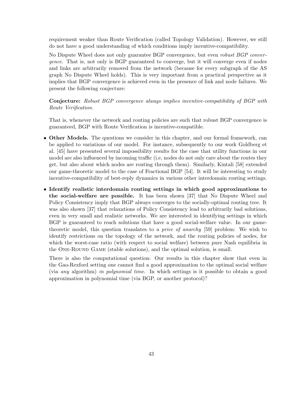requirement weaker than Route Verification (called Topology Validation). However, we still do not have a good understanding of which conditions imply incentive-compatibility.

No Dispute Wheel does not only guarantee BGP convergence, but even *robust BGP conver*gence. That is, not only is BGP guaranteed to converge, but it will converge even if nodes and links are arbitrarily removed from the network (because for every subgraph of the AS graph No Dispute Wheel holds). This is very important from a practical perspective as it implies that BGP convergence is achieved even in the presence of link and node failures. We present the following conjecture:

Conjecture: Robust BGP convergence always implies incentive-compatibility of BGP with Route Verification.

That is, whenever the network and routing policies are such that robust BGP convergence is guaranteed, BGP with Route Verification is incentive-compatible.

- Other Models. The questions we consider in this chapter, and our formal framework, can be applied to variations of our model. For instance, subsequently to our work Goldberg et al. [45] have presented several impossibility results for the case that utility functions in our model are also influenced by incoming traffic (i.e, nodes do not only care about the routes they get, but also about which nodes are routing through them). Similarly, Kintali [58] extended our game-theoretic model to the case of Fractional BGP [54]. It will be interesting to study incentive-compatibility of best-reply dynamics in various other interdomain routing settings.
- Identify realistic interdomain routing settings in which good approximations to the social-welfare are possible. It has been shown [37] that No Dispute Wheel and Policy Consistency imply that BGP always converges to the socially-optimal routing tree. It was also shown [37] that relaxations of Policy Consistency lead to arbitrarily bad solutions, even in very small and realistic networks. We are interested in identifying settings in which BGP is guaranteed to reach solutions that have a good social-welfare value. In our gametheoretic model, this question translates to a price of anarchy [59] problem: We wish to identify restrictions on the topology of the network, and the routing policies of nodes, for which the worst-case ratio (with respect to social welfare) between pure Nash equilibria in the One-Round Game (stable solutions), and the optimal solution, is small.

There is also the computational question: Our results in this chapter show that even in the Gao-Rexford setting one cannot find a good approximation to the optimal social welfare (via any algorithm) in polynomial time. In which settings is it possible to obtain a good approximation in polynomial time (via BGP, or another protocol)?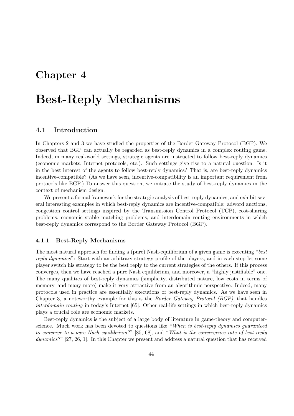## Chapter 4

# Best-Reply Mechanisms

## 4.1 Introduction

In Chapters 2 and 3 we have studied the properties of the Border Gateway Protocol (BGP). We observed that BGP can actually be regarded as best-reply dynamics in a complex routing game. Indeed, in many real-world settings, strategic agents are instructed to follow best-reply dynamics (economic markets, Internet protocols, etc.). Such settings give rise to a natural question: Is it in the best interest of the agents to follow best-reply dynamics? That is, are best-reply dynamics incentive-compatible? (As we have seen, incentive-compatibility is an important requirement from protocols like BGP.) To answer this question, we initiate the study of best-reply dynamics in the context of mechanism design.

We present a formal framework for the strategic analysis of best-reply dynamics, and exhibit several interesting examples in which best-reply dynamics are incentive-compatible: adword auctions, congestion control settings inspired by the Transmission Control Protocol (TCP), cost-sharing problems, economic stable matching problems, and interdomain routing environments in which best-reply dynamics correspond to the Border Gateway Protocol (BGP).

#### 4.1.1 Best-Reply Mechanisms

The most natural approach for finding a (pure) Nash-equilibrium of a given game is executing "best reply dynamics": Start with an arbitrary strategy profile of the players, and in each step let some player switch his strategy to be the best reply to the current strategies of the others. If this process converges, then we have reached a pure Nash equilibrium, and moreover, a "highly justifiable" one. The many qualities of best-reply dynamics (simplicity, distributed nature, low costs in terms of memory, and many more) make it very attractive from an algorithmic perspective. Indeed, many protocols used in practice are essentially executions of best-reply dynamics. As we have seen in Chapter 3, a noteworthy example for this is the Border Gateway Protocol (BGP), that handles interdomain routing in today's Internet [65]. Other real-life settings in which best-reply dynamics plays a crucial role are economic markets.

Best-reply dynamics is the subject of a large body of literature in game-theory and computerscience. Much work has been devoted to questions like "When is best-reply dynamics guaranteed to converge to a pure Nash equilibrium?" [85, 68], and "What is the convergence-rate of best-reply dynamics?" [27, 26, 1]. In this Chapter we present and address a natural question that has received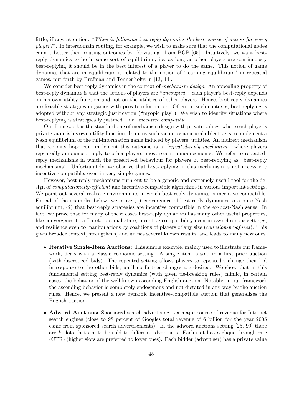little, if any, attention: "When is following best-reply dynamics the best course of action for every player?". In interdomain routing, for example, we wish to make sure that the computational nodes cannot better their routing outcomes by "deviating" from BGP [65]. Intuitively, we want bestreply dynamics to be in some sort of equilibrium, i.e, as long as other players are continuously best-replying it should be in the best interest of a player to do the same. This notion of game dynamics that are in equilibrium is related to the notion of "learning equilibrium" in repeated games, put forth by Brafman and Tennenholtz in [13, 14].

We consider best-reply dynamics in the context of *mechanism design*. An appealing property of best-reply dynamics is that the actions of players are "uncoupled": each player's best-reply depends on his own utility function and not on the utilities of other players. Hence, best-reply dynamics are feasible strategies in games with private information. Often, in such contexts, best-replying is adopted without any strategic justification ("myopic play"). We wish to identify situations where best-replying is strategically justified  $-$  i.e. *incentive compatible.* 

Our framework is the standard one of mechanism design with private values, where each player's private value is his own utility function. In many such scenarios a natural objective is to implement a Nash equilibrium of the full-information game induced by players' utilities. An indirect mechanism that we may hope can implement this outcome is a "repeated-reply mechanism" where players repeatedly announce a reply to other players' most recent announcements. We refer to repeatedreply mechanisms in which the prescribed behaviour for players in best-replying as "best-reply mechanisms". Unfortunately, we observe that best-replying in this mechanism is not necessarily incentive-compatible, even in very simple games.

However, best-reply mechanisms turn out to be a generic and extremely useful tool for the design of computationally-efficient and incentive-compatible algorithms in various important settings. We point out several realistic environments in which best-reply dynamics is incentive-compatible. For all of the examples below, we prove (1) convergence of best-reply dynamics to a pure Nash equilibrium, (2) that best-reply strategies are incentive compatible in the ex-post-Nash sense. In fact, we prove that for many of these cases best-reply dynamics has many other useful properties, like convergence to a Pareto optimal state, incentive-compatibility even in asynchronous settings, and resilience even to manipulations by coalitions of players of any size (*collusion-proofness*). This gives broader context, strengthens, and unifies several known results, and leads to many new ones.

- Iterative Single-Item Auctions: This simple example, mainly used to illustrate our framework, deals with a classic economic setting. A single item is sold in a first price auction (with discretized bids). The repeated setting allows players to repeatedly change their bid in response to the other bids, until no further changes are desired. We show that in this fundamental setting best-reply dynamics (with given tie-breaking rules) mimic, in certain cases, the behavior of the well-known ascending English auction. Notably, in our framework the ascending behavior is completely endogenous and not dictated in any way by the auction rules. Hence, we present a new dynamic incentive-compatible auction that generalizes the English auction.
- Adword Auctions: Sponsored search advertising is a major source of revenue for Internet search engines (close to 98 percent of Googles total revenue of 6 billion for the year 2005 came from sponsored search advertisements). In the adword auctions setting [25, 99] there are  $k$  slots that are to be sold to different advertisers. Each slot has a clique-through-rate (CTR) (higher slots are preferred to lower ones). Each bidder (advertiser) has a private value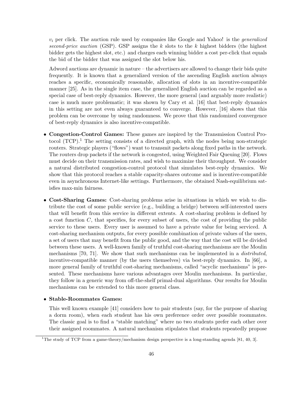$v_i$  per click. The auction rule used by companies like Google and Yahoo! is the *generalized* second-price auction (GSP). GSP assigns the  $k$  slots to the  $k$  highest bidders (the highest bidder gets the highest slot, etc.) and charges each winning bidder a cost per-click that equals the bid of the bidder that was assigned the slot below his.

Adword auctions are dynamic in nature – the advertisers are allowed to change their bids quite frequently. It is known that a generalized version of the ascending English auction always reaches a specific, economically reasonable, allocation of slots in an incentive-compatible manner [25]. As in the single item case, the generalized English auction can be regarded as a special case of best-reply dynamics. However, the more general (and arguably more realistic) case is much more problematic; it was shown by Cary et al. [16] that best-reply dynamics in this setting are not even always guaranteed to converge. However, [16] shows that this problem can be overcome by using randomness. We prove that this randomized convergence of best-reply dynamics is also incentive-compatible.

- Congestion-Control Games: These games are inspired by the Transmission Control Protocol  $(TCP)^{1}$ . The setting consists of a directed graph, with the nodes being non-strategic routers. Strategic players ("flows") want to transmit packets along fixed paths in the network. The routers drop packets if the network is congested, using Weighted Fair Queuing [20]. Flows must decide on their transmission rates, and wish to maximize their throughput. We consider a natural distributed congestion-control protocol that simulates best-reply dynamics. We show that this protocol reaches a stable capacity-shares outcome and is incentive-compatible even in asynchronous Internet-like settings. Furthermore, the obtained Nash-equilibrium satisfies max-min fairness.
- Cost-Sharing Games: Cost-sharing problems arise in situations in which we wish to distribute the cost of some public service (e.g., building a bridge) between self-interested users that will benefit from this service in different extents. A cost-sharing problem is defined by a cost function  $C$ , that specifies, for every subset of users, the cost of providing the public service to these users. Every user is assumed to have a private value for being serviced. A cost-sharing mechanism outputs, for every possible combination of private values of the users, a set of users that may benefit from the public good, and the way that the cost will be divided between these users. A well-known family of truthful cost-sharing mechanisms are the Moulin mechanisms [70, 71]. We show that such mechanisms can be implemented in a distributed, incentive-compatible manner (by the users themselves) via best-reply dynamics. In [66], a more general family of truthful cost-sharing mechanisms, called "acyclic mechanisms" is presented. These mechanisms have various advantages over Moulin mechanisms. In particular, they follow in a generic way from off-the-shelf primal-dual algorithms. Our results for Moulin mechanisms can be extended to this more general class.

#### • Stable-Roommates Games:

This well known example [41] considers how to pair students (say, for the purpose of sharing a dorm room), when each student has his own preference order over possible roommates. The classic goal is to find a "stable matching" where no two students prefer each other over their assigned roommates. A natural mechanism stipulates that students repeatedly propose

<sup>&</sup>lt;sup>1</sup>The study of TCP from a game-theory/mechanism design perspective is a long-standing agenda [81, 40, 3].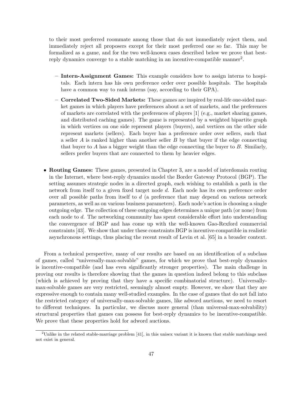to their most preferred roommate among those that do not immediately reject them, and immediately reject all proposers except for their most preferred one so far. This may be formalized as a game, and for the two well-known cases described below we prove that bestreply dynamics converge to a stable matching in an incentive-compatible manner<sup>2</sup>.

- Intern-Assignment Games: This example considers how to assign interns to hospitals. Each intern has his own preference order over possible hospitals. The hospitals have a common way to rank interns (say, according to their GPA).
- Correlated Two-Sided Markets: These games are inspired by real-life one-sided market games in which players have preferences about a set of markets, and the preferences of markets are correlated with the preferences of players [1] (e.g., market sharing games, and distributed caching games). The game is represented by a weighted bipartite graph in which vertices on one side represent players (buyers), and vertices on the other side represent markets (sellers). Each buyer has a preference order over sellers, such that a seller  $A$  is ranked higher than another seller  $B$  by that buyer if the edge connecting that buyer to A has a bigger weight than the edge connecting the buyer to  $B$ . Similarly, sellers prefer buyers that are connected to them by heavier edges.
- Routing Games: These games, presented in Chapter 3, are a model of interdomain routing in the Internet, where best-reply dynamics model the Border Gateway Protocol (BGP). The setting assumes strategic nodes in a directed graph, each wishing to establish a path in the network from itself to a given fixed target node d. Each node has its own preference order over all possible paths from itself to  $d$  (a preference that may depend on various network parameters, as well as on various business parameters). Each node's action is choosing a single outgoing edge. The collection of these outgoing edges determines a unique path (or none) from each node to d. The networking community has spent considerable effort into understanding the convergence of BGP and has come up with the well-known Gao-Rexford commercial constraints [43]. We show that under these constraints BGP is incentive-compatible in realistic asynchronous settings, thus placing the recent result of Levin et al. [65] in a broader context.

From a technical perspective, many of our results are based on an identification of a subclass of games, called "universally-max-solvable" games, for which we prove that best-reply dynamics is incentive-compatible (and has even significantly stronger properties). The main challenge in proving our results is therefore showing that the games in question indeed belong to this subclass (which is achieved by proving that they have a specific combinatorial structure). Universallymax-solvable games are very restricted, seemingly almost empty. However, we show that they are expressive enough to contain many well-studied examples. In the case of games that do not fall into the restricted category of universally-max-solvable games, like adword auctions, we need to resort to different techniques. In particular, we discuss more general (than universal-max-solvability) structural properties that games can possess for best-reply dynamics to be incentive-compatible. We prove that these properties hold for adword auctions.

<sup>&</sup>lt;sup>2</sup>Unlike in the related stable-marriage problem [41], in this unisex variant it is known that stable matchings need not exist in general.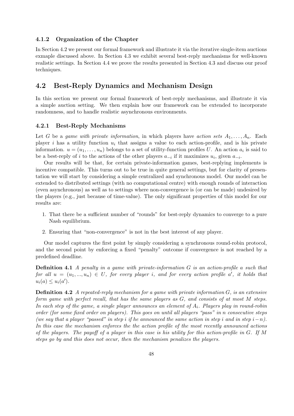#### 4.1.2 Organization of the Chapter

In Section 4.2 we present our formal framework and illustrate it via the iterative single-item auctions exmaple discussed above. In Section 4.3 we exhibit several best-reply mechanisms for well-known realistic settings. In Section 4.4 we prove the results presented in Section 4.3 and discuss our proof techniques.

## 4.2 Best-Reply Dynamics and Mechanism Design

In this section we present our formal framework of best-reply mechanisms, and illustrate it via a simple auction setting. We then explain how our framework can be extended to incorporate randomness, and to handle realistic asynchronous environments.

#### 4.2.1 Best-Reply Mechanisms

Let G be a game with private information, in which players have action sets  $A_1, \ldots, A_n$ . Each player i has a utility function  $u_i$  that assigns a value to each action-profile, and is his private information.  $u = (u_1, \ldots, u_n)$  belongs to a set of utility-function profiles U. An action  $a_i$  is said to be a best-reply of i to the actions of the other players  $a_{-i}$  if it maximizes  $u_i$ , given  $a_{-i}$ .

Our results will be that, for certain private-information games, best-replying implements is incentive compatible. This turns out to be true in quite general settings, but for clarity of presentation we will start by considering a simple centralized and synchronous model. Our model can be extended to distributed settings (with no computational centre) with enough rounds of interaction (even asynchronous) as well as to settings where non-convergence is (or can be made) undesired by the players (e.g., just because of time-value). The only significant properties of this model for our results are:

- 1. That there be a sufficient number of "rounds" for best-reply dynamics to converge to a pure Nash equilibrium.
- 2. Ensuring that "non-convergence" is not in the best interest of any player.

Our model captures the first point by simply considering a synchronous round-robin protocol, and the second point by enforcing a fixed "penalty" outcome if convergence is not reached by a predefined deadline.

Definition 4.1 A penalty in a game with private-information G is an action-profile a such that for all  $u = (u_1, ..., u_n) \in U$ , for every player i, and for every action profile a', it holds that  $u_i(a) \leq u_i(a')$ .

**Definition 4.2** A repeated-reply mechanism for a game with private information  $G$ , is an extensive form game with perfect recall, that has the same players as G, and consists of at most M steps. In each step of the game, a single player announces an element of  $A_i$ . Players play in round-robin order (for some fixed order on players). This goes on until all players "pass" in n consecutive steps (we say that a player "passed" in step i if he announced the same action in step i and in step  $i-n$ ). In this case the mechanism enforces the the action profile of the most recently announced actions of the players. The payoff of a player in this case is his utility for this action-profile in G. If M steps go by and this does not occur, then the mechanism penalizes the players.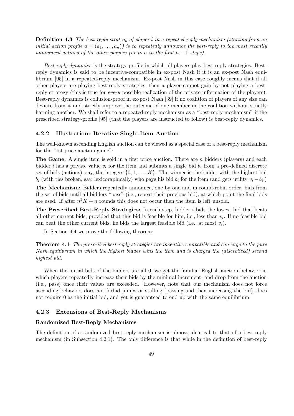Definition 4.3 The best-reply strategy of player i in a repeated-reply mechanism (starting from an initial action profile  $a = (a_1, \ldots, a_n)$  is to repeatedly announce the best-reply to the most recently announced actions of the other players (or to a in the first  $n-1$  steps).

Best-reply dynamics is the strategy-profile in which all players play best-reply strategies. Bestreply dynamics is said to be incentive-compatible in ex-post Nash if it is an ex-post Nash equilibrium [95] in a repeated-reply mechanism. Ex-post Nash in this case roughly means that if all other players are playing best-reply strategies, then a player cannot gain by not playing a bestreply strategy (this is true for every possible realization of the private-information of the players). Best-reply dynamics is collusion-proof in ex-post Nash [39] if no coalition of players of any size can deviate from it and strictly improve the outcome of one member in the coalition without strictly harming another. We shall refer to a repeated-reply mechanism as a "best-reply mechanism" if the prescribed strategy-profile [95] (that the players are instructed to follow) is best-reply dynamics.

#### 4.2.2 Illustration: Iterative Single-Item Auction

The well-known ascending English auction can be viewed as a special case of a best-reply mechanism for the "1st price auction game":

**The Game:** A single item is sold in a first price auction. There are n bidders (players) and each bidder i has a private value  $v_i$  for the item and submits a single bid  $b_i$  from a pre-defined discrete set of bids (actions), say, the integers  $\{0, 1, \ldots, K\}$ . The winner is the bidder with the highest bid  $b_i$  (with ties broken, say, lexicoraphically) who pays his bid  $b_i$  for the item (and gets utility  $v_i - b_i$ .)

The Mechanism: Bidders repeatedly announce, one by one and in round-robin order, bids from the set of bids until all bidders "pass" (i.e., repeat their previous bid), at which point the final bids are used. If after  $n^2K + n$  rounds this does not occur then the item is left unsold.

The Prescribed Best-Reply Strategies: In each step, bidder i bids the lowest bid that beats all other current bids, provided that this bid is feasible for him, i.e., less than  $v_i$ . If no feasible bid can beat the other current bids, he bids the largest feasible bid (i.e., at most  $v_i$ ).

In Section 4.4 we prove the following theorem:

Theorem 4.1 The prescribed best-reply strategies are incentive compatible and converge to the pure Nash equilibrium in which the highest bidder wins the item and is charged the (discretized) second highest bid.

When the initial bids of the bidders are all 0, we get the familiar English auction behavior in which players repeatedly increase their bids by the minimal increment, and drop from the auction (i.e., pass) once their values are exceeded. However, note that our mechanism does not force ascending behavior, does not forbid jumps or stalling (passing and then increasing the bid), does not require 0 as the initial bid, and yet is guaranteed to end up with the same equilibrium.

#### 4.2.3 Extensions of Best-Reply Mechanisms

#### Randomized Best-Reply Mechanisms

The definition of a randomized best-reply mechanism is almost identical to that of a best-reply mechanism (in Subsection 4.2.1). The only difference is that while in the definition of best-reply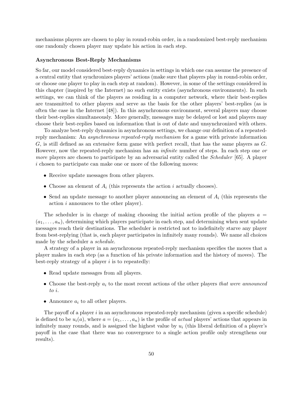mechanisms players are chosen to play in round-robin order, in a randomized best-reply mechanism one randomly chosen player may update his action in each step.

#### Asynchronous Best-Reply Mechanisms

So far, our model considered best-reply dynamics in settings in which one can assume the presence of a central entity that synchronizes players' actions (make sure that players play in round-robin order, or choose one player to play in each step at random). However, in some of the settings considered in this chapter (inspired by the Internet) no such entity exists (asynchronous environments). In such settings, we can think of the players as residing in a computer network, where their best-replies are transmitted to other players and serve as the basis for the other players' best-replies (as is often the case in the Internet [48]). In this asynchronous environment, several players may choose their best-replies simultaneously. More generally, messages may be delayed or lost and players may choose their best-replies based on information that is out of date and unsynchronized with others.

To analyze best-reply dynamics in asynchronous settings, we change our definition of a repeatedreply mechanism: An asynchronous repeated-reply mechanism for a game with private information G, is still defined as an extensive form game with perfect recall, that has the same players as G. However, now the repeated-reply mechanism has an *infinite* number of steps. In each step one or more players are chosen to participate by an adversarial entity called the *Scheduler* [65]. A player i chosen to participate can make one or more of the following moves:

- Receive update messages from other players.
- Choose an element of  $A_i$  (this represents the action i actually chooses).
- Send an update message to another player announcing an element of  $A_i$  (this represents the action i announces to the other player).

The scheduler is in charge of making choosing the initial action profile of the players  $a =$  $(a_1, \ldots, a_n)$ , determining which players participate in each step, and determining when sent update messages reach their destinations. The scheduler is restricted not to indefinitely starve any player from best-replying (that is, each player participates in infinitely many rounds). We name all choices made by the scheduler a schedule.

A strategy of a player in an asynchronous repeated-reply mechanism specifies the moves that a player makes in each step (as a function of his private information and the history of moves). The best-reply strategy of a player  $i$  is to repeatedly:

- Read update messages from all players.
- Choose the best-reply  $a_i$  to the most recent actions of the other players that were announced to i.
- Announce  $a_i$  to all other players.

The payoff of a player  $i$  in an asynchronous repeated-reply mechanism (given a specific schedule) is defined to be  $u_i(a)$ , where  $a = (a_1, \ldots, a_n)$  is the profile of *actual* players' actions that appears in infinitely many rounds, and is assigned the highest value by  $u_i$  (this liberal definition of a player's payoff in the case that there was no convergence to a single action profile only strengthens our results).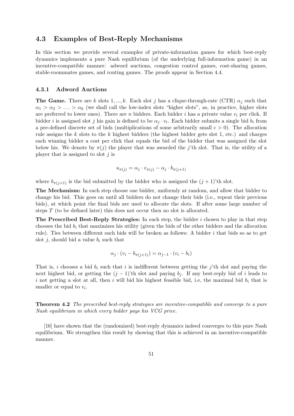## 4.3 Examples of Best-Reply Mechanisms

In this section we provide several examples of private-information games for which best-reply dynamics implements a pure Nash equilibrium (of the underlying full-information game) in an incentive-compatible manner: adword auctions, congestion control games, cost-sharing games, stable-roommates games, and routing games. The proofs appear in Section 4.4.

#### 4.3.1 Adword Auctions

**The Game.** There are k slots 1, ..., k. Each slot j has a clique-through-rate (CTR)  $\alpha_i$  such that  $\alpha_1 > \alpha_2 > \ldots > \alpha_k$  (we shall call the low-index slots "higher slots", as, in practice, higher slots are preferred to lower ones). There are n bidders. Each bidder i has a private value  $v_i$  per click. If bidder *i* is assigned slot *j* his gain is defined to be  $\alpha_j \cdot v_i$ . Each bidder submits a single bid  $b_i$  from a pre-defined discrete set of bids (multiplications of some arbitrarily small  $\epsilon > 0$ ). The allocation rule assigns the k slots to the k highest bidders (the highest bidder gets slot 1, etc.) and charges each winning bidder a cost per click that equals the bid of the bidder that was assigned the slot below his. We denote by  $\pi(j)$  the player that was awarded the j'th slot. That is, the utility of a player that is assigned to slot  $j$  is

$$
u_{\pi(j)} = \alpha_j \cdot v_{\pi(j)} - \alpha_j \cdot b_{\pi(j+1)}
$$

where  $b_{\pi(j+1)}$  is the bid submitted by the bidder who is assigned the  $(j + 1)$ 'th slot.

The Mechanism: In each step choose one bidder, uniformly at random, and allow that bidder to change his bid. This goes on until all bidders do not change their bids (i.e., repeat their previous bids), at which point the final bids are used to allocate the slots. If after some large number of steps  $T$  (to be defined later) this does not occur then no slot is allocated.

The Prescribed Best-Reply Strategies: In each step, the bidder  $i$  chosen to play in that step chooses the bid  $b_i$  that maximizes his utility (given the bids of the other bidders and the allocation rule). Ties between different such bids will be broken as follows: A bidder i that bids so as to get slot j, should bid a value  $b_i$  such that

$$
\alpha_j \cdot (v_i - b_{\pi(j+1)}) = \alpha_{j-1} \cdot (v_i - b_i)
$$

That is, i chooses a bid  $b_i$  such that i is indifferent between getting the j'th slot and paying the next highest bid, or getting the  $(j - 1)$ 'th slot and paying  $b_j$ . If any best-reply bid of i leads to i not getting a slot at all, then i will bid his highest feasible bid, i.e, the maximal bid  $b_i$  that is smaller or equal to  $v_i$ .

Theorem 4.2 The prescribed best-reply strategies are incentive-compatible and converge to a pure Nash equilibrium in which every bidder pays his VCG price.

[16] have shown that the (randomized) best-reply dynamics indeed converges to this pure Nash equilibrium. We strengthen this result by showing that this is achieved in an incentive-compatible manner.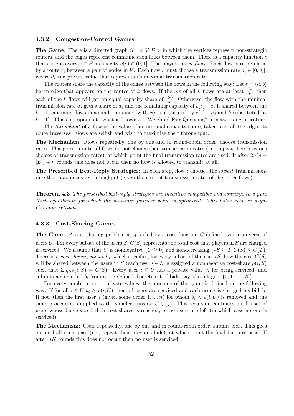#### 4.3.2 Congestion-Control Games

The Game. There is a directed graph  $G = \langle V, E \rangle$  in which the vertices represent non-strategic routers, and the edges represent communication links between them. There is a capacity function  $c$ that assigns every  $e \in E$  a capacity  $c(e) \in (0, 1]$ . The players are *n* flows. Each flow is represented by a route  $r_i$  between a pair of nodes in V. Each flow i must choose a transmission rate  $a_i \in [0, d_i]$ , where  $d_i$  is a private value that represents i's maximal transmission rate.

The routers share the capacity of the edges between the flows in the following way: Let  $e = (a, b)$ be an edge that appears on the routes of k flows. If the  $a_i$ s of all k flows are at least  $\frac{c(e)}{k}$  then each of the k flows will get an equal capacity-share of  $\frac{c(e)}{k}$ . Otherwise, the flow with the minimal transmission rate  $a_i$  gets a share of  $a_j$  and the remaining capacity of  $c(e) - a_j$  is shared between the k − 1 remaining flows in a similar manner (with  $c(e)$  substituted by  $c(e) - a_j$  and k substituted by  $k-1$ ). This corresponds to what is known as "Weighted Fair Queueing" in networking literature.

The *throughput* of a flow is the value of its minimal capacity-share, taken over all the edges its route traverses. Flows are selfish and wish to maximize their throughput.

The Mechanism: Flows repeatedly, one by one and in round-robin order, choose transmission rates. This goes on until all flows do not change their transmission rates (i.e., repeat their previous choices of transmission rates), at which point the final transmission-rates are used. If after  $2n(n + 1)$  $|E|$  + n rounds this does not occur then no flow is allowed to transmit at all.

The Prescribed Best-Reply Strategies: In each step, flow i chooses the lowest transmissionrate that maximizes its throughput (given the current transmission rates of the other flows).

**Theorem 4.3** The prescribed best-reply strategies are incentive compatible and converge to a pure Nash equilibrium for which the max-min fairness value is optimized. This holds even in asynchronous settings.

#### 4.3.3 Cost-Sharing Games

The Game. A cost-sharing problem is specified by a cost function  $C$  defined over a universe of users U. For every subset of the users  $S, C(S)$  represents the total cost that players in S are charged if serviced. We assume that C is nonnegative  $(C \geq 0)$  and nondecreasing  $(\forall S \subseteq T \ C(S) \leq C(T))$ . There is a cost-sharing method  $\rho$  which specifies, for every subset of the users S, how the cost  $C(S)$ will be shared between the users in S (each user  $i \in S$  is assigned a nonnegative cost-share  $\rho(i, S)$ such that  $\Sigma_{i\in S}\rho(i, S) = C(S)$ . Every user  $i \in U$  has a private value  $v_i$  for being serviced, and submits a single bid  $b_i$  from a pre-defined discrete set of bids, say, the integers  $\{0, 1, \ldots, K\}$ .

For every combination of private values, the outcome of the game is defined in the following way: If for all  $i \in U$   $b_i \ge \rho(i, U)$  then all users are serviced and each user i is charged his bid  $b_i$ . If not, then the first user j (given some order  $1, ..., n$ ) for whom  $b_i < \rho(i, U)$  is removed and the same procedure is applied to the smaller universe  $U \setminus \{j\}$ . This recursion continues until a set of users whose bids exceed their cost-shares is reached, or no users are left (in which case no one is serviced).

The Mechanism: Users repeatedly, one by one and in round-robin order, submit bids. This goes on until all users pass (i.e., repeat their previous bids), at which point the final bids are used. If after  $nK$  rounds this does not occur then no user is serviced.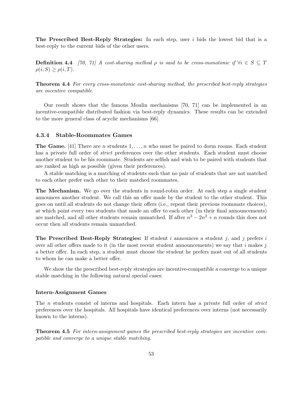The Prescribed Best-Reply Strategies: In each step, user  $i$  bids the lowest bid that is a best-reply to the current bids of the other users.

**Definition 4.4** [70, 71] A cost-sharing method  $\rho$  is said to be cross-monotonic if  $\forall i \in S \subseteq T$  $\rho(i, S) \geq \rho(i, T)$ .

Theorem 4.4 For every cross-monotonic cost-sharing method, the prescribed best-reply strategies are incentive compatible.

Our result shows that the famous Moulin mechanisms [70, 71] can be implemented in an incentive-compatible distributed fashion via best-reply dynamics. These results can be extended to the more general class of acyclic mechanisms [66].

## 4.3.4 Stable-Roommates Games

**The Game.** [41] There are n students  $1, \ldots, n$  who must be paired to dorm rooms. Each student has a private full order of *strict* preferences over the other students. Each student must choose another student to be his roommate. Students are selfish and wish to be paired with students that are ranked as high as possible (given their preferences).

A stable matching is a matching of students such that no pair of students that are not matched to each other prefer each other to their matched roommates.

The Mechanism. We go over the students in round-robin order. At each step a single student announces another student. We call this an offer made by the student to the other student. This goes on until all students do not change their offers (i.e., repeat their previous roommate choices), at which point every two students that made an offer to each other (in their final announcements) are matched, and all other students remain unmatched. If after  $n^3 - 2n^2 + n$  rounds this does not occur then all students remain unmatched.

The Prescribed Best-Reply Strategies: If student i announces a student j, and j prefers i over all other offers made to it (in the most recent student announcements) we say that  $i$  makes  $j$ a better offer. In each step, a student must choose the student he prefers most out of all students to whom he can make a better offer.

We show the the prescribed best-reply strategies are incentive-compatible a converge to a unique stable matching in the following natural special cases:

#### Intern-Assignment Games

The *n* students consist of interns and hospitals. Each intern has a private full order of *strict* preferences over the hospitals. All hospitals have identical preferences over interns (not necessarily known to the interns).

Theorem 4.5 For intern-assignment games the prescribed best-reply strategies are incentive compatible and converge to a unique stable matching.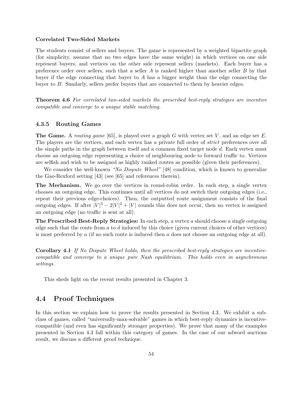#### Correlated Two-Sided Markets

The students consist of sellers and buyers. The game is represented by a weighted bipartite graph (for simplicity, assume that no two edges have the same weight) in which vertices on one side represent buyers, and vertices on the other side represent sellers (markets). Each buyer has a preference order over sellers, such that a seller  $A$  is ranked higher than another seller  $B$  by that buyer if the edge connecting that buyer to A has a bigger weight than the edge connecting the buyer to B. Similarly, sellers prefer buyers that are connected to them by heavier edges.

Theorem 4.6 For correlated two-sided markets the prescribed best-reply strategies are incentive compatible and converge to a unique stable matching.

#### 4.3.5 Routing Games

**The Game.** A routing game [65], is played over a graph G with vertex set V, and an edge set E. The players are the vertices, and each vertex has a private full order of *strict* preferences over all the simple paths in the graph between itself and a common fixed target node d. Each vertex must choose an outgoing edge representing a choice of neighbouring node to forward traffic to. Vertices are selfish and wish to be assigned as highly ranked routes as possible (given their preferences).

We consider the well-known "No Dispute Wheel" [48] condition, which is known to generalize the Gao-Rexford setting [43] (see [65] and references therein).

The Mechanism. We go over the vertices in round-robin order. In each step, a single vertex chooses an outgoing edge. This continues until all vertices do not switch their outgoing edges (i.e., repeat their previous edge-choices). Then, the outputted route assignment consists of the final outgoing edges. If after  $|V|^3 - 2|V|^2 + |V|$  rounds this does not occur, then no vertex is assigned an outgoing edge (no traffic is sent at all).

**The Prescribed Best-Reply Strategies:** In each step, a vertex a should choose a single outgoing edge such that the route from  $a$  to  $d$  induced by this choice (given current choices of other vertices) is most preferred by  $a$  (if no such route is induced then  $a$  does not choose an outgoing edge at all).

Corollary 4.1 If No Dispute Wheel holds, then the prescribed best-reply strategies are incentivecompatible and converge to a unique pure Nash equilibrium. This holds even in asynchronous settings.

This sheds light on the recent results presented in Chapter 3.

## 4.4 Proof Techniques

In this section we explain how to prove the results presented in Section 4.3. We exhibit a subclass of games, called "universally-max-solvable" games in which best-reply dynamics is incentivecompatible (and even has significantly stronger properties). We prove that many of the examples presented in Section 4.3 fall within this category of games. In the case of our adword auctions result, we discuss a different proof technique.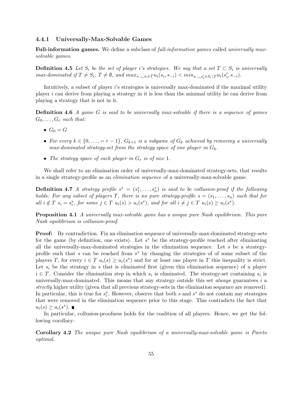#### 4.4.1 Universally-Max-Solvable Games

Full-information games. We define a subclass of full-information games called universally maxsolvable games.

**Definition 4.5** Let  $S_i$  be the set of player i's strategies. We say that a set  $T \subset S_i$  is universally  $max\text{-}dominated\ if\ T \neq S_i,\ T \neq \emptyset,\ and\ max_{s_{-i},s_i \in T} u_i(s_i, s_{-i}) < min_{s_{-i},s_i' \in S_i \setminus T} u_i(s_i', s_{-i}).$ 

Intuitively, a subset of player i's strategies is universally max-dominated if the maximal utility player  $i$  can derive from playing a strategy in it is less than the minimal utility he can derive from playing a strategy that is not in it.

**Definition 4.6** A game  $G$  is said to be universally max-solvable if there is a sequence of games  $G_0, \ldots, G_r$  such that:

- $G_0 = G$
- For every  $k \in \{0, \ldots, = r 1\}$ ,  $G_{k+1}$  is a subgame of  $G_k$  achieved by removing a universally max-dominated strategy-set from the strategy space of one player in  $G_k$ .
- The strategy space of each player in  $G_r$  is of size 1.

We shall refer to an elimination order of universally-max-dominated strategy-sets, that results in a single strategy-profile as an elimination sequence of a universally-max-solvable game.

**Definition 4.7** A strategy profile  $s^* = (s_1^*, \ldots, s_n^*)$  is said to be collusion-proof if the following holds: For any subset of players T, there is no pure strategy-profile  $s = (s_1, \ldots, s_n)$  such that for all  $i \notin T$   $s_i = s_i^*$ , for some  $j \in T$   $u_i(s) > u_i(s^*)$ , and for all  $i \neq j \in T$   $u_i(s) \geq u_i(s^*)$ .

Proposition 4.1 A universally max-solvable game has a unique pure Nash equilibrium. This pure Nash equilibrium is collusion-proof.

Proof: By contradiction. Fix an elimination sequence of universally-max-dominated strategy-sets for the game (by definition, one exists). Let  $s^*$  be the strategy-profile reached after eliminating all the universally-max-dominated strategies in the elimination sequence. Let  $s$  be a strategyprofile such that s can be reached from  $s^*$  by changing the strategies of of some subset of the players T, for every  $i \in T$   $u_i(s) \geq u_i(s^*)$  and for at least one player in T this inequality is strict. Let  $s_i$  be the strategy in s that is eliminated first (given this elimination sequence) of a player  $i \in T$ . Consider the elimination step in which  $s_i$  is eliminated. The strategy-set containing  $s_i$  is universally-max-dominated. This means that any strategy outside this set *always* guarantees  $i$  a strictly higher utility (given that all previous strategy-sets in the elimination sequence are removed). In particular, this is true for  $s_i^*$ . However, observe that both s and s<sup>\*</sup> do not contain any strategies that were removed in the elimination sequence prior to this stage. This contradicts the fact that  $u_i(s) \ge u_i(s^*).$ 

In particular, collusion-proofness holds for the coalition of all players. Hence, we get the following corollary:

Corollary 4.2 The unique pure Nash equilibrium of a universally-max-solvable game is Pareto optimal.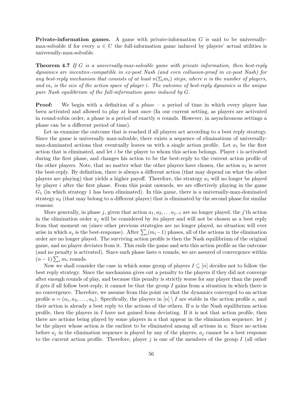**Private-information games.** A game with private-information  $G$  is said to be universallymax-solvable if for every  $u \in U$  the full-information game induced by players' actual utilities is universally-max-solvable.

**Theorem 4.7** If G is a universally-max-solvable game with private information, then best-reply dynamics are incentive-compatible in ex-post Nash (and even collusion-proof in ex-post Nash) for any best-reply mechanism that consists of at least  $n(\Sigma_i m_i)$  steps, where n is the number of players, and  $m_i$  is the size of the action space of player i. The outcome of best-reply dynamics is the unique pure Nash equilibrium of the full-information game induced by G.

**Proof:** We begin with a definition of a *phase* – a period of time in which every player has been activated and allowed to play at least once (In our current setting, as players are activated in round-robin order, a phase is a period of exactly  $n$  rounds. However, in asynchronous settings a phase can be a different period of time).

Let us examine the outcome that is reached if all players act according to a best reply strategy. Since the game is universally max-solvable, there exists a sequence of eliminations of universallymax-dominated actions that eventually leaves us with a single action profile. Let  $a_1$  be the first action that is eliminated, and let  $i$  be the player to whom this action belongs. Player  $i$  is activated during the first phase, and changes his action to be the best-reply to the current action profile of the other players. Note, that no matter what the other players have chosen, the action  $a_1$  is never the best-reply. By definition, there is always a different action (that may depend on what the other players are playing) that yields a higher payoff. Therefore, the strategy  $a_1$  will no longer be played by player i after the first phase. From this point onwards, we are effectively playing in the game  $G_1$  (in which strategy 1 has been eliminated). In this game, there is a universally-max-dominated strategy  $a_2$  (that may belong to a different player) that is eliminated by the second phase for similar reasons.

More generally, in phase j, given that action  $a_1, a_2, \ldots a_{j-1}$  are no longer played, the j'th action in the elimination order  $a_i$  will be considered by its player and will not be chosen as a best reply from that moment on (since other previous strategies are no longer played, no situation will ever arise in which  $a_j$  is the best-response). After  $\sum_i (m_i-1)$  phases, all of the actions in the elimination arise in which  $a_j$  is the best-response). After  $\sum_i (m_i-1)$  phases, all of the actions in the elimination order are no longer played. The surviving action profile is then the Nash equilibrium of the original game, and no player deviates from it. This ends the game and sets this action profile as the outcome (and no penalty is activated). Since each phase lasts  $n$  rounds, we are assured of convergence within (and no penatty is action)<br> $(n-1)\sum_i m_i$  rounds.

Now we shall consider the case in which some group of players  $I \subseteq [n]$  decides not to follow the best reply strategy. Since the mechanism gives out a penalty to the players if they did not converge after enough rounds of play, and because this penalty is strictly worse for any player than the payoff if gets if all follow best-reply, it cannot be that the group  $I$  gains from a situation in which there is no convergence. Therefore, we assume from this point on that the dynamics converged to an action profile  $a = (a_1, a_2, \ldots, a_n)$ . Specifically, the players in  $[n] \setminus I$  are stable in the action profile a, and their action is already a best reply to the actions of the others. If  $a$  is the Nash equilibrium action profile, then the players in  $I$  have not gained from deviating. If it is not that action profile, then there are actions being played by some players in  $\alpha$  that appear in the elimination sequence. Let  $\dot{\gamma}$ be the player whose action is the earliest to be eliminated among all actions in a. Since no action before  $a_i$  in the elimination sequence is played by any of the players,  $a_i$  cannot be a best response to the current action profile. Therefore, player j is one of the members of the group I (all other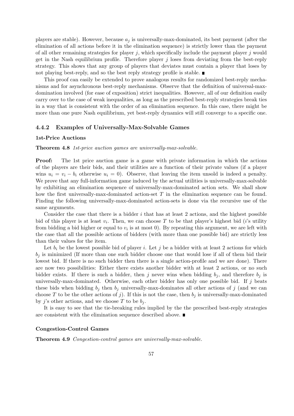players are stable). However, because  $a_j$  is universally-max-dominated, its best payment (after the elimination of all actions before it in the elimination sequence) is strictly lower than the payment of all other remaining strategies for player  $j$ , which specifically include the payment player  $j$  would get in the Nash equilibrium profile. Therefore player  $j$  loses from deviating from the best-reply strategy. This shows that any group of players that deviates must contain a player that loses by not playing best-reply, and so the best reply strategy profile is stable.  $\blacksquare$ 

This proof can easily be extended to prove analogous results for randomized best-reply mechanisms and for asynchronous best-reply mechanisms. Observe that the definition of universal-maxdomination involved (for ease of exposition) strict inequalities. However, all of our definition easily carry over to the case of weak inequalities, as long as the prescribed best-reply strategies break ties in a way that is consistent with the order of an elimination sequence. In this case, there might be more than one pure Nash equilibrium, yet best-reply dynamics will still converge to a specific one.

#### 4.4.2 Examples of Universally-Max-Solvable Games

#### 1st-Price Auctions

Theorem 4.8 1st-price auction games are universally-max-solvable.

Proof: The 1st price auction game is a game with private information in which the actions of the players are their bids, and their utilities are a function of their private values (if a player wins  $u_i = v_i - b_i$  otherwise  $u_i = 0$ . Observe, that leaving the item unsold is indeed a penalty. We prove that any full-information game induced by the actual utilities is universally-max-solvable by exhibiting an elimination sequence of universally-max-dominated action sets. We shall show how the first universally-max-dominated action-set T in the elimination sequence can be found. Finding the following universally-max-dominated action-sets is done via the recursive use of the same arguments.

Consider the case that there is a bidder  $i$  that has at least 2 actions, and the highest possible bid of this player is at least  $v_i$ . Then, we can choose T to be that player's highest bid (*i*'s utility from bidding a bid higher or equal to  $v_i$  is at most 0). By repeating this argument, we are left with the case that all the possible actions of bidders (with more than one possible bid) are strictly less than their values for the item.

Let  $b_i$  be the lowest possible bid of player i. Let j be a bidder with at least 2 actions for which  $b_j$  is minimized (If more than one such bidder choose one that would lose if all of them bid their lowest bid. If there is no such bidder then there is a single action-profile and we are done). There are now two possibilities: Either there exists another bidder with at least 2 actions, or no such bidder exists. If there is such a bidder, then j never wins when bidding  $b_i$ , and therefore  $b_i$  is universally-max-dominated. Otherwise, each other bidder has only one possible bid. If  $j$  beats these bids when bidding  $b_j$  then  $b_j$  universally-max-dominates all other actions of j (and we can choose T to be the other actions of j). If this is not the case, then  $b_j$  is universally-max-dominated by j's other actions, and we choose T to be  $b_i$ .

It is easy to see that the tie-breaking rules implied by the the prescribed best-reply strategies are consistent with the elimination sequence described above.

#### Congestion-Control Games

Theorem 4.9 Congestion-control games are universally-max-solvable.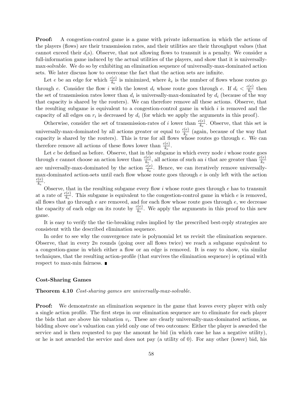Proof: A congestion-control game is a game with private information in which the actions of the players (flows) are their transmission rates, and their utilities are their throughput values (that cannot exceed their  $d_i$ s). Observe, that not allowing flows to transmit is a penalty. We consider a full-information game induced by the actual utilities of the players, and show that it is universallymax-solvable. We do so by exhibiting an elimination sequence of universally-max-dominated action sets. We later discuss how to overcome the fact that the action sets are infinite.

Let e be an edge for which  $\frac{c(e)}{k_e}$  is minimized, where  $k_e$  is the number of flows whose routes go through e. Consider the flow i with the lowest  $d_i$  whose route goes through e. If  $d_i < \frac{c(e)}{k_e}$  $\frac{e(e)}{k_e}$  then the set of transmission rates lower than  $d_i$  is universally-max-dominated by  $d_i$  (because of the way that capacity is shared by the routers). We can therefore remove all these actions. Observe, that the resulting subgame is equivalent to a congestion-control game in which  $i$  is removed and the capacity of all edges on  $r_i$  is decreased by  $d_i$  (for which we apply the arguments in this proof).

Otherwise, consider the set of transmission-rates of i lower than  $\frac{c(e)}{k_e}$ . Observe, that this set is universally-max-dominated by all actions greater or equal to  $\frac{c(e)}{k_e}$  (again, because of the way that capacity is shared by the routers). This is true for all flows whose routes go through  $e$ . We can therefore remove all actions of these flows lower than  $\frac{c(e)}{k_e}$ .

Let  $e$  be defined as before. Observe, that in the subgame in which every node  $i$  whose route goes through e cannot choose an action lower than  $\frac{c(e)}{k_e}$ , all actions of such an i that are greater than  $\frac{c(e)}{k_e}$  are universally-<br>are universally-max-dominated by the action  $\frac{c(e)}{k_e}$ . Hence, we can iteratively r max-dominated action-sets until each flow whose route goes through  $e$  is only left with the action  $c(e)$  $\frac{k(e)}{k_e}$  .

Observe, that in the resulting subgame every flow  $i$  whose route goes through  $e$  has to transmit at a rate of  $\frac{c(e)}{k_e}$ . This subgame is equivalent to the congestion-control game in which e is removed, all flows that go through  $e$  are removed, and for each flow whose route goes through  $e$ , we decrease the capacity of each edge on its route by  $\frac{c(e)}{k_e}$ . We apply the arguments in this proof to this new game.

It is easy to verify the the tie-breaking rules implied by the prescribed best-reply strategies are consistent with the described elimination sequence.

In order to see why the convergence rate is polynomial let us revisit the elimination sequence. Observe, that in every  $2n$  rounds (going over all flows twice) we reach a subgame equivalent to a congestion-game in which either a flow or an edge is removed. It is easy to show, via similar techniques, that the resulting action-profile (that survives the elimination sequence) is optimal with respect to max-min fairness.

#### Cost-Sharing Games

#### Theorem 4.10 Cost-sharing games are universally-max-solvable.

**Proof:** We demonstrate an elimination sequence in the game that leaves every player with only a single action profile. The first steps in our elimination sequence are to eliminate for each player the bids that are above his valuation  $v_i$ . These are clearly universally-max-dominated actions, as bidding above one's valuation can yield only one of two outcomes: Either the player is awarded the service and is then requested to pay the amount he bid (in which case he has a negative utility), or he is not awarded the service and does not pay (a utility of 0). For any other (lower) bid, his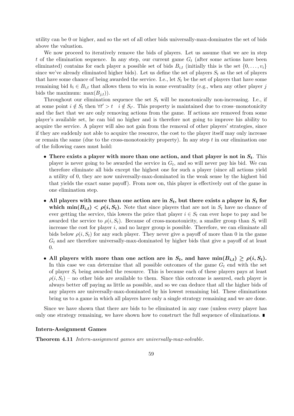utility can be 0 or higher, and so the set of all other bids universally-max-dominates the set of bids above the valuation.

We now proceed to iteratively remove the bids of players. Let us assume that we are in step t of the elimination sequence. In any step, our current game  $G_t$  (after some actions have been eliminated) contains for each player a possible set of bids  $B_{i,t}$  (initially this is the set  $\{0,\ldots,v_i\}$ since we've already eliminated higher bids). Let us define the set of players  $S_t$  as the set of players that have some chance of being awarded the service. I.e., let  $S_t$  be the set of players that have some remaining bid  $b_i \in B_{i,t}$  that allows them to win in some eventuality (e.g., when any other player j bids the maximum:  $max(B_{j,t})$ ).

Throughout our elimination sequence the set  $S_t$  will be monotonically non-increasing. I.e., if at some point  $i \notin S_t$  then  $\forall t' > t \quad i \notin S_{t'}$ . This property is maintained due to cross–monotonicity and the fact that we are only removing actions from the game. If actions are removed from some player's available set, he can bid no higher and is therefore not going to improve his ability to acquire the service. A player will also not gain from the removal of other players' strategies, since if they are suddenly not able to acquire the resource, the cost to the player itself may only increase or remain the same (due to the cross-monotonicity property). In any step  $t$  in our elimination one of the following cases must hold:

- There exists a player with more than one action, and that player is not in  $S_t$ . This player is never going to be awarded the service in  $G_t$ , and so will never pay his bid. We can therefore eliminate all bids except the highest one for such a player (since all actions yield a utility of 0, they are now universally-max-dominated in the weak sense by the highest bid that yields the exact same payoff). From now on, this player is effectively out of the game in one elimination step.
- All players with more than one action are in  $S_t$ , but there exists a player in  $S_t$  for which  $\min(B_{i,t}) < \rho(i, S_t)$ . Note that since players that are not in  $S_t$  have no chance of ever getting the service, this lowers the price that player  $i \in S_t$  can ever hope to pay and be awarded the service to  $\rho(i, S_t)$ . Because of cross-monotonicity, a smaller group than  $S_t$  will increase the cost for player  $i$ , and no larger group is possible. Therefore, we can eliminate all bids below  $\rho(i, S_t)$  for any such player. They never give a payoff of more than 0 in the game  $G_t$  and are therefore universally-max-dominated by higher bids that give a payoff of at least 0.
- All players with more than one action are in  $S_t$ , and have  $min(B_{i,t}) \geq \rho(i, S_t)$ . In this case we can determine that all possible outcomes of the game  $G_t$  end with the set of player  $S_t$  being awarded the resource. This is because each of these players pays at least  $\rho(i, S_t)$  – no other bids are available to them. Since this outcome is assured, each player is always better off paying as little as possible, and so we can deduce that all the higher bids of any players are universally-max-dominated by his lowest remaining bid. These eliminations bring us to a game in which all players have only a single strategy remaining and we are done.

Since we have shown that there are bids to be eliminated in any case (unless every player has only one strategy remaining, we have shown how to construct the full sequence of eliminations.

#### Intern-Assignment Games

Theorem 4.11 Intern-assignment games are universally-max-solvable.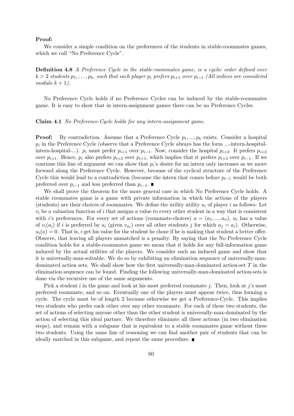#### Proof:

We consider a simple condition on the preferences of the students in stable-roommates games, which we call "No Preference Cycle".

Definition 4.8 A Preference Cycle in the stable-roommates game, is a cyclic order defined over  $k > 2$  students  $p_1, \ldots, p_k$ , such that each player  $p_i$  prefers  $p_{i+1}$  over  $p_{i-1}$  (All indices are considered modulo  $k + 1$ ).

No Preference Cycle holds if no Preference Cycles can be induced by the stable-roommates game. It is easy to show that in intern-assignment games there can be no Preference Cycles.

Claim 4.1 No Preference-Cycle holds for any intern-assignment game.

**Proof:** By contradiction. Assume that a Preference Cycle  $p_1, ..., p_k$  exists. Consider a hospital  $p_i$  in the Preference Cycle (observe that a Preference Cycle always has the form ...-intern-hospitalintern-hospital-...).  $p_i$  must prefer  $p_{i+1}$  over  $p_{i-1}$ . Now, consider the hospital  $p_{i+2}$ . It prefers  $p_{i+3}$ over  $p_{i+1}$ . Hence,  $p_i$  also prefers  $p_{i+3}$  over  $p_{i+1}$ , which implies that it prefers  $p_{i+3}$  over  $p_{i-1}$ . If we continue this line of argument we can show that  $p_i$ 's desire for an intern only increases as we move forward along the Preference Cycle. However, because of the cyclical structure of the Preference Cycle this would lead to a contradiction (because the intern that comes before  $p_{i-1}$  would be both preferred over  $p_{i-1}$  and less preferred than  $p_{i-1}$ .

We shall prove the theorem for the more general case in which No Preference Cycle holds. A stable roommates game is a game with private information in which the actions of the players (students) are their choices of roommates. We define the utility utility  $u_i$  of player i as follows: Let  $v_i$  be a valuation function of i that assigns a value to every other student in a way that is consistent with i's preferences. For every set of actions (roommate-choices)  $a = (a_1, ..., a_n)$ ,  $u_i$  has a value of  $v_i(a_i)$  if i is preferred by  $a_i$  (given  $v_{a_i}$ ) over all other students j for which  $a_j = a_i$ ). Otherwise,  $u_i(a) = 0$ . That is, i get his value for the student he chose if he is making that student a better offer. Observe, that leaving all players unmatched is a penalty. By saying that the No Preference Cycle condition holds for a stable-roommates game we mean that it holds for any full-information game induced by the actual utilities of the players. We consider such an induced game and show that it is universally-max-solvable. We do so by exhibiting an elimination sequence of universally-maxdominated action sets. We shall show how the first universally-max-dominated action-set  $T$  in the elimination sequence can be found. Finding the following universally-max-dominated action-sets is done via the recursive use of the same arguments.

Pick a student i in the game and look at his most preferred roommate j. Then, look at j's most preferred roommate, and so on. Eventually one of the players must appear twice, thus forming a cycle. The cycle must be of length 2 because otherwise we get a Preference-Cycle. This implies two students who prefer each other over any other roommate. For each of these two students, the set of actions of selecting anyone other than the other student is universally-max-dominated by the action of selecting this ideal partner. We therefore eliminate all these actions (in two elimination steps), and remain with a subgame that is equivalent to a stable roommates game without these two students. Using the same line of reasoning we can find another pair of students that can be ideally matched in this subgame, and repeat the same procedure.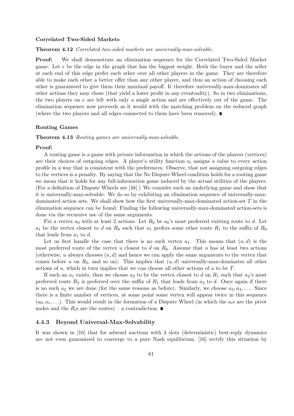#### Correlated Two-Sided Markets

Theorem 4.12 Correlated two-sided markets are universally-max-solvable.

Proof: We shall demonstrate an elimination sequence for the Correlated Two-Sided Market game. Let  $e$  be the edge in the graph that has the biggest weight. Both the buyer and the seller at each end of this edge prefer each other over all other players in the game. They are therefore able to make each other a better offer than any other player, and thus an action of choosing each other is guaranteed to give them their maximal payoff. It therefore universally-max-dominates all other actions they may chose (that yield a lower profit in any eventuality). So in two eliminations, the two players on  $e$  are left with only a single action and are effectively out of the game. The elimination sequence now proceeds as it would with the matching problem on the reduced graph (where the two players and all edges connected to them have been removed).  $\blacksquare$ 

#### Routing Games

Theorem 4.13 Routing games are universally-max-solvable.

#### Proof:

A routing game is a game with private information in which the actions of the players (vertices) are their choices of outgoing edges. A player's utility function  $u_i$  assigns a value to every action profile in a way that is consistent with the preferences. Observe, that not assigning outgoing edges to the vertices is a penalty. By saying that the No Dispute Wheel condition holds for a routing game we mean that it holds for any full-information game induced by the actual utilities of the players. (For a definition of Dispute Wheels see [48].) We consider such an underlying game and show that it is universally-max-solvable. We do so by exhibiting an elimination sequence of universally-maxdominated action sets. We shall show how the first universally-max-dominated action-set  $T$  in the elimination sequence can be found. Finding the following universally-max-dominated action-sets is done via the recursive use of the same arguments.

Fix a vertex  $a_0$  with at least 2 actions. Let  $R_0$  be  $a_0$ 's most preferred existing route to d. Let  $a_1$  be the vertex closest to d on  $R_0$  such that  $u_1$  prefers some other route  $R_1$  to the suffix of  $R_0$ that leads from  $a_1$  to d.

Let us first handle the case that there is no such vertex  $a_1$ . This means that  $(u, d)$  is the most preferred route of the vertex u closest to d on  $R_0$ . Assume that u has at least two actions (otherwise, u always chooses  $(u, d)$  and hence we can apply the same arguments to the vertex that comes before u on  $R_0$ , and so on). This implies that  $(u, d)$  universally-max-dominates all other actions of u, which in turn implies that we can choose all other actions of u to be  $T$ .

If such an  $a_1$  exists, then we choose  $a_2$  to be the vertex closest to d on  $R_1$  such that  $a_2$ 's most preferred route  $R_2$  is preferred over the suffix of  $R_1$  that leads from  $a_2$  to d. Once again if there is no such  $a_2$  we are done (for the same reasons as before). Similarly, we choose  $a_3, a_4, \ldots$  Since there is a finite number of vertices, at some point some vertex will appear twice in this sequence  $(a_0, a_1, \ldots)$ . This would result in the formation of a Dispute Wheel (in which the  $a_i$ s are the pivot nodes and the  $R_i$ s are the routes) – a contradiction.

#### 4.4.3 Beyond Universal-Max-Solvability

It was shown in [16] that for adword auctions with 3 slots (deterministic) best-reply dynamics are not even guaranteed to converge to a pure Nash equilibrium. [16] rectify this situation by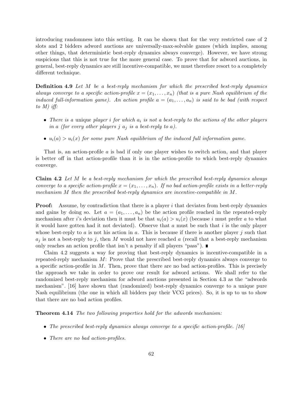introducing randomness into this setting. It can be shown that for the very restricted case of 2 slots and 2 bidders adword auctions are universally-max-solvable games (which implies, among other things, that deterministic best-reply dynamics always converge). However, we have strong suspicions that this is not true for the more general case. To prove that for adword auctions, in general, best-reply dynamics are still incentive-compatible, we must therefore resort to a completely different technique.

**Definition 4.9** Let M be a best-reply mechanism for which the prescribed best-reply dynamics always converge to a specific action-profile  $x = (x_1, \ldots, x_n)$  (that is a pure Nash equilibrium of the induced full-information game). An action profile  $a = (a_1, \ldots, a_n)$  is said to be bad (with respect to  $M$ ) iff:

- There is a unique player i for which  $a_i$  is not a best-reply to the actions of the other players in a (for every other players j  $a_j$  is a best-reply to a).
- $u_i(a) > u_i(x)$  for some pure Nash equilibrium of the induced full information game.

That is, an action-profile a is bad if only one player wishes to switch action, and that player is better off in that action-profile than it is in the action-profile to which best-reply dynamics converge.

Claim 4.2 Let M be a best-reply mechanism for which the prescribed best-reply dynamics always converge to a specific action-profile  $x = (x_1, \ldots, x_n)$ . If no bad action-profile exists in a better-reply mechanism M then the prescribed best-reply dynamics are incentive-compatible in M.

**Proof:** Assume, by contradiction that there is a player i that deviates from best-reply dynamics and gains by doing so. Let  $a = (a_1, \ldots, a_n)$  be the action profile reached in the repeated-reply mechanism after i's deviation then it must be that  $u_i(a) > u_i(x)$  (because i must prefer a to what it would have gotten had it not deviated). Observe that a must be such that i is the only player whose best-reply to a is not his action in a. This is because if there is another player j such that  $a_j$  is not a best-reply to j, then M would not have reached a (recall that a best-reply mechanism only reaches an action profile that isn't a penalty if all players "pass").  $\blacksquare$ 

Claim 4.2 suggests a way for proving that best-reply dynamics is incentive-compatible in a repeated-reply mechanism M: Prove that the prescribed best-reply dynamics always converge to a specific action-profile in  $M$ . Then, prove that there are no bad action-profiles. This is precisely the approach we take in order to prove our result for adword actions. We shall refer to the randomized best-reply mechanism for adword auctions presented in Section 4.3 as the "adwords mechanism". [16] have shown that (randomized) best-reply dynamics converge to a unique pure Nash equilibrium (the one in which all bidders pay their VCG prices). So, it is up to us to show that there are no bad action profiles.

Theorem 4.14 The two following properties hold for the adwords mechanism:

- The prescribed best-reply dynamics always converge to a specific action-profile.  $[16]$
- There are no bad action-profiles.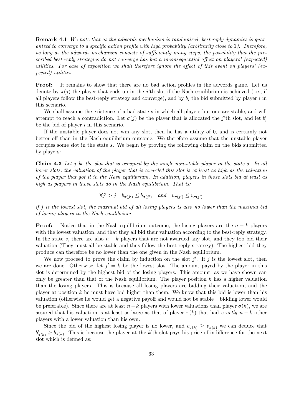Remark 4.1 We note that as the adwords mechanism is randomized, best-reply dynamics is guaranteed to converge to a specific action profile with high probability (arbitrarily close to 1). Therefore, as long as the adwords mechanism consists of sufficiently many steps, the possibility that the prescribed best-reply strategies do not converge has but a inconsequential affect on players' (expected) utilities. For ease of exposition we shall therefore ignore the effect of this event on players' (expected) utilities.

Proof: It remains to show that there are no bad action profiles in the adwords game. Let us denote by  $\pi(j)$  the player that ends up in the j'th slot if the Nash equilibrium is achieved (i.e., if all players follow the best-reply strategy and converge), and by  $b_i$  the bid submitted by player i in this scenario.

We shall assume the existence of a bad state s in which all players but one are stable, and will attempt to reach a contradiction. Let  $\sigma(j)$  be the player that is allocated the j'th slot, and let  $b'_i$ be the bid of player  $i$  in this scenario.

If the unstable player does not win any slot, then he has a utility of 0, and is certainly not better off than in the Nash equilibrium outcome. We therefore assume that the unstable player occupies some slot in the state s. We begin by proving the following claim on the bids submitted by players:

**Claim 4.3** Let j be the slot that is occupied by the single non-stable player in the state s. In all lower slots, the valuation of the player that is awarded this slot is at least as high as the valuation of the player that got it in the Nash equilibrium. In addition, players in those slots bid at least as high as players in those slots do in the Nash equilibrium. That is:

$$
\forall j' > j \quad b_{\pi(j')} \le b_{\sigma(j')} \quad and \quad v_{\pi(j')} \le v_{\sigma(j')}
$$

if j is the lowest slot, the maximal bid of all losing players is also no lower than the maximal bid of losing players in the Nash equilibrium.

**Proof:** Notice that in the Nash equilibrium outcome, the losing players are the  $n - k$  players with the lowest valuation, and that they all bid their valuation according to the best-reply strategy. In the state s, there are also  $n - k$  players that are not awarded any slot, and they too bid their valuation (They must all be stable and thus follow the best-reply strategy). The highest bid they produce can therefore be no lower than the one given in the Nash equilibrium.

We now proceed to prove the claim by induction on the slot  $j'$ . If j is the lowest slot, then we are done. Otherwise, let  $j' = k$  be the lowest slot. The amount payed by the player in this slot is determined by the highest bid of the losing players. This amount, as we have shown can only be greater than that of the Nash equilibrium. The player position  $k$  has a higher valuation than the losing players. This is because all losing players are bidding their valuation, and the player at position  $k$  he must have bid higher than them. We know that this bid is lower than his valuation (otherwise he would get a negative payoff and would not be stable – bidding lower would be preferable). Since there are at least  $n-k$  players with lower valuations than player  $\sigma(k)$ , we are assured that his valuation is at least as large as that of player  $\pi(k)$  that had exactly  $n - k$  other players with a lower valuation than his own.

Since the bid of the highest losing player is no lower, and  $v_{\sigma(k)} \ge v_{\pi(k)}$  we can deduce that  $b'_{\sigma(k)} \ge b_{\pi(k)}$ . This is because the player at the k'th slot pays his price of indifference for the next slot which is defined as: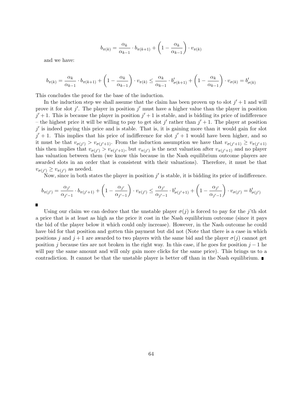$$
b_{\pi(k)} = \frac{\alpha_k}{\alpha_{k-1}} \cdot b_{\pi(k+1)} + \left(1 - \frac{\alpha_k}{\alpha_{k-1}}\right) \cdot v_{\pi(k)}
$$

and we have:

$$
b_{\pi(k)} = \frac{\alpha_k}{\alpha_{k-1}} \cdot b_{\pi(k+1)} + \left(1 - \frac{\alpha_k}{\alpha_{k-1}}\right) \cdot v_{\pi(k)} \le \frac{\alpha_k}{\alpha_{k-1}} \cdot b'_{\sigma(k+1)} + \left(1 - \frac{\alpha_k}{\alpha_{k-1}}\right) \cdot v_{\sigma(k)} = b'_{\sigma(k)}
$$

This concludes the proof for the base of the induction.

In the induction step we shall assume that the claim has been proven up to slot  $j' + 1$  and will prove it for slot j'. The player in position j' must have a higher value than the player in position  $j' + 1$ . This is because the player in position  $j' + 1$  is stable, and is bidding its price of indifference – the highest price it will be willing to pay to get slot  $j'$  rather than  $j' + 1$ . The player at position  $j'$  is indeed paying this price and is stable. That is, it is gaining more than it would gain for slot  $j' + 1$ . This implies that his price of indifference for slot  $j' + 1$  would have been higher, and so it must be that  $v_{\sigma(j')} > v_{\sigma(j'+1)}$ . From the induction assumption we have that  $v_{\sigma(j'+1)} \geq v_{\pi(j'+1)}$ this then implies that  $v_{\sigma(j')} > v_{\pi(j'+1)}$ , but  $v_{\pi(j')}$  is the next valuation after  $v_{\pi(j'+1)}$  and no player has valuation between them (we know this because in the Nash equilibrium outcome players are awarded slots in an order that is consistent with their valuations). Therefore, it must be that  $v_{\sigma(j')}\geq v_{\pi(j')}$  as needed.

Now, since in both states the player in position  $j'$  is stable, it is bidding its price of indifference.

$$
b_{\pi(j')} = \frac{\alpha_{j'}}{\alpha_{j'-1}} \cdot b_{\pi(j'+1)} + \left(1 - \frac{\alpha_{j'}}{\alpha_{j'-1}}\right) \cdot v_{\pi(j')} \le \frac{\alpha_{j'}}{\alpha_{j'-1}} \cdot b'_{\sigma(j'+1)} + \left(1 - \frac{\alpha_{j'}}{\alpha_{j'-1}}\right) \cdot v_{\sigma(j')} = b'_{\sigma(j')}
$$

П

Using our claim we can deduce that the unstable player  $\sigma(j)$  is forced to pay for the j'th slot a price that is at least as high as the price it cost in the Nash equilibrium outcome (since it pays the bid of the player below it which could only increase). However, in the Nash outcome he could have bid for that position and gotten this payment but did not (Note that there is a case in which positions j and  $j+1$  are awarded to two players with the same bid and the player  $\sigma(j)$  cannot get position j because ties are not broken in the right way. In this case, if he goes for position  $j-1$  he will pay the same amount and will only gain more clicks for the same price). This brings us to a contradiction. It cannot be that the unstable player is better off than in the Nash equilibrium.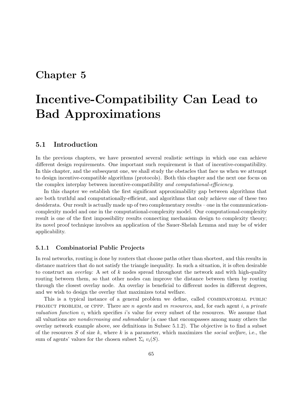## Chapter 5

# Incentive-Compatibility Can Lead to Bad Approximations

## 5.1 Introduction

In the previous chapters, we have presented several realistic settings in which one can achieve different design requirements. One important such requirement is that of incentive-compatibility. In this chapter, and the subsequent one, we shall study the obstacles that face us when we attempt to design incentive-compatible algorithms (protocols). Both this chapter and the next one focus on the complex interplay between incentive-compatibility and computational-efficiency.

In this chapter we establish the first significant approximability gap between algorithms that are both truthful and computationally-efficient, and algorithms that only achieve one of these two desiderata. Our result is actually made up of two complementary results – one in the communicationcomplexity model and one in the computational-complexity model. Our computational-complexity result is one of the first impossibility results connecting mechanism design to complexity theory; its novel proof technique involves an application of the Sauer-Shelah Lemma and may be of wider applicability.

#### 5.1.1 Combinatorial Public Projects

In real networks, routing is done by routers that choose paths other than shortest, and this results in distance matrices that do not satisfy the triangle inequality. In such a situation, it is often desirable to construct an *overlay*: A set of  $k$  nodes spread throughout the network and with high-quality routing between them, so that other nodes can improve the distance between them by routing through the closest overlay node. An overlay is beneficial to different nodes in different degrees, and we wish to design the overlay that maximizes total welfare.

This is a typical instance of a general problem we define, called COMBINATORIAL PUBLIC PROJECT PROBLEM, or CPPP. There are n agents and m resources, and, for each agent i, a private valuation function  $v_i$  which specifies is value for every subset of the resources. We assume that all valuations are nondecreasing and submodular (a case that encompasses among many others the overlay network example above, see definitions in Subsec 5.1.2). The objective is to find a subset of the resources  $S$  of size  $k$ , where  $k$  is a parameter, which maximizes the social welfare, i.e., the sum of agents' values for the chosen subset  $\Sigma_i v_i(S)$ .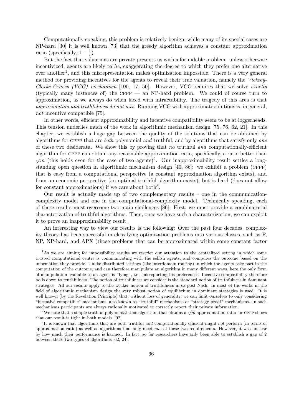Computationally speaking, this problem is relatively benign; while many of its special cases are NP-hard [30] it is well known [73] that the greedy algorithm achieves a constant approximation ratio (specifically,  $1-\frac{1}{e}$  $\frac{1}{e}$ .

But the fact that valuations are private presents us with a formidable problem: unless otherwise incentivized, agents are likely to lie, exaggerating the degree to which they prefer one alternative over another<sup>1</sup>, and this misrepresentation makes optimization impossible. There is a very general method for providing incentives for the agents to reveal their true valuation, namely the Vickrey-Clarke-Groves (VCG) mechanism [100, 17, 50]. However, VCG requires that we solve exactly (typically many instances of) the  $CPPP$  — an NP-hard problem. We could of course turn to approximation, as we always do when faced with intractability. The tragedy of this area is that approximation and truthfulness do not mix: Running VCG with approximate solutions is, in general, not incentive compatible [75].

In other words, efficient approximability and incentive compatibility seem to be at loggerheads. This tension underlies much of the work in algorithmic mechanism design [75, 76, 62, 21]. In this chapter, we establish a huge gap between the quality of the solutions that can be obtained by algorithms for CPPP that are *both* polynomial and truthful, and by algorithms that satisfy only one of these two desiderata. We show this by proving that no truthful and computationally-efficient algorithm for CPPP can obtain any reasonable approximation ratio, specifically, a ratio better than  $\overline{m}$  (this holds even for the case of two agents)<sup>2</sup>. Our inapproximability result settles a longstanding open question in algorithmic mechanism design [40, 86]: we exhibit a problem (cppp) that is easy from a computational perspective (a constant approximation algorithm exists), and from an economic perspective (an optimal truthful algorithm exists), but is hard (does not allow for constant approximations) if we care about both<sup>3</sup>.

Our result is actually made up of two complementary results – one in the communicationcomplexity model and one in the computational-complexity model. Technically speaking, each of these results must overcome two main challenges [86]: First, we must provide a combinatorial characterization of truthful algorithms. Then, once we have such a characterization, we can exploit it to prove an inapproximability result.

An interesting way to view our results is the following: Over the past four decades, complexity theory has been successful in classifying optimization problems into various classes, such as P, NP, NP-hard, and APX (those problems that can be approximated within some constant factor

<sup>&</sup>lt;sup>1</sup>As we are aiming for impossibility results we restrict our attention to the centralized setting in which some trusted computational centre is communicating with the selfish agents, and computes the outcome based on the information they provide. Unlike distributed settings (like interdomain routing) in which the agents take part in the computation of the outcome, and can therefore manipulate an algorithm in many different ways, here the only form of manipulation available to an agent is "lying", i.e., misreporting his preferences. Incentive-compatibility therefore boils down to truthfulness. The notion of truthfulness we consider is the standard notion of truthfulness in dominant strategies. All our results apply to the weaker notion of truthfulness in ex-post Nash. In most of the works in the field of algorithmic mechanism design the very robust notion of equilibrium in dominant strategies is used. It is well known (by the Revelation Principle) that, without loss of generality, we can limit ourselves to only considering "incentive compatible" mechanisms, also known as "truthful" mechanisms or "strategy-proof" mechanisms. In such mechanisms participants are always rationally motivated to correctly report their private information.

chainsins participants are always rationally motivated to correctly report their private information.<br><sup>2</sup>We note that a simple truthful polynomial-time algorithm that obtains a  $\sqrt{m}$  approximation ratio for CPPP shows that our result is tight in both models. [92]

 ${}^{3}$ It is known that algorithms that are both truthful *and* computationally-efficient might not perform (in terms of approximation ratio) as well as algorithms that only meet one of these two requirements. However, it was unclear by how much their performance is harmed. In fact, so far researchers have only been able to establish a gap of 2 between these two types of algorithms [62, 24].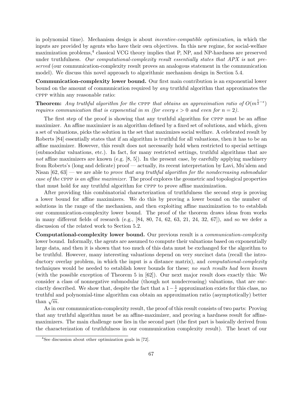in polynomial time). Mechanism design is about incentive-compatible optimization, in which the inputs are provided by agents who have their own objectives. In this new regime, for social-welfare maximization problems,<sup>4</sup> classical VCG theory implies that P, NP, and NP-hardness are preserved under truthfulness. Our computational-complexity result essentially states that APX is not preserved (our communication-complexity result proves an analogous statement in the communication model). We discuss this novel approach to algorithmic mechanism design in Section 5.4.

Communication-complexity lower bound. Our first main contribution is an exponential lower bound on the amount of communication required by any truthful algorithm that approximates the cppp within any reasonable ratio:

**Theorem:** Any truthful algorithm for the CPPP that obtains an approximation ratio of  $O(m^{\frac{1}{2}-\epsilon})$ requires communication that is exponential in m (for every  $\epsilon > 0$  and even for  $n = 2$ ).

The first step of the proof is showing that any truthful algorithm for CPPP must be an affine maximizer. An affine maximizer is an algorithm defined by a fixed set of solutions, and which, given a set of valuations, picks the solution in the set that maximizes social welfare. A celebrated result by Roberts [84] essentially states that if an algorithm is truthful for all valuations, then it has to be an affine maximizer. However, this result does not necessarily hold when restricted to special settings (submodular valuations, etc.). In fact, for many restricted settings, truthful algorithms that are not affine maximizers are known (e.g.  $[8, 5]$ ). In the present case, by carefully applying machinery from Roberts's (long and delicate) proof — actually, its recent interpretation by Lavi, Mu'alem and Nisan  $[62, 63]$  — we are able to prove that any truthful algorithm for the nondecreasing submodular case of the CPPP is an affine maximizer. The proof explores the geometric and topological properties that must hold for any truthful algorithm for cppp to prove affine maximization.

After providing this combinatorial characterization of truthfulness the second step is proving a lower bound for affine maximizers. We do this by proving a lower bound on the number of solutions in the range of the mechanism, and then exploiting affine maximization to to establish our communication-complexity lower bound. The proof of the theorem draws ideas from works in many different fields of research (e.g., [84, 80, 74, 62, 63, 21, 24, 32, 67]), and so we defer a discussion of the related work to Section 5.2.

Computational-complexity lower bound. Our previous result is a communication-complexity lower bound. Informally, the agents are assumed to compute their valuations based on exponentially large data, and then it is shown that too much of this data must be exchanged for the algorithm to be truthful. However, many interesting valuations depend on very succinct data (recall the introductory overlay problem, in which the input is a distance matrix), and *computational-complexity* techniques would be needed to establish lower bounds for these; no such results had been known (with the possible exception of Theorem 5 in [62]). Our next major result does exactly this: We consider a class of nonnegative submodular (though not nondecreasing) valuations, that are succinctly described. We show that, despite the fact that a  $1-\frac{1}{e}$  $\frac{1}{e}$  approximation exists for this class, no truthful and polynomial-time algorithm can obtain an approximation ratio (asymptotically) better than  $\sqrt{m}$ .

As in our communication-complexity result, the proof of this result consists of two parts: Proving that any truthful algorithm must be an affine-maximizer, and proving a hardness result for affinemaximizers. The main challenge now lies in the second part (the first part is basically derived from the characterization of truthfulness in our communication complexity result). The heart of our

<sup>&</sup>lt;sup>4</sup>See discussion about other optimization goals in [72].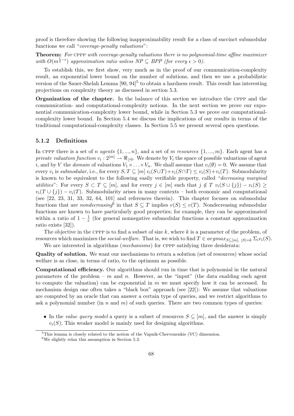proof is therefore showing the following inapproximability result for a class of succinct submodular functions we call "coverage-penalty valuations":

Theorem: For CPPP with coverage-penalty valuations there is no polynomial-time affine maximizer with  $O(m^{\frac{1}{2}-\epsilon})$  approximation ratio unless  $NP \subseteq BPP$  (for every  $\epsilon > 0$ ).

To establish this, we first show, very much as in the proof of our communication-complexity result, an exponential lower bound on the number of solutions, and then we use a probabilistic version of the Sauer-Shelah Lemma  $[90, 94]$ <sup>5</sup> to obtain a hardness result. This result has interesting projections on complexity theory as discussed in section 5.3.

Organization of the chapter. In the balance of this section we introduce the cppp and the communication- and computational-complexity notions. In the next section we prove our exponential communication-complexity lower bound, while in Section 5.3 we prove our computationalcomplexity lower bound. In Section 5.4 we discuss the implications of our results in terms of the traditional computational-complexity classes. In Section 5.5 we present several open questions.

#### 5.1.2 Definitions

In CPPP there is a set of n agents  $\{1, ..., n\}$ , and a set of m resources  $\{1, ..., m\}$ . Each agent has a private valuation function  $v_i: 2^{[m]} \to \Re_{\geq 0}$ . We denote by  $V_i$  the space of possible valuations of agent i, and by V the domain of valuations  $V_1 \times \ldots \times V_n$ . We shall assume that  $v_i(\emptyset) = 0$ . We assume that every  $v_i$  is submodular, i.e., for every  $S, T \subseteq [m]$   $v_i(S \cup T) + v_i(S \cap T) \le v_i(S) + v_i(T)$ . Submodularity is known to be equivalent to the following easily verifiable property, called "decreasing marginal utilities": For every  $S \subset T \subseteq [m]$ , and for every  $j \in [m]$  such that  $j \notin T$   $v_i(S \cup \{j\}) - v_i(S) \ge$  $v_i(T \cup \{j\}) - v_i(T)$ . Submodularity arises in many contexts – both economic and computational (see [22, 23, 31, 33, 32, 64, 101] and references therein). This chapter focuses on submodular functions that are *nondecreasing*<sup>6</sup> in that  $S \subseteq T$  implies  $v(S) \le v(T)$ . Nondecreasing submodular functions are known to have particularly good properties; for example, they can be approximated within a ratio of  $1-\frac{1}{e}$  $\frac{1}{e}$  (for general nonnegative submodular functions a constant approximation ratio exists [32]).

The objective in the CPPP is to find a subset of size  $k$ , where  $k$  is a parameter of the problem, of resources which maximizes the *social-welfare*. That is, we wish to find  $T \in argmax_{S \subseteq [m]} |S| = k \sum_i v_i(S)$ .

We are interested in algorithms (*mechanisms*) for CPPP satisfying three desiderata:

Quality of solution. We want our mechanisms to return a solution (set of resources) whose social welfare is as close, in terms of ratio, to the optimum as possible.

Computational efficiency. Our algorithms should run in time that is polynomial in the natural parameters of the problem – m and n. However, as the "input" (the data enabling each agent to compute the valuation) can be exponential in  $m$  we must specify how it can be accessed. In mechanism design one often takes a "black box" approach (see [22]): We assume that valuations are computed by an oracle that can answer a certain type of queries, and we restrict algorithms to ask a polynomial number (in n and m) of such queries. There are two common types of queries:

• In the value query model a query is a subset of resources  $S \subseteq [m]$ , and the answer is simply  $v_i(S)$ ; This weaker model is mainly used for designing algorithms.

<sup>5</sup>This lemma is closely related to the notion of the Vapnik-Chervonenkis (VC) dimension.

 ${}^{6}$ We slightly relax this assumption in Section 5.3.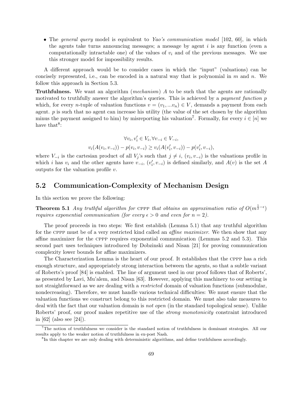• The general query model is equivalent to Yao's communication model [102, 60], in which the agents take turns announcing messages; a message by agent  $i$  is any function (even a computationally intractable one) of the values of  $v_i$  and of the previous messages. We use this stronger model for impossibility results.

A different approach would be to consider cases in which the "input" (valuations) can be concisely represented, i.e., can be encoded in a natural way that is polynomial in  $m$  and  $n$ . We follow this approach in Section 5.3.

Truthfulness. We want an algorithm (mechanism) A to be such that the agents are rationally motivated to truthfully answer the algorithm's queries. This is achieved by a *payment function* p which, for every *n*-tuple of valuation functions  $v = (v_1, ... v_n) \in V$ , demands a payment from each agent. p is such that no agent can increase his utility (the value of the set chosen by the algorithm minus the payment assigned to him) by misreporting his valuation<sup>7</sup>. Formally, for every  $i \in [n]$  we have that<sup>8</sup>:

$$
\forall v_i, v'_i \in V_i, \forall v_{-i} \in V_{-i},
$$
  

$$
v_i(A(v_i, v_{-i})) - p(v_i, v_{-i}) \ge v_i(A(v'_i, v_{-i})) - p(v'_i, v_{-i}),
$$

where  $V_{-i}$  is the cartesian product of all  $V_j$ 's such that  $j \neq i$ ,  $(v_i, v_{-i})$  is the valuations profile in which i has  $v_i$  and the other agents have  $v_{-i}$ ,  $(v'_i, v_{-i})$  is defined similarly, and  $A(v)$  is the set A outputs for the valuation profile  $v$ .

## 5.2 Communication-Complexity of Mechanism Design

In this section we prove the following:

**Theorem 5.1** Any truthful algorithm for CPPP that obtains an approximation ratio of  $O(m^{\frac{1}{2}-\epsilon})$ requires exponential communication (for every  $\epsilon > 0$  and even for  $n = 2$ ).

The proof proceeds in two steps: We first establish (Lemma 5.1) that any truthful algorithm for the CPPP must be of a very restricted kind called an *affine maximizer*. We then show that any affine maximizer for the cppp requires exponential communication (Lemmas 5.2 and 5.3). This second part uses techniques introduced by Dobzinski and Nisan [21] for proving communication complexity lower bounds for affine maximizers.

The Characterization Lemma is the heart of our proof. It establishes that the cppp has a rich enough structure, and appropriately strong interaction between the agents, so that a subtle variant of Roberts's proof [84] is enabled. The line of argument used in our proof follows that of Roberts', as presented by Lavi, Mu'alem, and Nisan [63]. However, applying this machinery to our setting is not straightforward as we are dealing with a *restricted* domain of valuation functions (submodular, nondecreasing). Therefore, we must handle various technical difficulties: We must ensure that the valuation functions we construct belong to this restricted domain. We must also take measures to deal with the fact that our valuation domain is not open (in the standard topological sense). Unlike Roberts' proof, our proof makes repetitive use of the *strong monotonicity* constraint introduced in [62] (also see [24]).

<sup>7</sup>The notion of truthfulness we consider is the standard notion of truthfulness in dominant strategies. All our results apply to the weaker notion of truthfulness in ex-post Nash.

<sup>&</sup>lt;sup>8</sup>In this chapter we are only dealing with deterministic algorithms, and define truthfulness accordingly.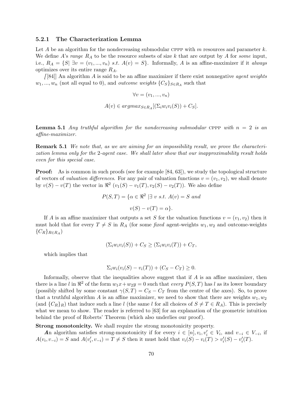#### 5.2.1 The Characterization Lemma

Let A be an algorithm for the nondecreasing submodular CPPP with  $m$  resources and parameter k. We define A's range  $R_A$  to be the resource subsets of size k that are output by A for some input, i.e.,  $R_A = \{S | \exists v = (v_1, ..., v_n) \text{ s.t. } A(v) = S \}.$  Informally, A is an affine-maximizer if it always optimizes over its entire range  $R_A$ .

 $[84]$  An algorithm A is said to be an affine maximizer if there exist nonnegative *agent weights*  $w_1, ..., w_n$  (not all equal to 0), and *outcome weights*  $\{C_S\}_{S\in R_A}$  such that

$$
\forall v = (v_1, ..., v_n)
$$

$$
A(v) \in argmax_{S \in R_A} [(\Sigma_i w_i v_i(S)) + C_S].
$$

**Lemma 5.1** Any truthful algorithm for the nondecreasing submodular cppp with  $n = 2$  is an affine-maximizer.

Remark 5.1 We note that, as we are aiming for an impossibility result, we prove the characterization lemma only for the 2-agent case. We shall later show that our inapproximability result holds even for this special case.

**Proof:** As is common in such proofs (see for example [84, 63]), we study the topological structure of vectors of valuation differences. For any pair of valuation functions  $v = (v_1, v_2)$ , we shall denote by  $v(S) - v(T)$  the vector in  $\Re^2(v_1(S) - v_1(T), v_2(S) - v_2(T))$ . We also define

$$
P(S,T) = \{ \alpha \in \mathbb{R}^2 \mid \exists v \ s.t. \ A(v) = S \ and
$$

$$
v(S) - v(T) = \alpha \}.
$$

If A is an affine maximizer that outputs a set S for the valuation functions  $v = (v_1, v_2)$  then it must hold that for every  $T \neq S$  in  $R_A$  (for some fixed agent-weights  $w_1, w_2$  and outcome-weights  $\{C_R\}_{R\in R_A}$ )

$$
(\Sigma_i w_i v_i(S)) + C_S \ge (\Sigma_i w_i v_i(T)) + C_T,
$$

which implies that

$$
\Sigma_i w_i (v_i(S) - v_i(T)) + (C_S - C_T) \ge 0
$$

Informally, observe that the inequalities above suggest that if  $A$  is an affine maximizer, then there is a line l in  $\mathbb{R}^2$  of the form  $w_1x+w_2y=0$  such that every  $P(S,T)$  has l as its lower boundary (possibly shifted by some constant  $\gamma(S,T) = C_S - C_T$  from the centre of the axes). So, to prove that a truthful algorithm A is an affine maximizer, we need to show that there are weights  $w_1, w_2$ (and  $\{C_R\}_R$ ) that induce such a line l (the same l for all choices of  $S \neq T \in R_A$ ). This is precisely what we mean to show. The reader is referred to [63] for an explanation of the geometric intuition behind the proof of Roberts' Theorem (which also underlies our proof).

Strong monotonicity. We shall require the strong monotonicity property.

An algorithm satisfies strong-monotonicity if for every  $i \in [n], v_i, v'_i \in V_i$ , and  $v_{-i} \in V_{-i}$ , if  $A(v_i, v_{-i}) = S$  and  $A(v'_i, v_{-i}) = T \neq S$  then it must hold that  $v_i(S) - v_i(T) > v'_i(S) - v'_i(T)$ .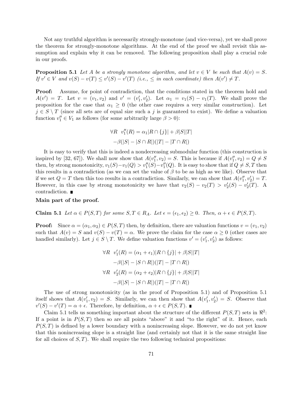Not any truthful algorithm is necessarily strongly-monotone (and vice-versa), yet we shall prove the theorem for strongly-monotone algorithms. At the end of the proof we shall revisit this assumption and explain why it can be removed. The following proposition shall play a crucial role in our proofs.

**Proposition 5.1** Let A be a strongly monotone algorithm, and let  $v \in V$  be such that  $A(v) = S$ . If  $v' \in V$  and  $v(S) - v(T) \le v'(S) - v'(T)$  (i.e.,  $\le m$  each coordinate) then  $A(v') \ne T$ .

Proof: Assume, for point of contradiction, that the conditions stated in the theorem hold and  $A(v') = T$ . Let  $v = (v_1, v_2)$  and  $v' = (v'_1, v'_2)$ . Let  $\alpha_1 = v_1(S) - v_1(T)$ . We shall prove the proposition for the case that  $\alpha_1 \geq 0$  (the other case requires a very similar construction). Let  $j \in S \setminus T$  (since all sets are of equal size such a j is guaranteed to exist). We define a valuation function  $v''_1 \in V_1$  as follows (for some arbitrarily large  $\beta > 0$ ):

$$
\forall R \quad v_1''(R) = \alpha_1 |R \cap \{j\}| + \beta |S||T|
$$

$$
-\beta(|S| - |S \cap R|)(|T| - |T \cap R|)
$$

It is easy to verify that this is indeed a nondecreasing submodular function (this construction is inspired by [32, 67]). We shall now show that  $A(v''_1, v_2) = S$ . This is because if  $A(v''_1, v_2) = Q \neq S$ then, by strong monotonicity,  $v_1(S)-v_1(Q) > v''_1(S)-v''_1(Q)$ . It is easy to show that if  $Q \neq S, T$  then this results in a contradiction (as we can set the value of  $\beta$  to be as high as we like). Observe that if we set  $Q = T$  then this too results in a contradiction. Similarly, we can show that  $A(v_1'', v_2') = T$ . However, in this case by strong monotonicity we have that  $v_2(S) - v_2(T) > v_2'(S) - v_2'(T)$ . A contradiction.

#### Main part of the proof.

Claim 5.1 Let  $\alpha \in P(S,T)$  for some  $S,T \in R_A$ . Let  $\epsilon = (\epsilon_1, \epsilon_2) \geq 0$ . Then,  $\alpha + \epsilon \in P(S,T)$ .

**Proof:** Since  $\alpha = (\alpha_1, \alpha_2) \in P(S, T)$  then, by definition, there are valuation functions  $v = (v_1, v_2)$ such that  $A(v) = S$  and  $v(S) - v(T) = \alpha$ . We prove the claim for the case  $\alpha \geq 0$  (other cases are handled similarly). Let  $j \in S \setminus T$ . We define valuation functions  $v' = (v'_1, v'_2)$  as follows:

$$
\forall R \quad v'_1(R) = (\alpha_1 + \epsilon_1)|R \cap \{j\}| + \beta|S||T|
$$

$$
-\beta(|S| - |S \cap R|)(|T| - |T \cap R|)
$$

$$
\forall R \quad v'_2(R) = (\alpha_2 + \epsilon_2)|R \cap \{j\}| + \beta|S||T|
$$

$$
-\beta(|S| - |S \cap R|)(|T| - |T \cap R|)
$$

The use of strong monotonicity (as in the proof of Proposition 5.1) and of Proposition 5.1 itself shows that  $A(v'_1, v_2) = S$ . Similarly, we can then show that  $A(v'_1, v'_2) = S$ . Observe that  $v'(S) - v'(T) = \alpha + \epsilon$ . Therefore, by definition,  $\alpha + \epsilon \in P(S,T)$ .

Claim 5.1 tells us something important about the structure of the different  $P(S,T)$  sets in  $\mathbb{R}^2$ . If a point is in  $P(S,T)$  then so are all points "above" it and "to the right" of it. Hence, each  $P(S,T)$  is defined by a lower boundary with a nonincreasing slope. However, we do not yet know that this nonincreasing slope is a straight line (and certainly not that it is the same straight line for all choices of  $S, T$ ). We shall require the two following technical propositions: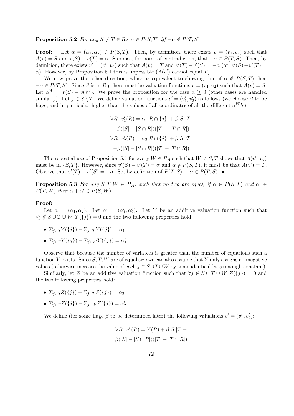**Proposition 5.2** For any  $S \neq T \in R_A$   $\alpha \in P(S,T)$  iff  $-\alpha \notin P(T, S)$ .

**Proof:** Let  $\alpha = (\alpha_1, \alpha_2) \in P(S,T)$ . Then, by definition, there exists  $v = (v_1, v_2)$  such that  $A(v) = S$  and  $v(S) - v(T) = \alpha$ . Suppose, for point of contradiction, that  $-\alpha \in P(T, S)$ . Then, by definition, there exists  $v' = (v'_1, v'_2)$  such that  $A(v) = T$  and  $v'(T) - v'(S) = -\alpha$  (or,  $v'(S) - v'(T) =$  $\alpha$ ). However, by Proposition 5.1 this is impossible  $(A(v')$  cannot equal T).

We now prove the other direction, which is equivalent to showing that if  $\alpha \notin P(S,T)$  then  $-\alpha \in P(T, S)$ . Since S is in  $R_A$  there must be valuation functions  $v = (v_1, v_2)$  such that  $A(v) = S$ . Let  $\alpha^W = v(S) - v(W)$ . We prove the proposition for the case  $\alpha \geq 0$  (other cases are handled similarly). Let  $j \in S \setminus T$ . We define valuation functions  $v' = (v'_1, v'_2)$  as follows (we choose  $\beta$  to be huge, and in particular higher than the values of all coordinates of all the different  $\alpha^{W}$ 's):

$$
\forall R \quad v_1'(R) = \alpha_1 |R \cap \{j\}| + \beta |S||T|
$$

$$
-\beta(|S| - |S \cap R|)(|T| - |T \cap R|)
$$

$$
\forall R \quad v_2'(R) = \alpha_2 |R \cap \{j\}| + \beta |S||T|
$$

$$
-\beta(|S| - |S \cap R|)(|T| - |T \cap R|)
$$

The repeated use of Proposition 5.1 for every  $W \in R_A$  such that  $W \neq S, T$  shows that  $A(v'_1, v'_2)$ must be in  $\{S, T\}$ . However, since  $v'(S) - v'(T) = \alpha$  and  $\alpha \notin P(S, T)$ , it must be that  $A(v') = T$ . Observe that  $v'(T) - v'(S) = -\alpha$ . So, by definition of  $P(T, S)$ ,  $-\alpha \in P(T, S)$ .

**Proposition 5.3** For any  $S, T, W \in R_A$ , such that no two are equal, if  $\alpha \in P(S,T)$  and  $\alpha' \in$  $P(T, W)$  then  $\alpha + \alpha' \in P(S, W)$ .

#### Proof:

Let  $\alpha = (\alpha_1, \alpha_2)$ . Let  $\alpha' = (\alpha'_1, \alpha'_2)$ . Let Y be an additive valuation function such that  $\forall j \notin S \cup T \cup W \ Y(\{j\}) = 0$  and the two following properties hold:

- $\Sigma_{i\in S}Y(\{j\}) \Sigma_{i\in T}Y(\{j\}) = \alpha_1$
- $\Sigma_{j \in T} Y(\{j\}) \Sigma_{j \in W} Y(\{j\}) = \alpha'_1$

Observe that because the number of variables is greater than the number of equations such a function Y exists. Since  $S, T, W$  are of equal size we can also assume that Y only assigns nonnegative values (otherwise increase the value of each  $j \in S \cup T \cup W$  by some identical large enough constant).

Similarly, let Z be an additive valuation function such that  $\forall j \notin S \cup T \cup W Z({j}) = 0$  and the two following properties hold:

- $\Sigma_{i\in S}Z(\{j\}) \Sigma_{i\in T}Z(\{j\}) = \alpha_2$
- $\Sigma_{j \in T} Z(\{j\}) \Sigma_{j \in W} Z(\{j\}) = \alpha_2'$

We define (for some huge  $\beta$  to be determined later) the following valuations  $v' = (v'_1, v'_2)$ :

$$
\forall R \quad v_1'(R) = Y(R) + \beta |S||T| -
$$
  

$$
\beta(|S| - |S \cap R|)(|T| - |T \cap R|)
$$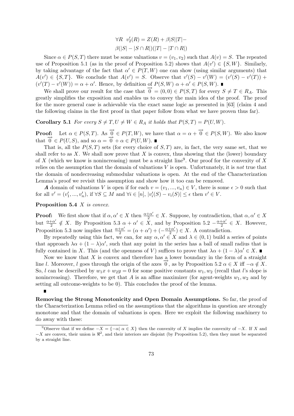$\forall R \ \ v_2'(R) = Z(R) + \beta |S||T| \beta(|S| - |S \cap R|)(|T| - |T \cap R|)$ 

Since  $\alpha \in P(S,T)$  there must be some valuations  $v = (v_1, v_2)$  such that  $A(v) = S$ . The repeated use of Proposition 5.1 (as in the proof of Proposition 5.2) shows that  $A(v') \in \{S, W\}$ . Similarly, by taking advantage of the fact that  $\alpha' \in P(T, W)$  one can show (using similar arguments) that  $A(v') \in \{S,T\}$ . We conclude that  $A(v') = S$ . Observe that  $v'(S) - v'(W) = (v'(S) - v'(T)) +$  $(v'(T) - v'(W)) = \alpha + \alpha'$ . Hence, by definition of  $P(S, W)$   $\alpha + \alpha' \in P(S, W)$ .

We shall prove our result for the case that  $\vec{0} = (0, 0) \in P(S,T)$  for every  $S \neq T \in R_A$ . This greatly simplifies the exposition and enables us to convey the main idea of the proof. The proof for the more general case is achievable via the exact same logic as presented in [63] (claim 4 and the following claims in the first proof in that paper follow from what we have proven thus far).

**Corollary 5.1** For every  $S \neq T, U \neq W \in R_A$  it holds that  $P(S,T) = P(U,W)$ .

**Proof:** Let  $\alpha \in P(S, T)$ . As  $\overrightarrow{0} \in P(T, W)$ , we have that  $\alpha = \alpha + \overrightarrow{0} \in P(S, W)$ . We also know that  $\overrightarrow{0} \in P(U, S)$ , and so  $\alpha = \overrightarrow{0} + \alpha \in P(U, W)$ .

That is, all the  $P(S,T)$  sets (for every choice of  $S,T$ ) are, in fact, the very same set, that we shall refer to as  $X$ . We shall now prove that  $X$  is convex, thus showing that the (lower) boundary of X (which we know is nonincreasing) must be a straight line<sup>9</sup>. Our proof for the convexity of X relies on the assumption that the domain of valuations  $V$  is open. Unfortunately, it is *not* true that the domain of nondecreasing submodular valuations is open. At the end of the Characterization Lemma's proof we revisit this assumption and show how it too can be removed.

A domain of valuations V is open if for each  $v = (v_1, ..., v_n) \in V$ , there is some  $\epsilon > 0$  such that for all  $v' = (v'_1, ..., v'_n)$ , if  $\forall S \subseteq M$  and  $\forall i \in [n]$ ,  $|v'_i(S) - v_i(S)| \le \epsilon$  then  $v' \in V$ .

#### Proposition 5.4 X is convex.

**Proof:** We first show that if  $\alpha, \alpha' \in X$  then  $\frac{\alpha + \alpha'}{2}$  $\frac{1+\alpha'}{2} \in X$ . Suppose, by contradiction, that  $\alpha, \alpha' \in X$ but  $\frac{\alpha+\alpha'}{2}$  $\frac{+\alpha'}{2} \notin X$ . By Proposition 5.3  $\alpha + \alpha' \in \overline{X}$ , and by Proposition 5.2  $-\frac{\alpha+\alpha'}{2}$  $\frac{+\alpha'}{2} \in X$ . However, Proposition 5.3 now implies that  $\frac{\alpha+\alpha'}{2} = (\alpha+\alpha') + (-\frac{\alpha+\alpha'}{2})$  $\frac{1+\alpha'}{2}$   $\in$  *X*. A contradiction.

By repeatedly using this fact, we can, for any  $\alpha, \alpha' \in X$  and  $\lambda \in (0, 1)$  build a series of points that approach  $\lambda \alpha + (1 - \lambda) \alpha'$ , such that any point in the series has a ball of small radius that is fully contained in X. This (and the openness of V) suffices to prove that  $\lambda \alpha + (1 - \lambda) \alpha' \in X$ .

Now we know that  $X$  is convex and therefore has a lower boundary in the form of a straight line l. Moreover, l goes through the origin of the axes  $\overrightarrow{0}$ , as by Proposition 5.2  $\alpha \in X$  iff  $-\alpha \notin X$ . So, l can be described by  $w_1x + w_2y = 0$  for some positive constants  $w_1, w_2$  (recall that l's slope is nonincreasing). Therefore, we get that A is an affine maximizer (for agent-weights  $w_1, w_2$  and by setting all outcome-weights to be 0). This concludes the proof of the lemma.

Removing the Strong Monotonicity and Open Domain Assumptions. So far, the proof of the Characterization Lemma relied on the assumptions that the algorithms in question are strongly monotone and that the domain of valuations is open. Here we exploit the following machinery to do away with these:

<sup>&</sup>lt;sup>9</sup>Observe that if we define  $-X = \{-\alpha | \alpha \in X\}$  then the convexity of X implies the convexity of  $-X$ . If X and  $-X$  are convex, their union is  $\mathbb{R}^2$ , and their interiors are disjoint (by Proposition 5.2), then they must be separated by a straight line.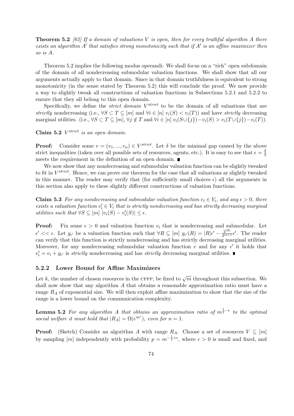**Theorem 5.2** [62] If a domain of valuations V is open, then for every truthful algorithm A there exists an algorithm  $A'$  that satisfies strong monotonicity such that if  $A'$  is an affine maximizer then so is A.

Theorem 5.2 implies the following modus operandi: We shall focus on a "rich" open subdomain of the domain of all nondecreasing submodular valuation functions. We shall show that all our arguments actually apply to that domain. Since in that domain truthfulness is equivalent to strong monotonicity (in the sense stated by Theorem 5.2) this will conclude the proof. We now provide a way to slightly tweak all constructions of valuation functions in Subsections 5.2.1 and 5.2.2 to ensure that they all belong to this open domain.

Specifically, we define the *strict domain*  $V^{strict}$  to be the domain of all valuations that are strictly nondecreasing (i.e.,  $\forall S \subset T \subseteq [m]$  and  $\forall i \in [n]$   $v_i(S) < v_i(T)$ ) and have strictly decreasing marginal utilities. (i.e.,  $\forall S \subset T \subseteq [m], \forall j \notin T$  and  $\forall i \in [n]$   $v_i(S \cup \{j\}) - v_i(S) > v_i(T \cup \{j\}) - v_i(T)$ ).

Claim 5.2  $V^{strict}$  is an open domain.

**Proof:** Consider some  $v = (v_1, ..., v_n) \in V^{strict}$ . Let  $\delta$  be the minimal gap caused by the above strict inequalities (taken over all possible sets of resources, agents, etc.). It is easy to see that  $\epsilon = \frac{\delta}{3}$ 3 meets the requirement in the definition of an open domain.

We now show that any nondecreasing and submodular valuation function can be slightly tweaked to fit in  $V^{strict}$ . Hence, we can prove our theorem for the case that all valuations ar slightly tweaked in this manner. The reader may verify that (for sufficiently small choices  $\epsilon$ ) all the arguments in this section also apply to these slightly different constructions of valuation functions.

**Claim 5.3** For any nondecreasing and submodular valuation function  $v_i \in V_i$ , and any  $\epsilon > 0$ , there exists a valuation function  $v'_i \in V_i$  that is strictly nondecreasing and has strictly decreasing marginal utilities such that  $\forall S \subseteq [m] |v_i(S) - v'_i(S)| \leq \epsilon$ .

**Proof:** Fix some  $\epsilon > 0$  and valuation function  $v_i$  that is nondecreasing and submodular. Let  $\epsilon' << \epsilon$ . Let  $g_{\epsilon'}$  be a valuation function such that  $\forall R \subseteq [m]$   $g_{\epsilon'}(R) = |R|\epsilon' - \frac{2^{|R|}}{2^{m+1}}\epsilon'$ . The reader can verify that this function is strictly nondecreasing and has strictly decreasing marginal utilities. Moreover, for any nondecreasing submodular valuation function v and for any  $\epsilon'$  it holds that  $v_i' = v_i + g_{\epsilon'}$  is *strictly* nondecreasing and has *strictly* decreasing marginal utilities.

#### 5.2.2 Lower Bound for Affine Maximizers

Let k, the number of chosen resources in the CPPP, be fixed to  $\sqrt{m}$  throughout this subsection. We shall now show that any algorithm A that obtains a reasonable approximation ratio must have a range  $R<sub>A</sub>$  of exponential size. We will then exploit affine maximization to show that the size of the range is a lower bound on the communication complexity.

**Lemma 5.2** For any algorithm A that obtains an approximation ratio of  $m^{\frac{1}{2}-\epsilon}$  to the optimal social welfare it must hold that  $|R_A| = \Omega(e^{m^{\epsilon}})$ , even for  $n = 1$ .

**Proof:** (Sketch) Consider an algorithm A with range  $R_A$ . Choose a set of resources  $V \subseteq [m]$ by sampling  $[m]$  independently with probability  $p = m^{-\frac{1}{2} + \epsilon}$ , where  $\epsilon > 0$  is small and fixed, and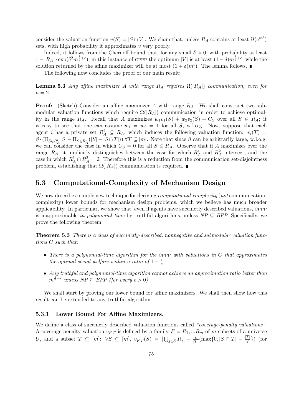consider the valuation function  $v(S) = |S \cap V|$ . We claim that, unless  $R_A$  contains at least  $\Omega(e^{m^{\epsilon}})$ sets, with high probability it approximates  $v$  very poorly.

Indeed, it follows from the Chernoff bound that, for any small  $\delta > 0$ , with probability at least  $1-|R_A|\cdot \exp(\delta^2 m^{\frac{1}{2}+\epsilon})$ , in this instance of CPPP the optimum |V| is at least  $(1-\delta)m^{\frac{1}{2}+\epsilon}$ , while the solution returned by the affine maximizer will be at most  $(1 + \delta)m^{\epsilon}$ ). The lemma follows.

The following now concludes the proof of our main result:

**Lemma 5.3** Any affine maximizer A with range  $R_A$  requires  $\Omega(|R_A|)$  communication, even for  $n=2$ .

**Proof:** (Sketch) Consider an affine maximizer A with range  $R_A$ . We shall construct two submodular valuation functions which require  $\Omega(|R_A|)$  communication in order to achieve optimality in the range R<sub>A</sub>. Recall that A maximizes  $w_1v_1(S) + w_2v_2(S) + C_S$  over all  $S \in R_A$ ; it is easy to see that one can assume  $w_1 = w_2 = 1$  for all S, w.l.o.g. Now, suppose that each agent i has a private set  $R_A^i \subseteq R_A$ , which induces the following valuation function:  $v_i(T)$  $\beta \cdot (\Pi_{S \in R_A^i} |S| - \Pi_{S \in R_A^i}(|S| - |S \cap T|)) \ \forall T \subseteq [m]$ . Note that since  $\beta$  can be arbitrarily large, w.l.o.g. we can consider the case in which  $C_S = 0$  for all  $S \in R_A$ . Observe that if A maximizes over the range  $R_A$ , it implicitly distinguishes between the case for which  $R_A^1$  and  $R_A^2$  intersect, and the case in which  $R_A^1 \cap R_A^2 = \emptyset$ . Therefore this is a reduction from the communication set-disjointness problem, establishing that  $\Omega(|R_A|)$  communication is required.  $\blacksquare$ 

## 5.3 Computational-Complexity of Mechanism Design

We now describe a simple new technique for deriving *computational-complexity* (not communicationcomplexity) lower bounds for mechanism design problems, which we believe has much broader applicability. In particular, we show that, even if agents have succinctly described valuations, cppp is inapproximable in polynomial time by truthful algorithms, unless  $NP \subseteq BPP$ . Specifically, we prove the following theorem:

Theorem 5.3 There is a class of succinctly-described, nonnegative and submodular valuation functions C such that:

- There is a polynomial-time algorithm for the CPPP with valuations in  $C$  that approximates the optimal social-welfare within a ratio of  $1-\frac{1}{e}$  $\frac{1}{e}$ .
- Any truthful and polynomial-time algorithm cannot achieve an approximation ratio better than  $m^{\frac{1}{2}-\epsilon}$  unless  $NP \subseteq BPP$  (for every  $\epsilon > 0$ ).

We shall start by proving our lower bound for affine maximizers. We shall then show how this result can be extended to any truthful algorithm.

#### 5.3.1 Lower Bound For Affine Maximizers.

We define a class of succinctly described valuation functions called "coverage-penalty valuations". A coverage-penalty valuation  $v_{F,T}$  is defined by a family  $F = R_1, ... R_m$  of m subsets of a universe U, and a subset  $T \subseteq [m]$ :  $\forall S \subseteq [m]$ ,  $v_{F,T}(S) =$  $\bigcup_{j\in S} R_j - \frac{\epsilon}{|T|}(\max\{0, |S\cap T| - \frac{|T|}{2}\})$  (for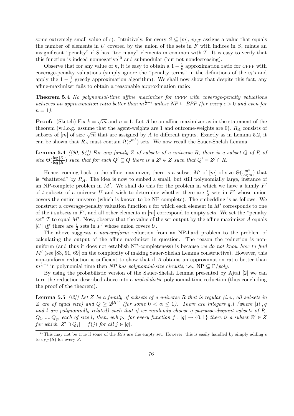some extremely small value of  $\epsilon$ ). Intuitively, for every  $S \subseteq [m]$ ,  $v_{FT}$  assigns a value that equals the number of elements in  $U$  covered by the union of the sets in  $F$  with indices in  $S$ , minus an insignificant "penalty" if  $S$  has "too many" elements in common with  $T$ . It is easy to verify that this function is indeed nonnegative<sup>10</sup> and submodular (but not nondecreasing).

Observe that for any value of k, it is easy to obtain a  $1-\frac{1}{e}$  $\frac{1}{e}$  approximation ratio for CPPP with coverage-penalty valuations (simply ignore the "penalty terms" in the definitions of the  $v_i$ 's and apply the  $1-\frac{1}{e}$  $\frac{1}{e}$  greedy approximation algorithm). We shall now show that despite this fact, any affine-maximizer fails to obtain a reasonable approximation ratio:

Theorem 5.4 No polynomial-time affine maximizer for CPPP with coverage-penalty valuations achieves an approximation ratio better than  $m^{\frac{1}{2}-\epsilon}$  unless  $NP \subseteq BPP$  (for every  $\epsilon > 0$  and even for  $n=1$ ).

**Proof:** (Sketch) Fix  $k = \sqrt{m}$  and  $n = 1$ . Let A be an affine maximizer as in the statement of the theorem (w.l.o.g. assume that the agent-weights are 1 and outcome-weights are 0).  $R_A$  consists of subsets of  $[m]$  of size  $\sqrt{m}$  that are assigned by A to different inputs. Exactly as in Lemma 5.2, it subsets of  $[m]$  of size  $\sqrt{m}$  that are assigned by A to different inputs. Exactly as in Lemma 5.2, it can be shown that  $R_A$  must contain  $\Omega(e^{m^{\epsilon}})$  sets. We now recall the Sauer-Shelah Lemma:

**Lemma 5.4** ([90, 94]) For any family Z of subsets of a universe R, there is a subset Q of R of size  $\Theta(\frac{\log |Z|}{\log |R|})$  such that for each  $Q' \subseteq Q$  there is a  $Z' \in Z$  such that  $Q' = Z' \cap R$ .

Hence, coming back to the affine maximizer, there is a subset M' of  $[m]$  of size  $\Theta(\frac{m^{\epsilon}}{\log m})$  that is "shattered" by  $R_A$ . The idea is now to embed a small, but still polynomially large, instance of an NP-complete problem in  $M'$ . We shall do this for the problem in which we have a family  $F'$ of t subsets of a universe U and wish to determine whether there are  $\frac{t}{2}$  sets in  $F'$  whose union covers the entire universe (which is known to be NP-complete). The embedding is as follows: We construct a coverage-penalty valuation function  $v$  for which each element in  $M'$  corresponds to one of the t subsets in  $F'$ , and all other elements in  $[m]$  correspond to empty sets. We set the "penalty" set" T to equal M'. Now, observe that the value of the set output by the affine maximizer A equals |U| iff there are  $\frac{t}{2}$  sets in F' whose union covers U.

The above suggests a *non-uniform* reduction from an NP-hard problem to the problem of calculating the output of the affine maximizer in question. The reason the reduction is nonuniform (and thus it does not establish NP-completeness) is because we do not know how to find  $M'$  (see [83, 91, 69] on the complexity of making Sauer-Shelah Lemma constructive). However, this non-uniform reduction is sufficient to show that if A obtains an approximation ratio better than  $m^{\frac{1}{2}-\epsilon}$  in polynomial time then NP has polynomial-size circuits, i.e., NP  $\subseteq P/poly$ .

By using the probabilistic version of the Sauer-Shelah Lemma presented by Ajtai [2] we can turn the reduction described above into a probabilistic polynomial-time reduction (thus concluding the proof of the theorem).

**Lemma 5.5** ([2]) Let Z be a family of subsets of a universe R that is regular (i.e., all subsets in Z are of equal size) and  $Q \geq 2^{|R|^{\alpha}}$  (for some  $0 < \alpha \leq 1$ ). There are integers q, l (where  $|R|, q$ and l are polynomially related) such that if we randomly choose q pairwise-disjoint subsets of  $R$ ,  $Q_1, ..., Q_q$ , each of size l, then, w.h.p., for every function  $f : [q] \to \{0,1\}$  there is a subset  $Z' \in Z$ for which  $|Z' \cap Q_j| = f(j)$  for all  $j \in [q]$ .

<sup>&</sup>lt;sup>10</sup>This may not be true if some of the R<sub>i</sub>'s are the empty set. However, this is easily handled by simply adding  $\epsilon$ to  $v_{F,T}(S)$  for every S.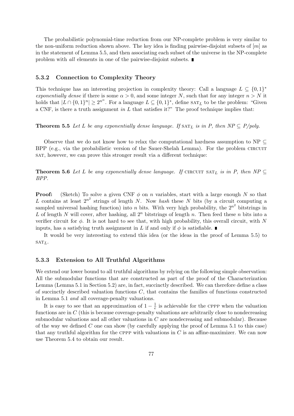The probabilistic polynomial-time reduction from our NP-complete problem is very similar to the non-uniform reduction shown above. The key idea is finding pairwise-disjoint subsets of  $[m]$  as in the statement of Lemma 5.5, and then associating each subset of the universe in the NP-complete problem with *all* elements in one of the pairwise-disjoint subsets.  $\blacksquare$ 

#### 5.3.2 Connection to Complexity Theory

This technique has an interesting projection in complexity theory: Call a language  $L \subseteq \{0,1\}^*$ exponentially dense if there is some  $\alpha > 0$ , and some integer N, such that for any integer  $n > N$  it holds that  $|L \cap \{0,1\}^n| \geq 2^{n^{\alpha}}$ . For a language  $L \subseteq \{0,1\}^*$ , define  $\text{SAT}_L$  to be the problem: "Given a CNF, is there a truth assignment in L that satisfies it?" The proof technique implies that:

**Theorem 5.5** Let L be any exponentially dense language. If  $SAT_L$  is in P, then  $NP \subseteq P/poly$ .

Observe that we do not know how to relax the computational hardness assumption to NP  $\subseteq$ BPP (e.g., via the probabilistic version of the Sauer-Shelah Lemma). For the problem CIRCUIT sat, however, we can prove this stronger result via a different technique:

**Theorem 5.6** Let L be any exponentially dense language. If CIRCUIT SAT<sub>L</sub> is in P, then  $NP \subseteq$ BPP.

**Proof:** (Sketch) To solve a given CNF  $\phi$  on n variables, start with a large enough N so that L contains at least  $2^{n^2}$  strings of length N. Now hash these N bits (by a circuit computing a sampled universal hashing function) into *n* bits. With very high probability, the  $2^{n^2}$  bitstrings in L of length N will cover, after hashing, all  $2^n$  bitstrings of length n. Then feed these n bits into a verifier circuit for  $\phi$ . It is not hard to see that, with high probability, this overall circuit, with N inputs, has a satisfying truth assignment in L if and only if  $\phi$  is satisfiable.

It would be very interesting to extend this idea (or the ideas in the proof of Lemma 5.5) to  $SATL$ .

#### 5.3.3 Extension to All Truthful Algorithms

We extend our lower bound to all truthful algorithms by relying on the following simple observation: All the submodular functions that are constructed as part of the proof of the Characterization Lemma (Lemma 5.1 in Section 5.2) are, in fact, succinctly described. We can therefore define a class of succinctly described valuation functions  $C$ , that contains the families of functions constructed in Lemma 5.1 and all coverage-penalty valuations.

It is easy to see that an approximation of  $1 - \frac{1}{e}$  $\frac{1}{e}$  is achievable for the CPPP when the valuation functions are in  $C$  (this is because coverage-penalty valuations are arbitrarily close to nondecreasing submodular valuations and all other valuations in  $C$  are nondecreasing and submodular). Because of the way we defined  $C$  one can show (by carefully applying the proof of Lemma 5.1 to this case) that any truthful algorithm for the CPPP with valuations in  $C$  is an affine-maximizer. We can now use Theorem 5.4 to obtain our result.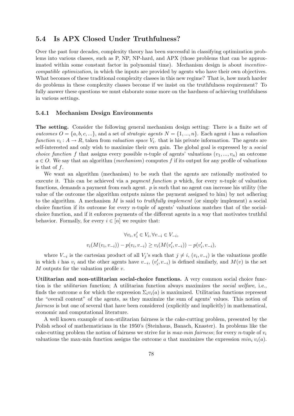### 5.4 Is APX Closed Under Truthfulness?

Over the past four decades, complexity theory has been successful in classifying optimization problems into various classes, such as P, NP, NP-hard, and APX (those problems that can be approximated within some constant factor in polynomial time). Mechanism design is about incentivecompatible optimization, in which the inputs are provided by agents who have their own objectives. What becomes of these traditional complexity classes in this new regime? That is, how much harder do problems in these complexity classes become if we insist on the truthfulness requirement? To fully answer these questions we must elaborate some more on the hardness of achieving truthfulness in various settings.

#### 5.4.1 Mechanism Design Environments

The setting. Consider the following general mechanism design setting: There is a finite set of *outcomes*  $O = \{a, b, c, ...\}$ , and a set of *strategic agents*  $N = \{1, ..., n\}$ . Each agent *i* has a *valuation* function  $v_i: A \to R$ , taken from valuation space  $V_i$ , that is his private information. The agents are self-interested and only wish to maximize their own gain. The global goal is expressed by a *social choice function f* that assigns every possible *n*-tuple of agents' valuations  $(v_1, ..., v_n)$  an outcome  $a \in O$ . We say that an algorithm (*mechanism*) computes f if its output for any profile of valuations is that of  $f$ .

We want an algorithm (mechanism) to be such that the agents are rationally motivated to execute it. This can be achieved via a *payment function*  $p$  which, for every *n*-tuple of valuation functions, demands a payment from each agent. p is such that no agent can increase his utility (the value of the outcome the algorithm outputs minus the payment assigned to him) by not adhering to the algorithm. A mechanism  $M$  is said to *truthfully implement* (or simply implement) a social choice function if its outcome for every n-tuple of agents' valuations matches that of the socialchoice function, and if it enforces payments of the different agents in a way that motivates truthful behavior. Formally, for every  $i \in [n]$  we require that:

$$
\forall v_i, v'_i \in V_i, \forall v_{-i} \in V_{-i},
$$
  

$$
v_i(M(v_i, v_{-i})) - p(v_i, v_{-i}) \ge v_i(M(v'_i, v_{-i})) - p(v'_i, v_{-i}),
$$

where  $V_{-i}$  is the cartesian product of all  $V_j$ 's such that  $j \neq i$ ,  $(v_i, v_{-i})$  is the valuations profile in which i has  $v_i$  and the other agents have  $v_{-i}$ ,  $(v'_i, v_{-i})$  is defined similarly, and  $M(v)$  is the set  $M$  outputs for the valuation profile  $v$ .

Utilitarian and non-utilitarian social-choice functions. A very common social choice function is the utilitarian function; A utilitarian function always maximizes the social welfare, i.e., finds the outcome a for which the expression  $\Sigma_i v_i(a)$  is maximized. Utilitarian functions represent the "overall content" of the agents, as they maximize the sum of agents' values. This notion of fairness is but one of several that have been considered (explicitly and implicitly) in mathematical, economic and computational literature.

A well known example of non-utilitarian fairness is the cake-cutting problem, presented by the Polish school of mathematicians in the 1950's (Steinhaus, Banach, Knaster). In problems like the cake-cutting problem the notion of fairness we strive for is max-min fairness; for every n-tuple of  $v_i$ valuations the max-min function assigns the outcome a that maximizes the expression  $min_i v_i(a)$ .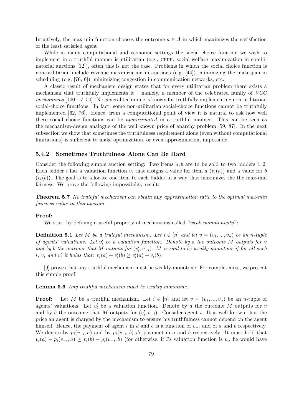Intuitively, the max-min function chooses the outcome  $a \in A$  in which maximizes the satisfaction of the least satisfied agent.

While in many computational and economic settings the social choice function we wish to implement in a truthful manner is utilitarian (e.g., cppp, social-welfare maximization in combinatorial auctions [12]), often this is not the case. Problems in which the social choice function is non-utilitarian include revenue maximization in auctions (e.g. [44]), minimizing the makespan in scheduling (e.g.  $[76, 6]$ ), minimizing congestion in communication networks, etc.

A classic result of mechanism design states that for every utilitarian problem there exists a mechanism that truthfully implements it – namely, a member of the celebrated family of  $VCG$ mechanisms [100, 17, 50]. No general technique is known for truthfully implementing non-utilitarian social-choice functions. In fact, some non-utilitarian social-choice functions cannot be truthfully implemented [62, 76]. Hence, from a computational point of view it is natural to ask how well these social choice functions can be approximated in a truthful manner. This can be seen as the mechanism-design analogue of the well known price of anarchy problem [59, 87]. In the next subsection we show that sometimes the truthfulness requirement alone (even without computational limitations) is sufficient to make optimization, or even approximation, impossible.

#### 5.4.2 Sometimes Truthfulness Alone Can Be Hard

Consider the following simple auction setting: Two items  $a, b$  are to be sold to two bidders 1, 2. Each bidder i has a valuation function  $v_i$  that assigns a value for item  $a(v_i(a))$  and a value for b  $(v_i(b))$ . The goal is to allocate one item to each bidder in a way that maximizes the the max-min fairness. We prove the following impossibility result:

Theorem 5.7 No truthful mechanism can obtain any approximation ratio to the optimal max-min fairness value in this auction.

#### Proof:

We start by defining a useful property of mechanisms called "weak monotonicity":

**Definition 5.1** Let M be a truthful mechanism. Let  $i \in [n]$  and let  $v = (v_1, ..., v_n)$  be an n-tuple of agents' valuations. Let  $v_i'$  be a valuation function. Denote by a the outcome M outputs for  $v$ and by b the outcome that M outputs for  $(v'_i, v_{-i})$ . M is said to be weakly monotone if for all such i, v, and  $v'_i$  it holds that:  $v_i(a) + v'_i(b) \ge v'_i(a) + v_i(b)$ .

[9] proves that any truthful mechanism must be weakly-monotone. For completeness, we present this simple proof.

Lemma 5.6 Any truthful mechanism must be weakly monotone.

**Proof:** Let M be a truthful mechanism. Let  $i \in [n]$  and let  $v = (v_1, ..., v_n)$  be an n-tuple of agents' valuations. Let  $v_i'$  be a valuation function. Denote by a the outcome M outputs for v and by b the outcome that M outputs for  $(v'_i, v_{-i})$ . Consider agent i. It is well known that the price an agent is charged by the mechanism to ensure his truthfulness cannot depend on the agent himself. Hence, the payment of agent i in a and b is a function of  $v_{-i}$  and of a and b respectively. We denote by  $p_i(v_{-i}, a)$  and by  $p_i(v_{-i}, b)$  i's payment in a and b respectively. It must hold that  $v_i(a) - p_i(v_{-i}, a) \geq v_i(b) - p_i(v_{-i}, b)$  (for otherwise, if i's valuation function is  $v_i$ , he would have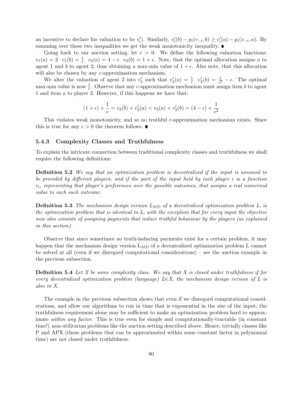an incentive to declare his valuation to be  $v'_i$ ). Similarly,  $v'_i(b) - p_i(v_{-i}, b) \ge v'_i(a) - p_i(v_{-i}, a)$ . By summing over these two inequalities we get the weak monotonicity inequality.

Going back to our auction setting, let  $c > 0$ . We define the following valuation functions:  $v_1(a) = 2$   $v_1(b) = \frac{1}{c}$   $v_2(a) = 4 - \epsilon$   $v_2(b) = 1 + \epsilon$ . Note, that the optimal allocation assigns a to agent 1 and b to agent 2, thus obtaining a max-min value of  $1 + \epsilon$ . Also note, that this allocation will also be chosen by any *c*-approximation mechanism.

We alter the valuation of agent 2 into  $v'_2$  such that  $v'_2(a) = \frac{1}{c}$   $v'_2(b) = \frac{1}{c^2} - \epsilon$ . The optimal max-min value is now  $\frac{1}{c}$ . Observe that any c-approximation mechanism must assign item b to agent 1 and item a to player 2. However, if this happens we have that:

$$
(1 + \epsilon) + \frac{1}{c} = v_2(b) + v_2'(a) < v_2(a) + v_2'(b) = (4 - \epsilon) + \frac{1}{c^2}
$$

This violates weak monotonicity, and so no truthful c-approximation mechanism exists. Since this is true for any  $c > 0$  the theorem follows.

#### 5.4.3 Complexity Classes and Truthfulness

To explain the intricate connection between traditional complexity classes and truthfulness we shall require the following definitions:

**Definition 5.2** We say that an optimization problem is decentralized if the input is assumed to be provided by different players, and if the part of the input held by each player i is a function  $v_i$ , representing that player's preferences over the possible outcomes, that assigns a real numerical value to each such outcome.

**Definition 5.3** The mechanism design version  $L_{MD}$  of a decentralized optimization problem L, is the optimization problem that is identical to L, with the exception that for every input the objective now also consists of assigning payments that induce truthful behaviour by the players (as explained in this section).

Observe that since sometimes no truth-inducing payments exist for a certain problem, it may happen that the mechanism design version  $L_{MD}$  of a decentralized optimization problem L cannot be solved at all (even if we disregard computational considerations) – see the auction example in the previous subsection.

**Definition 5.4** Let X be some complexity class. We say that X is closed under truthfulness if for every decentralized optimization problem (language)  $L \in X$ , the mechanism design version of L is also in X.

The example in the previous subsection shows that even if we disregard computational considerations, and allow our algorithms to run in time that is exponential in the size of the input, the truthfulness requirement alone may be sufficient to make an optimization problem hard to approximate within any factor. This is true even for simple and computationally-tractable (in constant time!) non-utilitarian problems like the auction setting described above. Hence, trivially classes like P and APX (those problems that can be approximated within some constant factor in polynomial time) are not closed under truthfulness.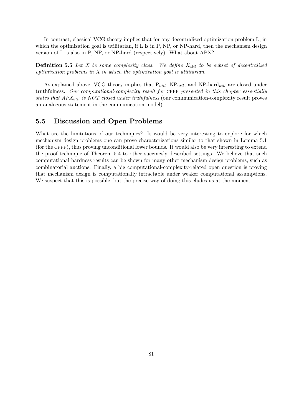In contrast, classical VCG theory implies that for any decentralized optimization problem L, in which the optimization goal is utilitarian, if L is in P, NP, or NP-hard, then the mechanism design version of L is also in P, NP, or NP-hard (respectively). What about APX?

**Definition 5.5** Let X be some complexity class. We define  $X_{util}$  to be subset of decentralized optimization problems in X in which the optimization goal is utilitarian.

As explained above, VCG theory implies that  $P_{util}$ ,  $NP_{util}$ , and  $NP$ -hard<sub>util</sub> are closed under truthfulness. Our computational-complexity result for CPPP presented in this chapter essentially states that  $APX_{util}$  is NOT closed under truthfulness (our communication-complexity result proves an analogous statement in the communication model).

## 5.5 Discussion and Open Problems

What are the limitations of our techniques? It would be very interesting to explore for which mechanism design problems one can prove characterizations similar to that shown in Lemma 5.1 (for the cppp), thus proving unconditional lower bounds. It would also be very interesting to extend the proof technique of Theorem 5.4 to other succinctly described settings. We believe that such computational hardness results can be shown for many other mechanism design problems, such as combinatorial auctions. Finally, a big computational-complexity-related open question is proving that mechanism design is computationally intractable under weaker computational assumptions. We suspect that this is possible, but the precise way of doing this eludes us at the moment.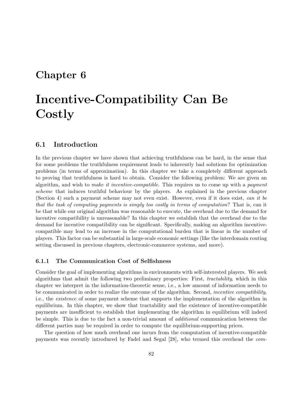## Chapter 6

# Incentive-Compatibility Can Be Costly

## 6.1 Introduction

In the previous chapter we have shown that achieving truthfulness can be hard, in the sense that for some problems the truthfulness requirement leads to inherently bad solutions for optimization problems (in terms of approximation). In this chapter we take a completely different approach to proving that truthfulness is hard to obtain. Consider the following problem: We are given an algorithm, and wish to make it incentive-compatible. This requires us to come up with a payment scheme that induces truthful behaviour by the players. As explained in the previous chapter (Section 4) such a payment scheme may not even exist. However, even if it does exist, can it be that the task of computing payments is simply too costly in terms of computation? That is, can it be that while our original algorithm was reasonable to execute, the overhead due to the demand for incentive compatibility is unreasonable? In this chapter we establish that the overhead due to the demand for incentive compatibility can be significant. Specifically, making an algorithm incentivecompatible may lead to an increase in the computational burden that is linear in the number of players. This factor can be substantial in large-scale economic settings (like the interdomain routing setting discussed in previous chapters, electronic-commerce systems, and more).

#### 6.1.1 The Communication Cost of Selfishness

Consider the goal of implementing algorithms in environments with self-interested players. We seek algorithms that admit the following two preliminary properties: First, tractability, which in this chapter we interpret in the information-theoretic sense, i.e., a low amount of information needs to be communicated in order to realize the outcome of the algorithm. Second, incentive compatibility, i.e., the existence of some payment scheme that supports the implementation of the algorithm in equilibrium. In this chapter, we show that tractability and the existence of incentive-compatible payments are insufficient to establish that implementing the algorithm in equilibrium will indeed be simple. This is due to the fact a non-trivial amount of additional communication between the different parties may be required in order to compute the equilibrium-supporting prices.

The question of how much overhead one incurs from the computation of incentive-compatible payments was recently introduced by Fadel and Segal [28], who termed this overhead the com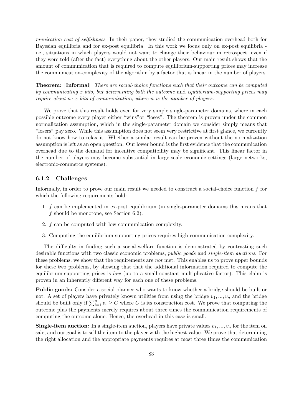munication cost of selfishness. In their paper, they studied the communication overhead both for Bayesian equilibria and for ex-post equilibria. In this work we focus only on ex-post equilibria i.e., situations in which players would not want to change their behaviour in retrospect, even if they were told (after the fact) everything about the other players. Our main result shows that the amount of communication that is required to compute equilibrium-supporting prices may increase the communication-complexity of the algorithm by a factor that is linear in the number of players.

Theorem: [Informal] There are social-choice functions such that their outcome can be computed by communicating x bits, but determining both the outcome and equilibrium-supporting prices may require about  $n \cdot x$  bits of communication, where n is the number of players.

We prove that this result holds even for very simple single-parameter domains, where in each possible outcome every player either "wins"or "loses". The theorem is proven under the common normalization assumption, which in the single-parameter domain we consider simply means that "losers" pay zero. While this assumption does not seem very restrictive at first glance, we currently do not know how to relax it. Whether a similar result can be proven without the normalization assumption is left as an open question. Our lower bound is the first evidence that the communication overhead due to the demand for incentive compatibility may be significant. This linear factor in the number of players may become substantial in large-scale economic settings (large networks, electronic-commerce systems).

#### 6.1.2 Challenges

Informally, in order to prove our main result we needed to construct a social-choice function f for which the following requirements hold:

- 1. f can be implemented in ex-post equilibrium (in single-parameter domains this means that f should be monotone, see Section 6.2).
- 2. f can be computed with low communication complexity.
- 3. Computing the equilibrium-supporting prices requires high communication complexity.

The difficulty in finding such a social-welfare function is demonstrated by contrasting such desirable functions with two classic economic problems, public goods and single-item auctions. For these problems, we show that the requirements are *not* met. This enables us to prove upper bounds for these two problems, by showing that that the additional information required to compute the equilibrium-supporting prices is *low* (up to a small constant multiplicative factor). This claim is proven in an inherently different way for each one of these problems.

Public goods: Consider a social planner who wants to know whether a bridge should be built or not. A set of players have privately known utilities from using the bridge  $v_1, ..., v_n$  and the bridge should be built only if  $\sum_{i=1}^{n} v_i \ge C$  where C is its construction cost. We prove that computing the should be built only if  $\sum_{i=1}^{n} v_i \ge C$  where C is its construction cost. We prove that computing the outcome plus the payments merely requires about three times the communication requirements of computing the outcome alone. Hence, the overhead in this case is small.

**Single-item auction:** In a single-item auction, players have private values  $v_1, ..., v_n$  for the item on sale, and our goal is to sell the item to the player with the highest value. We prove that determining the right allocation and the appropriate payments requires at most three times the communication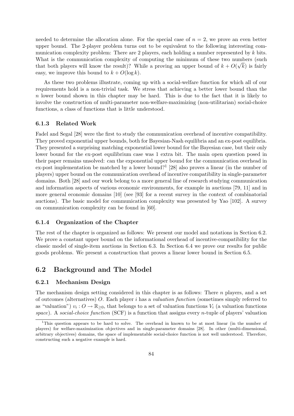needed to determine the allocation alone. For the special case of  $n = 2$ , we prove an even better upper bound. The 2-player problem turns out to be equivalent to the following interesting communication complexity problem: There are 2 players, each holding a number represented by  $k$  bits. What is the communication complexity of computing the minimum of these two numbers (such  $\sim$ that both players will know the result)? While a proving an upper bound of  $k + O(\sqrt{k})$  is fairly easy, we improve this bound to  $k + O(\log k)$ .

As these two problems illustrate, coming up with a social-welfare function for which all of our requirements hold is a non-trivial task. We stress that achieving a better lower bound than the  $n$  lower bound shown in this chapter may be hard. This is due to the fact that it is likely to involve the construction of multi-parameter non-welfare-maximizing (non-utilitarian) social-choice functions, a class of functions that is little understood.

#### 6.1.3 Related Work

Fadel and Segal [28] were the first to study the communication overhead of incentive compatibility. They proved exponential upper bounds, both for Bayesian-Nash equilibria and an ex-post equilibria. They presented a surprising matching exponential lower bound for the Bayesian case, but their only lower bound for the ex-post equilibrium case was 1 extra bit. The main open question posed in their paper remains unsolved: can the exponential upper bound for the communication overhead in ex-post implementation be matched by a lower bound?<sup>1</sup> [28] also proves a linear (in the number of players) upper bound on the communication overhead of incentive compatibility in single-parameter domains. Both [28] and our work belong to a more general line of research studying communication and information aspects of various economic environments, for example in auctions [79, 11] and in more general economic domains [10] (see [93] for a recent survey in the context of combinatorial auctions). The basic model for communication complexity was presented by Yao [102]. A survey on communication complexity can be found in [60].

#### 6.1.4 Organization of the Chapter

The rest of the chapter is organized as follows: We present our model and notations in Section 6.2. We prove a constant upper bound on the informational overhead of incentive-compatibility for the classic model of single-item auctions in Section 6.3. In Section 6.4 we prove our results for public goods problems. We present a construction that proves a linear lower bound in Section 6.5.

### 6.2 Background and The Model

#### 6.2.1 Mechanism Design

The mechanism design setting considered in this chapter is as follows: There  $n$  players, and a set of outcomes (alternatives) O. Each player i has a valuation function (sometimes simply referred to as "valuation")  $v_i: O \to \mathbb{R}_{\geq 0}$ , that belongs to a set of valuation functions  $V_i$  (a valuation functions space). A social-choice function (SCF) is a function that assigns every *n*-tuple of players' valuation

<sup>&</sup>lt;sup>1</sup>This question appears to be hard to solve. The overhead in known to be at most linear (in the number of players) for welfare-maximization objectives and in single-parameter domains [28]. In other (multi-dimensional, arbitrary objectives) domains, the space of implementable social-choice function is not well understood. Therefore, constructing such a negative example is hard.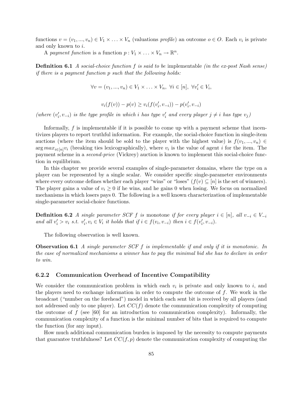functions  $v = (v_1, ..., v_n) \in V_1 \times ... \times V_n$  (valuations profile) an outcome  $o \in O$ . Each  $v_i$  is private and only known to i.

A payment function is a function  $p: V_1 \times \ldots \times V_n \to \mathbb{R}^n$ .

**Definition 6.1** A social-choice function f is said to be implementable (in the ex-post Nash sense) if there is a payment function p such that the following holds:

$$
\forall v = (v_1, ..., v_n) \in V_1 \times ... \times V_n, \ \forall i \in [n], \ \forall v'_i \in V_i,
$$

$$
v_i(f(v)) - p(v) \ge v_i(f(v'_i, v_{-i})) - p(v'_i, v_{-i})
$$

(where  $(v'_i, v_{-i})$  is the type profile in which i has type  $v'_i$  and every player  $j \neq i$  has type  $v_j$ )

Informally, f is implementable if it is possible to come up with a payment scheme that incentivizes players to report truthful information. For example, the social-choice function in single-item auctions (where the item should be sold to the player with the highest value) is  $f(v_1, ..., v_n) \in$  $\arg max_{i \in [n]} v_i$  (breaking ties lexicographically), where  $v_i$  is the value of agent i for the item. The payment scheme in a second-price (Vickrey) auction is known to implement this social-choice function in equilibrium.

In this chapter we provide several examples of single-parameter domains, where the type on a player can be represented by a single scalar. We consider specific single-parameter environments where every outcome defines whether each player "wins" or "loses" ( $f(v) \subseteq [n]$  is the set of winners). The player gains a value of  $v_i \geq 0$  if he wins, and he gains 0 when losing. We focus on normalized mechanisms in which losers pays 0. The following is a well known characterization of implementable single-parameter social-choice functions.

**Definition 6.2** A single parameter SCF f is monotone if for every player  $i \in [n]$ , all  $v_{-i} \in V_{-i}$ and all  $v'_i > v_i$  s.t.  $v'_i, v_i \in V_i$  it holds that if  $i \in f(v_i, v_{-i})$  then  $i \in f(v'_i, v_{-i})$ .

The following observation is well known.

Observation 6.1 A single parameter SCF f is implementable if and only if it is monotonic. In the case of normalized mechanisms a winner has to pay the minimal bid she has to declare in order to win.

#### 6.2.2 Communication Overhead of Incentive Compatibility

We consider the communication problem in which each  $v_i$  is private and only known to i, and the players need to exchange information in order to compute the outcome of  $f$ . We work in the broadcast ("number on the forehead") model in which each sent bit is received by all players (and not addressed only to one player). Let  $CC(f)$  denote the communication complexity of computing the outcome of  $f$  (see [60] for an introduction to communication complexity). Informally, the communication complexity of a function is the minimal number of bits that is required to compute the function (for any input).

How much additional communication burden is imposed by the necessity to compute payments that guarantee truthfulness? Let  $CC(f, p)$  denote the communication complexity of computing the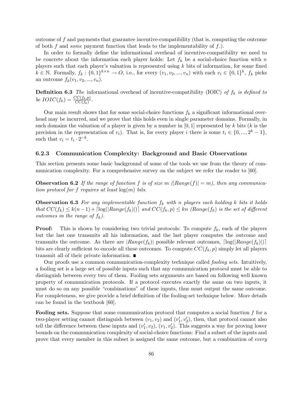outcome of f and payments that guarantee incentive-compatibility (that is, computing the outcome of both  $f$  and *some* payment function that leads to the implementability of  $f$ .).

In order to formally define the informational overhead of incentive-compatibility we need to be concrete about the information each player holds: Let  $f_k$  be a social-choice function with n players such that each player's valuation is represented using  $k$  bits of information, for some fixed  $k \in \mathbb{N}$ . Formally,  $f_k: \{0,1\}^{k \times n} \to O$ , i.e., for every  $(v_1, v_2, ..., v_n)$  with each  $v_i \in \{0,1\}^k$ ,  $f_k$  picks an outcome  $f_k(v_1, v_2, ..., v_n)$ .

**Definition 6.3** The informational overhead of incentive-compatibility (IOIC) of  $f_k$  is defined to be  $IOIC(f_k) = \frac{CC(f_k, p)}{CC(f_k)}$ .

Our main result shows that for some social-choice functions  $f_k$  a significant informational overhead may be incurred, and we prove that this holds even in single parameter domains. Formally, in such domains the valuation of a player is given by a number in  $[0,1]$  represented by k bits (k is the precision in the representation of  $v_i$ ). That is, for every player i there is some  $t_i \in \{0, ..., 2^k - 1\}$ , such that  $v_i = t_i \cdot 2^{-k}$ .

#### 6.2.3 Communication Complexity: Background and Basic Observations

This section presents some basic background of some of the tools we use from the theory of communication complexity. For a comprehensive survey on the subject we refer the reader to [60].

**Observation 6.2** If the range of function f is of size m  $(Range(f)| = m)$ , then any communication protocol for f requires at least  $log(m)$  bits.

**Observation 6.3** For any implementable function  $f_k$  with n players each holding k bits it holds that  $CC(f_k) \leq k(n-1) + \lceil \log(|Range(f_k)|) \rceil$  and  $CC(f_k, p) \leq kn$  (Range( $f_k$ ) is the set of different outcomes in the range of  $f_k$ ).

**Proof:** This is shown by considering two trivial protocols: To compute  $f_k$ , each of the players but the last one transmits all his information, and the last player computes the outcome and transmits the outcome. As there are  $|Range(f_k)|$  possible relevant outcomes,  $log(|Range(f_k)|)|$ bits are clearly sufficient to encode all these outcomes. To compute  $CC(f_k, p)$  simply let all players transmit all of their private information.

Our proofs use a common communication-complexity technique called fooling sets. Intuitively, a fooling set is a large set of possible inputs such that any communication protocol must be able to distinguish between every two of them. Fooling sets arguments are based on following well known property of communication protocols. If a protocol executes exactly the same on two inputs, it must do so on any possible "combinations" of these inputs, thus must output the same outcome. For completeness, we give provide a brief definition of the fooling-set technique below. More details can be found in the textbook [60].

Fooling sets. Suppose that some communication protocol that computes a social function f for a two-player setting cannot distinguish between  $(v_1, v_2)$  and  $(v'_1, v'_2)$ , then, that protocol cannot also tell the difference between these inputs and  $(v'_1, v_2)$ ,  $(v_1, v'_2)$ . This suggests a way for proving lower bounds on the communication complexity of social-choice functions: Find a subset of the inputs and prove that every member in this subset is assigned the same outcome, but a combination of every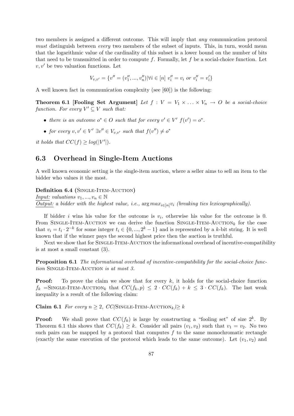two members is assigned a different outcome. This will imply that any communication protocol must distinguish between *every* two members of the subset of inputs. This, in turn, would mean that the logarithmic value of the cardinality of this subset is a lower bound on the number of bits that need to be transmitted in order to compute f. Formally, let f be a social-choice function. Let  $v, v'$  be two valuation functions. Let

$$
V_{v,v'} = \{v'' = (v''_1, ..., v''_n) | \forall i \in [n] \ v''_i = v_i \text{ or } v''_i = v'_i \}
$$

A well known fact in communication complexity (see [60]) is the following:

**Theorem 6.1 [Fooling Set Argument]** Let  $f : V = V_1 \times ... \times V_n \rightarrow O$  be a social-choice function. For every  $V' \subseteq V$  such that:

- there is an outcome  $o^* \in O$  such that for every  $v' \in V'$   $f(v') = o^*$ .
- for every  $v, v' \in V' \exists v'' \in V_{v,v'}$  such that  $f(v'') \neq o^*$

it holds that  $CC(f) \geq log(|V'|)$ .

## 6.3 Overhead in Single-Item Auctions

A well known economic setting is the single-item auction, where a seller aims to sell an item to the bidder who values it the most.

#### Definition 6.4 (SINGLE-ITEM-AUCTION)

*Input: valuations*  $v_1, ..., v_n \in \mathbb{N}$ Output: a bidder with the highest value, i.e.,  $\arg max_{i \in [n]} v_i$  (breaking ties lexicographically).

If bidder i wins his value for the outcome is  $v_i$ , otherwise his value for the outcome is 0. From SINGLE-ITEM-AUCTION we can derive the function SINGLE-ITEM-AUCTION<sub>k</sub> for the case that  $v_i = t_i \cdot 2^{-k}$  for some integer  $t_i \in \{0, ..., 2^k-1\}$  and is represented by a k-bit string. It is well known that if the winner pays the second highest price then the auction is truthful.

Next we show that for SINGLE-ITEM-AUCTION the informational overhead of incentive-compatibility is at most a small constant (3).

**Proposition 6.1** The informational overhead of incentive-compatibility for the social-choice function SINGLE-ITEM-AUCTION is at most 3.

**Proof:** To prove the claim we show that for every  $k$ , it holds for the social-choice function  $f_k$  =SINGLE-ITEM-AUCTION<sub>k</sub> that  $CC(f_k, p) \leq 2 \cdot CC(f_k) + k \leq 3 \cdot CC(f_k)$ . The last weak inequality is a result of the following claim:

Claim 6.1 For every  $n \geq 2$ , CC(SINGLE-ITEM-AUCTION<sub>k</sub>) $\geq k$ 

**Proof:** We shall prove that  $CC(f_k)$  is large by constructing a "fooling set" of size  $2^k$ . By Theorem 6.1 this shows that  $CC(f_k) \geq k$ . Consider all pairs  $(v_1, v_2)$  such that  $v_1 = v_2$ . No two such pairs can be mapped by a protocol that computes  $f$  to the same monochromatic rectangle (exactly the same execution of the protocol which leads to the same outcome). Let  $(v_1, v_2)$  and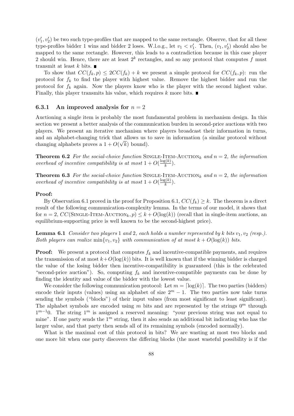$(v'_1, v'_2)$  be two such type-profiles that are mapped to the same rectangle. Observe, that for all these type-profiles bidder 1 wins and bidder 2 loses. W.l.o.g., let  $v_1 < v'_1$ . Then,  $(v_1, v'_2)$  should also be mapped to the same rectangle. However, this leads to a contradiction because in this case player 2 should win. Hence, there are at least  $2^k$  rectangles, and so any protocol that computes f must transmit at least k bits.  $\blacksquare$ 

To show that  $CC(f_k, p) \leq 2CC(f_k) + k$  we present a simple protocol for  $CC(f_k, p)$ : run the protocol for  $f_k$  to find the player with highest value. Remove the highest bidder and run the protocol for  $f_k$  again. Now the players know who is the player with the second highest value. Finally, this player transmits his value, which requires k more bits.  $\blacksquare$ 

#### 6.3.1 An improved analysis for  $n = 2$

Auctioning a single item is probably the most fundamental problem in mechanism design. In this section we present a better analysis of the communication burden in second-price auctions with two players. We present an iterative mechanism where players broadcast their information in turns, and an alphabet-changing trick that allows us to save in information (a similar protocol without changing alphabets proves a  $1 + O(\sqrt{k})$  bound).

**Theorem 6.2** For the social-choice function SINGLE-ITEM-AUCTION<sub>k</sub> and  $n = 2$ , the information overhead of incentive compatibility is at most  $1 + O(\frac{\log(k)}{k})$  $\frac{\xi(\kappa)}{k}$ ).

**Theorem 6.3** For the social-choice function SINGLE-ITEM-AUCTION<sub>k</sub> and  $n = 2$ , the information overhead of incentive compatibility is at most  $1 + O(\frac{\log(k)}{k})$  $\frac{g(\kappa)}{k}$ ).

#### Proof:

By Observation 6.1 proved in the proof for Proposition 6.1,  $CC(f_k) \geq k$ . The theorem is a direct result of the following communication-complexity lemma. In the terms of our model, it shows that for  $n = 2$ , CC(SINGLE-ITEM-AUCTION<sub>k</sub>,  $p \leq k + O(\log(k))$  (recall that in single-item auctions, an equilibrium-supporting price is well known to be the second-highest price).

**Lemma 6.1** Consider two players 1 and 2, each holds a number represented by k bits  $v_1, v_2$  (resp.). Both players can realize min $\{v_1, v_2\}$  with communication of at most  $k + O(\log(k))$  bits.

**Proof:** We present a protocol that computes  $f_k$  and incentive-compatible payments, and requires the transmission of at most  $k+O(\log(k))$  bits. It is well known that if the winning bidder is charged the value of the losing bidder then incentive-compatibility is guaranteed (this is the celebrated "second-price auction"). So, computing  $f_k$  and incentive-compatible payments can be done by finding the identity and value of the bidder with the lowest value.

We consider the following communication protocol: Let  $m = \lceil \log(k) \rceil$ . The two parties (bidders) encode their inputs (values) using an alphabet of size  $2^m - 1$ . The two parties now take turns sending the symbols ("blocks") of their input values (from most significant to least significant). The alphabet symbols are encoded using m bits and are represented by the strings  $0^m$  through  $1^{m-1}0$ . The string  $1^m$  is assigned a reserved meaning: "your previous string was not equal to mine". If one party sends the  $1<sup>m</sup>$  string, then it also sends an additional bit indicating who has the larger value, and that party then sends all of its remaining symbols (encoded normally).

What is the maximal cost of this protocol in bits? We are wasting at most two blocks and one more bit when one party discovers the differing blocks (the most wasteful possibility is if the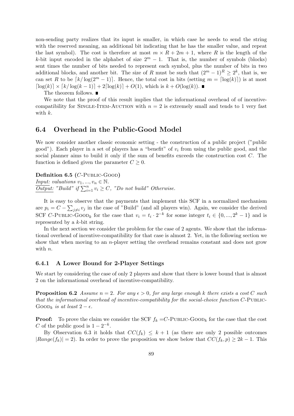non-sending party realizes that its input is smaller, in which case he needs to send the string with the reserved meaning, an additional bit indicating that he has the smaller value, and repeat the last symbol). The cost is therefore at most  $m \times R + 2m + 1$ , where R is the length of the k-bit input encoded in the alphabet of size  $2^m - 1$ . That is, the number of symbols (blocks) sent times the number of bits needed to represent each symbol, plus the number of bits in two additional blocks, and another bit. The size of R must be such that  $(2^m - 1)^R \geq 2^k$ , that is, we can set R to be  $\lceil k/\log(2^m - 1) \rceil$ . Hence, the total cost in bits (setting  $m = \lceil \log(k) \rceil$ ) is at most  $\lceil \log(k) \rceil \times \lceil k/\log(k-1) \rceil + 2\lceil \log(k) \rceil + O(1)$ , which is  $k + O(\log(k))$ .

The theorem follows. ■

We note that the proof of this result implies that the informational overhead of of incentivecompatibility for SINGLE-ITEM-AUCTION with  $n = 2$  is extremely small and tends to 1 very fast with k.

### 6.4 Overhead in the Public-Good Model

We now consider another classic economic setting - the construction of a public project ("public good"). Each player in a set of players has a "benefit" of  $v_i$  from using the public good, and the social planner aims to build it only if the sum of benefits exceeds the construction cost C. The function is defined given the parameter  $C \geq 0$ .

Definition 6.5 (C-PUBLIC-GOOD)

*Input: valuations*  $v_1, ..., v_n \in \mathbb{N}$ .  $\overline{Output:}$  "Build" if  $\sum_{i=1}^{n} v_i \ge C$ , "Do not build" Otherwise.

It is easy to observe that the payments that implement this SCF in a normalized mechanism are  $p_i = C - \sum_{j \neq i} v_j$  in the case of "Build" (and all players win). Again, we consider the derived SCF C-PUBLIC-GOOD<sub>k</sub> for the case that  $v_i = t_i \cdot 2^{-k}$  for some integer  $t_i \in \{0, ..., 2^k - 1\}$  and is represented by a k-bit string.

In the next section we consider the problem for the case of 2 agents. We show that the informational overhead of incentive-compatibility for that case is almost 2. Yet, in the following section we show that when moving to an n-player setting the overhead remains constant and does not grow with *n*.

#### 6.4.1 A Lower Bound for 2-Player Settings

We start by considering the case of only 2 players and show that there is lower bound that is almost 2 on the informational overhead of incentive-compatibility.

**Proposition 6.2** Assume  $n = 2$ . For any  $\epsilon > 0$ , for any large enough k there exists a cost C such that the informational overhead of incentive-compatibility for the social-choice function  $C$ -PUBLIC-GOOD<sub>k</sub> is at least  $2 - \epsilon$ .

**Proof:** To prove the claim we consider the SCF  $f_k = C$ -PUBLIC-GOOD<sub>k</sub> for the case that the cost C of the public good is  $1 - 2^{-k}$ .

By Observation 6.3 it holds that  $CC(f_k) \leq k+1$  (as there are only 2 possible outcomes  $|Range(f_k)| = 2$ ). In order to prove the proposition we show below that  $CC(f_k, p) \ge 2k - 1$ . This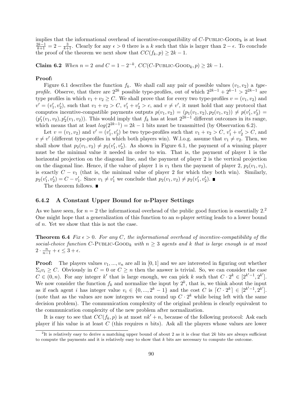implies that the informational overhead of incentive-compatibility of  $C$ -PUBLIC-GOOD<sub>k</sub> is at least  $\frac{2k-1}{k+1} = 2 - \frac{3}{k+1}$ . Clearly for any  $\epsilon > 0$  there is a k such that this is larger than  $2 - \epsilon$ . To conclude the proof of the theorem we next show that  $CC(f_k, p) \geq 2k - 1$ .

Claim 6.2 *When*  $n = 2$  and  $C = 1 - 2^{-k}$ ,  $CC(C$ -PUBLIC-GOOD<sub>k</sub>,  $p$ ) ≥ 2k − 1.

#### Proof:

Figure 6.1 describes the function  $f_k$ . We shall call any pair of possible values  $(v_1, v_2)$  a type*profile.* Observe, that there are  $2^{2k}$  possible type-profiles, out of which  $2^{2k-1} + 2^{k-1} > 2^{2k-1}$  are type profiles in which  $v_1 + v_2 \ge C$ . We shall prove that for every two type-profiles  $v = (v_1, v_2)$  and  $v' = (v'_1, v'_2)$ , such that  $v_1 + v_2 > C$ ,  $v'_1 + v'_2 > c$ , and  $v \neq v'$ , it must hold that any protocol that computes incentive-compatible payments outputs  $p(v_1, v_2) = (p_1(v_1, v_2), p_2(v_1, v_2)) \neq p(v'_1, v'_2)$  $(p'_1(v_1, v_2), p'_2(v_1, v_2))$ . This would imply that  $f_k$  has at least  $2^{2k-1}$  different outcomes in its range, which means that at least  $log(2^{2k-1}) = 2k - 1$  bits must be transmitted (by Observation 6.2).

Let  $v = (v_1, v_2)$  and  $v' = (v'_1, v'_2)$  be two type-profiles such that  $v_1 + v_2 > C$ ,  $v'_1 + v'_2 > C$ , and  $v \neq v'$  (different type-profiles in which both players win). W.l.o.g. assume that  $v_1 \neq v_2$ . Then, we shall show that  $p_2(v_1, v_2) \neq p_2(v'_1, v'_2)$ . As shown in Figure 6.1, the payment of a winning player must be the minimal value it needed in order to win. That is, the payment of player 1 is the horizontal projection on the diagonal line, and the payment of player 2 is the vertical projection on the diagonal line. Hence, if the value of player 1 is  $v_1$  then the payment of player 2,  $p_2(v_1, v_2)$ , is exactly  $C - v_1$  (that is, the minimal value of player 2 for which they both win). Similarly,  $p_2(v'_1, v'_2) = C - v'_1$ . Since  $v_1 \neq v'_1$  we conclude that  $p_2(v_1, v_2) \neq p_2(v'_1, v'_2)$ .

The theorem follows.  $\blacksquare$ 

#### 6.4.2 A Constant Upper Bound for n-Player Settings

As we have seen, for  $n = 2$  the informational overhead of the public good function is essentially  $2<sup>2</sup>$ . One might hope that a generalization of this function to an  $n$ -player setting leads to a lower bound of n. Yet we show that this is not the case.

**Theorem 6.4** Fix  $\epsilon > 0$ . For any C, the informational overhead of incentive-compatibility of the social-choice function C-PUBLIC-GOOD<sub>k</sub> with  $n \geq 3$  agents and k that is large enough is at most  $2 \cdot \frac{n}{n-1} + \epsilon \leq 3 + \epsilon.$ 

**Proof:** The players values  $v_1, ..., v_n$  are all in [0, 1] and we are interested in figuring out whether  $\Sigma_i v_i \geq C$ . Obviously in  $C = 0$  or  $C \geq n$  then the answer is trivial. So, we can consider the case  $C \in (0, n)$ . For any integer k' that is large enough, we can pick k such that  $C \cdot 2^k \in [2^{k'-1}, 2^{k'}]$ . We now consider the function  $f_k$  and normalize the input by  $2^k$ , that is, we think about the input as if each agent i has integer value  $v_i \in \{0, ..., 2^k - 1\}$  and the cost C is  $[C \cdot 2^k] \in [2^{k'-1}, 2^{k'}]$ . (note that as the values are now integers we can round up  $C \cdot 2^k$  while being left with the same decision problem). The communication complexity of the original problem is clearly equivalent to the communication complexity of the new problem after normalization.

It is easy to see that  $CC(f_k, p)$  is at most  $nk' + n$ , because of the following protocol: Ask each player if his value is at least  $C$  (this requires  $n$  bits). Ask all the players whose values are lower

<sup>&</sup>lt;sup>2</sup>It is relatively easy to derive a matching upper bound of about 2 as it is clear that  $2k$  bits are always sufficient to compute the payments and it is relatively easy to show that  $k$  bits are necessary to compute the outcome.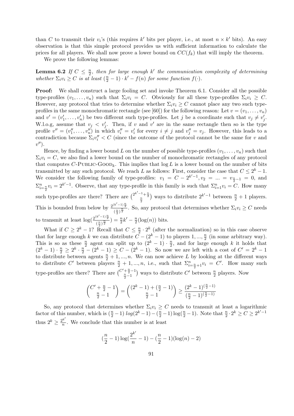than C to transmit their  $v_i$ 's (this requires k' bits per player, i.e., at most  $n \times k'$  bits). An easy observation is that this simple protocol provides us with sufficient information to calculate the prices for all players. We shall now prove a lower bound on  $CC(f_k)$  that will imply the theorem.

We prove the following lemmas:

Lemma 6.2 If  $C \leq \frac{n}{2}$  $\frac{n}{2}$ , then for large enough k' the communication complexity of determining whether  $\Sigma_i v_i \geq C$  is at least  $(\frac{n}{2} - 1) \cdot k' - f(n)$  for some function  $f(\cdot)$ .

**Proof:** We shall construct a large fooling set and invoke Theorem 6.1. Consider all the possible type-profiles  $(v_1, \ldots, v_n)$  such that  $\Sigma_i v_i = C$ . Obviously for all these type-profiles  $\Sigma_i v_i \geq C$ . However, any protocol that tries to determine whether  $\Sigma_i v_i \geq C$  cannot place any two such typeprofiles in the same monochromatic rectangle (see [60]) for the following reason: Let  $v = (v_1, \ldots, v_n)$ and  $v' = (v'_1, \ldots, v'_n)$  be two different such type-profiles. Let j be a coordinate such that  $v_j \neq v'_j$ . W.l.o.g, assume that  $v_j v'_j$ . Then, if v and v' are in the same rectangle then so is the type profile  $v'' = (v''_1, \ldots, v''_n)$  in which  $v''_i = v'_i$  for every  $i \neq j$  and  $v''_j = v_j$ . However, this leads to a contradiction because  $\Sigma_i v''_i < C$  (since the outcome of the protocol cannot be the same for v and  $v'$ ).

Hence, by finding a lower bound L on the number of possible type-profiles  $(v_1, \ldots, v_n)$  such that  $\Sigma_i v_i = C$ , we also find a lower bound on the number of monochromatic rectangles of any protocol that computes C-PUBLIC-GOOD<sub>k</sub>. This implies that  $log L$  is a lower bound on the number of bits transmitted by any such protocol. We reach L as follows: First, consider the case that  $C \leq 2^k - 1$ . We consider the following family of type-profiles:  $v_1 = C - 2^{k'-1}$ ,  $v_2 = ... = v_{\frac{n}{2}-1} = 0$ , and  $\Sigma_{i=\frac{n}{2}}^n v_i = 2^{k'-1}$ . Observe, that any type-profile in this family is such that  $\Sigma_{i=1}^n v_i = C$ . How many such type-profiles are there? There are  $\binom{2^{k'-1}+n}{n}$ 2 ) ways to distribute  $2^{k'-1}$  between  $\frac{n}{2} + 1$  players. This is bounded from below by  $\frac{2^{(k'-1)}^{\frac{n}{2}}}{(n-\frac{n}{2})^{\frac{n}{2}}}$  $\frac{(n-1)2}{(\frac{n}{2})^{\frac{n}{2}}}$ . So, any protocol that determines whether  $\Sigma_i v_i \geq C$  needs to transmit at least  $\log(\frac{2^{(k'-1)}^{\frac{n}{2}}}{2^n})$  $\frac{\frac{n}{2}(-1)^{\frac{n}{2}}}{\left(\frac{n}{2}\right)^{\frac{n}{2}}}$ ) =  $\frac{n}{2}k' - \frac{n}{2}$  $\frac{n}{2}(\log(n))$  bits.

What if  $C \geq 2^k - 1$ ? Recall that  $C \leq \frac{n}{2}$  $\frac{n}{2} \cdot 2^k$  (after the normalization) so in this case observe that for large enough k we can distribute  $\tilde{C} - (2^k - 1)$  to players  $1, ..., \frac{n}{2}$  $\frac{n}{2}$  (in some arbitrary way). This is so as these  $\frac{n}{2}$  agent can split up to  $(2^k - 1) \cdot \frac{n}{2}$  $\frac{n}{2}$ , and for large enough k it holds that  $(2^{k}-1) \cdot \frac{n}{2} \geq 2^{k} \cdot \frac{n}{2} - (2^{k}-1) \geq C - (2^{k}-1)$ . So now we are left with a cost of  $C' = 2^{k}-1$ to distribute between agents  $\frac{n}{2} + 1, ..., n$ . We can now achieve L by looking at the different ways to distribute C' between players  $\frac{n}{2}+1,\dots,n$ , i.e., such that  $\Sigma_{i=\frac{n}{2}+1}^n v_i = C'$ . How many such type-profiles are there? There are  $\frac{C'+\frac{n}{2}-1}{\frac{n}{2}-1}$ ¢ ways to distribute  $C'$  between  $\frac{n}{2}$  players. Now

$$
\binom{C'+\frac{n}{2}-1}{\frac{n}{2}-1}=\binom{(2^k-1)+(\frac{n}{2}-1)}{\frac{n}{2}-1}\geq \frac{(2^k-1)^{(\frac{n}{2}-1)}}{(\frac{n}{2}-1)^{(\frac{n}{2}-1)}}
$$

So, any protocol that determines whether  $\Sigma_i v_i \geq C$  needs to transmit at least a logarithmic factor of this number, which is  $(\frac{n}{2}-1) \log(2^k-1) - (\frac{n}{2}-1) \log(\frac{n}{2}-1)$ . Note that  $\frac{n}{2} \cdot 2^k \geq C \geq 2^{k'-1}$ thus  $2^k \geq \frac{2^{k'}}{n}$  $\frac{n}{n}$ . We conclude that this number is at least

$$
(\frac{n}{2} - 1)\log(\frac{2^{k'}}{n} - 1) - (\frac{n}{2} - 1)(\log(n) - 2)
$$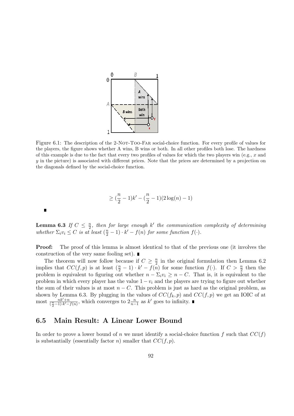

Figure 6.1: The description of the 2-NOT-Too-FAR social-choice function. For every profile of values for the players, the figure shows whether A wins, B wins or both. In all other profiles both lose. The hardness of this example is due to the fact that every two profiles of values for which the two players win (e.g., x and y in the picture) is associated with different prices. Note that the prices are determined by a projection on the diagonals defined by the social-choice function.

$$
\geq (\frac{n}{2} - 1)k' - (\frac{n}{2} - 1)(2\log(n) - 1)
$$

Lemma 6.3 If  $C \leq \frac{n}{2}$  $\frac{n}{2}$ , then for large enough k' the communication complexity of determining whether  $\Sigma_i v_i \leq C$  is at least  $(\frac{n}{2} - 1) \cdot k' - f(n)$  for some function  $f(\cdot)$ .

**Proof:** The proof of this lemma is almost identical to that of the previous one (it involves the construction of the very same fooling set).

The theorem will now follow because if  $C \geq \frac{n}{2}$  $\frac{n}{2}$  in the original formulation then Lemma 6.2 implies that  $CC(f, p)$  is at least  $(\frac{n}{2} - 1) \cdot k' - f(n)$  for some function  $f(\cdot)$ . If  $C > \frac{n}{2}$  then the problem is equivalent to figuring out whether  $n - \Sigma_i v_i \geq n - C$ . That is, it is equivalent to the problem in which every player has the value  $1 - v_i$  and the players are trying to figure out whether the sum of their values is at most  $n - C$ . This problem is just as hard as the original problem, as shown by Lemma 6.3. By plugging in the values of  $CC(f_k, p)$  and  $CC(f, p)$  we get an IOIC of at most  $\frac{n k'+n}{(\frac{n}{2}-1)\cdot k'-f(n)}$ , which converges to  $2\frac{n}{n-1}$  as k' goes to infinity.

### 6.5 Main Result: A Linear Lower Bound

 $\blacksquare$ 

In order to prove a lower bound of n we must identify a social-choice function f such that  $CC(f)$ is substantially (essentially factor *n*) smaller that  $CC(f, p)$ .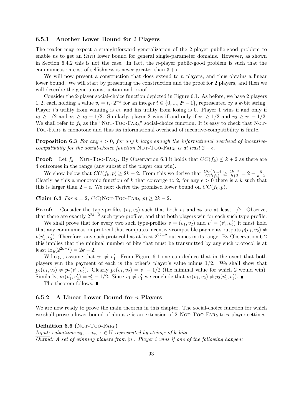#### 6.5.1 Another Lower Bound for 2 Players

The reader may expect a straightforward generalization of the 2-player public-good problem to enable us to get an  $\Omega(n)$  lower bound for general single-parameter domains. However, as shown in Section 6.4.2 this is not the case. In fact, the *n*-player public-good problem is such that the communication cost of selfishness is never greater than  $3 + \epsilon$ .

We will now present a construction that does extend to n players, and thus obtains a linear lower bound. We will start by presenting the construction and the proof for 2 players, and then we will describe the genera construction and proof.

Consider the 2-player social-choice function depicted in Figure 6.1. As before, we have 2 players 1, 2, each holding a value  $v_i = t_i \cdot 2^{-k}$  for an integer  $t \in \{0, ..., 2^k-1\}$ , represented by a k-bit string. Player i's utility from winning is  $v_i$ , and his utility from losing is 0. Player 1 wins if and only if  $v_2 \geq 1/2$  and  $v_1 \geq v_2 - 1/2$ . Similarly, player 2 wins if and only if  $v_1 \geq 1/2$  and  $v_2 \geq v_1 - 1/2$ . We shall refer to  $f_k$  as the "NOT-TOO-FAR<sub>k</sub>" social-choice function. It is easy to check that NOT-Too- $FAR_k$  is monotone and thus its informational overhead of incentive-compatibility is finite.

**Proposition 6.3** For any  $\epsilon > 0$ , for any k large enough the informational overhead of incentivecompatibility for the social-choice function NOT-TOO-FAR<sub>k</sub> is at least  $2 - \epsilon$ .

**Proof:** Let  $f_k = NOT-TOO-FAR_k$ . By Observation 6.3 it holds that  $CC(f_k) \leq k+2$  as there are 4 outcomes in the range (any subset of the player can win).

We show below that  $CC(f_k, p) \ge 2k - 2$ . From this we derive that  $\frac{CC(f_k, p)}{CC(f_k)} \ge \frac{2k-2}{k+2} = 2 - \frac{6}{k+2}$ . Clearly as this a monotonic function of k that converge to 2, for any  $\epsilon > 0$  there is a k such that this is larger than  $2 - \epsilon$ . We next derive the promised lower bound on  $CC(f_k, p)$ .

Claim 6.3  $For n = 2, CC(NOT-TOO-FAR_k, p) \ge 2k - 2.$ 

**Proof:** Consider the type-profiles  $(v_1, v_2)$  such that both  $v_1$  and  $v_2$  are at least 1/2. Observe, that there are exactly  $2^{2k-2}$  such type-profiles, and that both players win for each such type profile.

We shall prove that for every two such type-profiles  $v = (v_1, v_2)$  and  $v' = (v'_1, v'_2)$  it must hold that any communication protocol that computes incentive-compatible payments outputs  $p(v_1, v_2) \neq$  $p(v'_1, v'_2)$ . Therefore, any such protocol has at least  $2^{2k-2}$  outcomes in its range. By Observation 6.2 this implies that the minimal number of bits that must be transmitted by any such protocol is at least  $\log(2^{2k-2}) = 2k - 2$ .

W.l.o.g., assume that  $v_1 \neq v_1'$ . From Figure 6.1 one can deduce that in the event that both players win the payment of each is the other's player's value minus 1/2. We shall show that  $p_2(v_1, v_2) \neq p_2(v'_1, v'_2)$ . Clearly  $p_2(v_1, v_2) = v_1 - 1/2$  (the minimal value for which 2 would win). Similarly,  $p_2(v'_1, v'_2) = v'_1 - 1/2$ . Since  $v_1 \neq v'_1$  we conclude that  $p_2(v_1, v_2) \neq p_2(v'_1, v'_2)$ .

The theorem follows.  $\blacksquare$ 

#### 6.5.2 A Linear Lower Bound for  $n$  Players

We are now ready to prove the main theorem in this chapter. The social-choice function for which we shall prove a lower bound of about n is an extension of  $2\text{-NOT-TOO-FAR}_k$  to n-player settings.

#### Definition 6.6 (NOT-TOO-FAR<sub>k</sub>)

Input: valuations  $v_0, ..., v_{n-1} \in \mathbb{N}$  represented by strings of k bits. Output: A set of winning players from  $[n]$ . Player i wins if one of the following happen: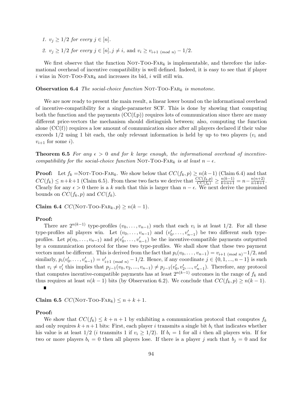1.  $v_j \geq 1/2$  for every  $j \in [n]$ .

2.  $v_j \geq 1/2$  for every  $j \in [n], j \neq i$ , and  $v_i \geq v_{i+1 \pmod{n}} - 1/2$ .

We first observe that the function NOT-TOO-FAR<sub>k</sub> is implementable, and therefore the informational overhead of incentive compatibility is well defined. Indeed, it is easy to see that if player i wins in NOT-Too-FAR<sub>k</sub> and increases its bid, i will still win.

**Observation 6.4** The social-choice function NOT-TOO-FAR<sub>k</sub> is monotone.

We are now ready to present the main result, a linear lower bound on the informational overhead of incentive-compatibility for a single-parameter SCF. This is done by showing that computing both the function and the payments  $(CC(f, p))$  requires lots of communication since there are many different price-vectors the mechanism should distinguish between; also, computing the function alone  $(CC(f))$  requires a low amount of communication since after all players declared if their value exceeds  $1/2$  using 1 bit each, the only relevant information is held by up to two players  $(v_i)$  and  $v_{i+1}$  for some *i*).

**Theorem 6.5** For any  $\epsilon > 0$  and for k large enough, the informational overhead of incentivecompatibility for the social-choice function NOT-TOO-FAR<sub>k</sub> is at least  $n - \epsilon$ .

**Proof:** Let  $f_k = \text{NOT} - \text{TOO} - \text{FAR}_k$ . We show below that  $CC(f_k, p) \ge n(k-1)$  (Claim 6.4) and that  $CC(f_k) \leq n+k+1$  (Claim 6.5). From these two facts we derive that  $\frac{CC(f_k,p)}{CC(f_k)} \geq \frac{n(k-1)}{k+n+1} = n - \frac{n(n+2)}{n+k+1}$ . Clearly for any  $\epsilon > 0$  there is a k such that this is larger than  $n - \epsilon$ . We next derive the promised bounds on  $CC(f_k, p)$  and  $CC(f_k)$ .

Claim 6.4  $CC(Nor-TOO-FAR_k, p) \ge n(k-1)$ .

#### Proof:

There are  $2^{n(k-1)}$  type-profiles  $(v_0, \ldots, v_{n-1})$  such that each  $v_i$  is at least 1/2. For all these type-profiles all players win. Let  $(v_0, \ldots, v_{n-1})$  and  $(v'_0, \ldots, v'_{n-1})$  be two different such typeprofiles. Let  $p(v_0, \ldots, v_{n-1})$  and  $p(v'_0, \ldots, v'_{n-1})$  be the incentive-compatible payments outputted by a communication protocol for these two type-profiles. We shall show that these two payment vectors must be different. This is derived from the fact that  $p_i(v_0, \ldots, v_{n-1}) = v_{i+1 \pmod{n}} - 1/2$ , and similarly,  $p_i(v'_0, \ldots, v'_{n-1}) = v'_{i+1 \pmod{n}} - 1/2$ . Hence, if any coordinate  $j \in \{0, 1, \ldots, n-1\}$  is such that  $v_i \neq v'_i$  this implies that  $p_{j-1}(v_0, v_2, ..., v_{n-1}) \neq p_{j-1}(v'_0, v'_2, ..., v'_{n-1})$ . Therefore, any protocol that computes incentive-compatible payments has at least  $2^{n(k-1)}$  outcomes in the range of  $f_k$  and thus requires at least  $n(k-1)$  bits (by Observation 6.2). We conclude that  $CC(f_k, p) \ge n(k-1)$ .  $\blacksquare$ 

Claim 6.5  $CC(NOT-TOO-FAR_k) \leq n+k+1$ .

#### Proof:

We show that  $CC(f_k) \leq k + n + 1$  by exhibiting a communication protocol that computes  $f_k$ and only requires  $k + n + 1$  bits: First, each player i transmits a single bit  $b_i$  that indicates whether his value is at least  $1/2$  (*i* transmits 1 if  $v_i \geq 1/2$ ). If  $b_i = 1$  for all *i* then all players win. If for two or more players  $b_i = 0$  then all players lose. If there is a player j such that  $b_j = 0$  and for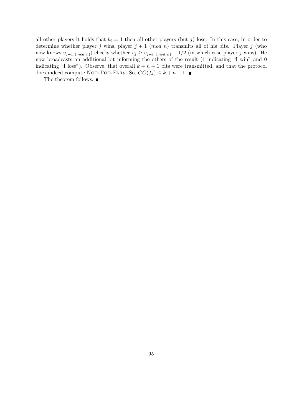all other players it holds that  $b_i = 1$  then all other players (but j) lose. In this case, in order to determine whether player j wins, player  $j + 1 \pmod{n}$  transmits all of his bits. Player j (who now knows  $v_{j+1 \pmod{n}}$  checks whether  $v_j \ge v_{j+1 \pmod{n}} - 1/2$  (in which case player j wins). He now broadcasts an additional bit informing the others of the result (1 indicating "I win" and 0 indicating "I lose"). Observe, that overall  $k + n + 1$  bits were transmitted, and that the protocol does indeed compute NOT-Too-Fark. So,  $CC(f_k) \leq k+n+1$ .

The theorem follows.  $\blacksquare$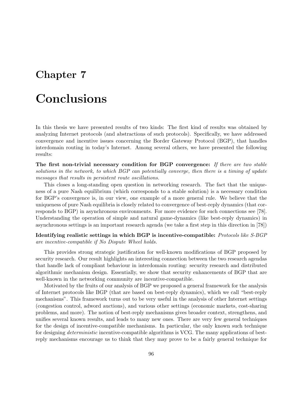## Chapter 7

## Conclusions

In this thesis we have presented results of two kinds: The first kind of results was obtained by analyzing Internet protocols (and abstractions of such protocols). Specifically, we have addressed convergence and incentive issues concerning the Border Gateway Protocol (BGP), that handles interdomain routing in today's Internet. Among several others, we have presented the following results:

The first non-trivial necessary condition for BGP convergence: If there are two stable solutions in the network, to which BGP can potentially converge, then there is a timing of update messages that results in persistent route oscillations.

This closes a long-standing open question in networking research. The fact that the uniqueness of a pure Nash equilibrium (which corresponds to a stable solution) is a necessary condition for BGP's convergence is, in our view, one example of a more general rule. We believe that the uniqueness of pure Nash equilibria is closely related to convergence of best-reply dynamics (that corresponds to BGP) in asynchronous environments. For more evidence for such connections see [78]. Understanding the operation of simple and natural game-dynamics (like best-reply dynamics) in asynchronous settings is an important research agenda (we take a first step in this direction in [78])

Identifying realistic settings in which BGP is incentive-compatible: Protocols like S-BGP are incentive-compatible if No Dispute Wheel holds.

This provides strong strategic justification for well-known modifications of BGP proposed by security research. Our result highlights an interesting connection between the two research agendas that handle lack of compliant behaviour in interdomain routing: security research and distributed algorithmic mechanism design. Essentially, we show that security enhancements of BGP that are well-known in the networking community are incentive-compatible.

Motivated by the fruits of our analysis of BGP we proposed a general framework for the analysis of Internet protocols like BGP (that are based on best-reply dynamics), which we call "best-reply mechanisms". This framework turns out to be very useful in the analysis of other Internet settings (congestion control, adword auctions), and various other settings (economic markets, cost-sharing problems, and more). The notion of best-reply mechanisms gives broader context, strengthens, and unifies several known results, and leads to many new ones. There are very few general techniques for the design of incentive-compatible mechanisms. In particular, the only known such technique for designing deterministic incentive-compatible algorithms is VCG. The many applications of bestreply mechanisms encourage us to think that they may prove to be a fairly general technique for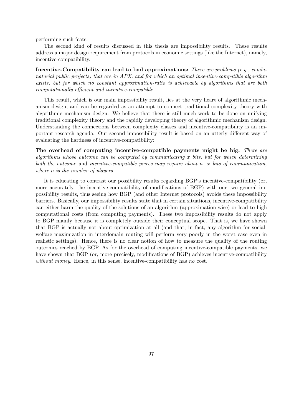performing such feats.

The second kind of results discussed in this thesis are impossibility results. These results address a major design requirement from protocols in economic settings (like the Internet), namely, incentive-compatibility.

Incentive-Compatibility can lead to bad approximations: There are problems (e.g., combinatorial public projects) that are in APX, and for which an optimal incentive-compatible algorithm exists, but for which no constant approximation-ratio is achievable by algorithms that are both computationally efficient and incentive-compatible.

This result, which is our main impossibility result, lies at the very heart of algorithmic mechanism design, and can be regarded as an attempt to connect traditional complexity theory with algorithmic mechanism design. We believe that there is still much work to be done on unifying traditional complexity theory and the rapidly developing theory of algorithmic mechanism design. Understanding the connections between complexity classes and incentive-compatibility is an important research agenda. Our second impossibility result is based on an utterly different way of evaluating the hardness of incentive-compatibility:

The overhead of computing incentive-compatible payments might be big: There are algorithms whose outcome can be computed by communicating  $x$  bits, but for which determining both the outcome and incentive-compatible prices may require about  $n \cdot x$  bits of communication, where *n* is the number of players.

It is educating to contrast our possibility results regarding BGP's incentive-compatibility (or, more accurately, the incentive-compatibility of modifications of BGP) with our two general impossibility results, thus seeing how BGP (and other Internet protocols) avoids these impossibility barriers. Basically, our impossibility results state that in certain situations, incentive-compatibility can either harm the quality of the solutions of an algorithm (approximation-wise) or lead to high computational costs (from computing payments). These two impossibility results do not apply to BGP mainly because it is completely outside their conceptual scope. That is, we have shown that BGP is actually not about optimization at all (and that, in fact, any algorithm for socialwelfare maximization in interdomain routing will perform very poorly in the worst case even in realistic settings). Hence, there is no clear notion of how to measure the quality of the routing outcomes reached by BGP. As for the overhead of computing incentive-compatible payments, we have shown that BGP (or, more precisely, modifications of BGP) achieves incentive-compatibility without money. Hence, in this sense, incentive-compatibility has no cost.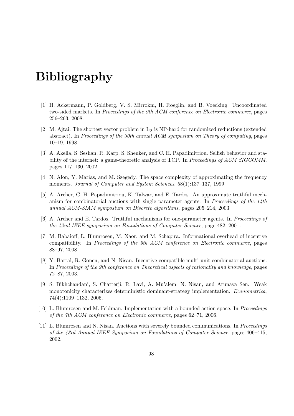# Bibliography

- [1] H. Ackermann, P. Goldberg, V. S. Mirrokni, H. Roeglin, and B. Voecking. Uncoordinated two-sided markets. In Proceedings of the 9th ACM conference on Electronic commerce, pages 256–263, 2008.
- [2] M. Ajtai. The shortest vector problem in  $L_2$  is NP-hard for randomized reductions (extended abstract). In Proceedings of the 30th annual ACM symposium on Theory of computing, pages 10–19, 1998.
- [3] A. Akella, S. Seshan, R. Karp, S. Shenker, and C. H. Papadimitriou. Selfish behavior and stability of the internet: a game-theoretic analysis of TCP. In Proceedings of ACM SIGCOMM, pages 117–130, 2002.
- [4] N. Alon, Y. Matias, and M. Szegedy. The space complexity of approximating the frequency moments. Journal of Computer and System Sciences, 58(1):137–137, 1999.
- [5] A. Archer, C. H. Papadimitriou, K. Talwar, and E. Tardos. An approximate truthful mechanism for combinatorial auctions with single parameter agents. In Proceedings of the  $14$ th annual ACM-SIAM symposium on Discrete algorithms, pages 205–214, 2003.
- [6] A. Archer and E. Tardos. Truthful mechanisms for one-parameter agents. In Proceedings of the 42nd IEEE symposium on Foundations of Computer Science, page 482, 2001.
- [7] M. Babaioff, L. Blumrosen, M. Naor, and M. Schapira. Informational overhead of incentive compatibility. In Proceedings of the 9th ACM conference on Electronic commerce, pages 88–97, 2008.
- [8] Y. Bartal, R. Gonen, and N. Nisan. Incentive compatible multi unit combinatorial auctions. In Proceedings of the 9th conference on Theoretical aspects of rationality and knowledge, pages 72–87, 2003.
- [9] S. Bikhchandani, S. Chatterji, R. Lavi, A. Mu'alem, N. Nisan, and Arunava Sen. Weak monotonicity characterizes deterministic dominant-strategy implementation. Econometrica, 74(4):1109–1132, 2006.
- [10] L. Blumrosen and M. Feldman. Implementation with a bounded action space. In Proceedings of the 7th ACM conference on Electronic commerce, pages 62–71, 2006.
- [11] L. Blumrosen and N. Nisan. Auctions with severely bounded communications. In Proceedings of the 43rd Annual IEEE Symposium on Foundations of Computer Science, pages 406–415, 2002.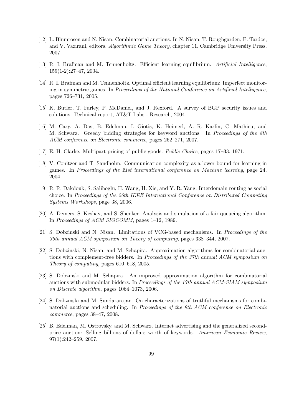- [12] L. Blumrosen and N. Nisan. Combinatorial auctions. In N. Nisan, T. Roughgarden, E. Tardos, and V. Vazirani, editors, Algorithmic Game Theory, chapter 11. Cambridge University Press, 2007.
- [13] R. I. Brafman and M. Tennenholtz. Efficient learning equilibrium. Artificial Intelligence, 159(1-2):27–47, 2004.
- [14] R. I. Brafman and M. Tennenholtz. Optimal efficient learning equilibrium: Imperfect monitoring in symmetric games. In Proceedings of the National Conference on Artificial Intelligence, pages 726–731, 2005.
- [15] K. Butler, T. Farley, P. McDaniel, and J. Rexford. A survey of BGP security issues and solutions. Technical report, AT&T Labs - Research, 2004.
- [16] M. Cary, A. Das, B. Edelman, I. Giotis, K. Heimerl, A. R. Karlin, C. Mathieu, and M. Schwarz. Greedy bidding strategies for keyword auctions. In Proceedings of the 8th ACM conference on Electronic commerce, pages 262–271, 2007.
- [17] E. H. Clarke. Multipart pricing of public goods. Public Choice, pages 17–33, 1971.
- [18] V. Conitzer and T. Sandholm. Communication complexity as a lower bound for learning in games. In Proceedings of the 21st international conference on Machine learning, page 24, 2004.
- [19] R. R. Dakdouk, S. Salihoglu, H. Wang, H. Xie, and Y. R. Yang. Interdomain routing as social choice. In Proceedings of the 26th IEEE International Conference on Distributed Computing Systems Workshops, page 38, 2006.
- [20] A. Demers, S. Keshav, and S. Shenker. Analysis and simulation of a fair queueing algorithm. In Proceedings of ACM SIGCOMM, pages 1–12, 1989.
- [21] S. Dobzinski and N. Nisan. Limitations of VCG-based mechanisms. In Proceedings of the 39th annual ACM symposium on Theory of computing, pages 338–344, 2007.
- [22] S. Dobzinski, N. Nisan, and M. Schapira. Approximation algorithms for combinatorial auctions with complement-free bidders. In Proceedings of the 37th annual ACM symposium on Theory of computing, pages 610–618, 2005.
- [23] S. Dobzinski and M. Schapira. An improved approximation algorithm for combinatorial auctions with submodular bidders. In Proceedings of the 17th annual ACM-SIAM symposium on Discrete algorithm, pages 1064–1073, 2006.
- [24] S. Dobzinski and M. Sundararajan. On characterizations of truthful mechanisms for combinatorial auctions and scheduling. In Proceedings of the 9th ACM conference on Electronic commerce, pages 38–47, 2008.
- [25] B. Edelman, M. Ostrovsky, and M. Schwarz. Internet advertising and the generalized secondprice auction: Selling billions of dollars worth of keywords. American Economic Review, 97(1):242–259, 2007.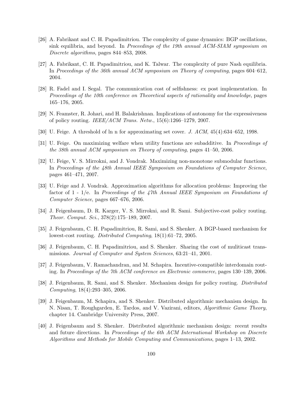- [26] A. Fabrikant and C. H. Papadimitriou. The complexity of game dynamics: BGP oscillations, sink equilibria, and beyond. In Proceedings of the 19th annual ACM-SIAM symposium on Discrete algorithms, pages 844–853, 2008.
- [27] A. Fabrikant, C. H. Papadimitriou, and K. Talwar. The complexity of pure Nash equilibria. In Proceedings of the 36th annual ACM symposium on Theory of computing, pages 604–612, 2004.
- [28] R. Fadel and I. Segal. The communication cost of selfishness: ex post implementation. In Proceedings of the 10th conference on Theoretical aspects of rationality and knowledge, pages 165–176, 2005.
- [29] N. Feamster, R. Johari, and H. Balakrishnan. Implications of autonomy for the expressiveness of policy routing. IEEE/ACM Trans. Netw., 15(6):1266–1279, 2007.
- [30] U. Feige. A threshold of ln n for approximating set cover. J. ACM, 45(4):634–652, 1998.
- [31] U. Feige. On maximizing welfare when utility functions are subadditive. In *Proceedings of* the 38th annual ACM symposium on Theory of computing, pages 41–50, 2006.
- [32] U. Feige, V. S. Mirrokni, and J. Vondrak. Maximizing non-monotone submodular functions. In Proceedings of the 48th Annual IEEE Symposium on Foundations of Computer Science, pages 461–471, 2007.
- [33] U. Feige and J. Vondrak. Approximation algorithms for allocation problems: Improving the factor of  $1$  -  $1/e$ . In Proceedings of the 47th Annual IEEE Symposium on Foundations of Computer Science, pages 667–676, 2006.
- [34] J. Feigenbaum, D. R. Karger, V. S. Mirrokni, and R. Sami. Subjective-cost policy routing. Theor. Comput. Sci., 378(2):175–189, 2007.
- [35] J. Feigenbaum, C. H. Papadimitriou, R. Sami, and S. Shenker. A BGP-based mechanism for lowest-cost routing. Distributed Computing, 18(1):61–72, 2005.
- [36] J. Feigenbaum, C. H. Papadimitriou, and S. Shenker. Sharing the cost of muliticast transmissions. Journal of Computer and System Sciences, 63:21–41, 2001.
- [37] J. Feigenbaum, V. Ramachandran, and M. Schapira. Incentive-compatible interdomain routing. In Proceedings of the 7th ACM conference on Electronic commerce, pages 130–139, 2006.
- [38] J. Feigenbaum, R. Sami, and S. Shenker. Mechanism design for policy routing. Distributed Computing, 18(4):293–305, 2006.
- [39] J. Feigenbaum, M. Schapira, and S. Shenker. Distributed algorithmic mechanism design. In N. Nisan, T. Roughgarden, E. Tardos, and V. Vazirani, editors, Algorithmic Game Theory, chapter 14. Cambridge University Press, 2007.
- [40] J. Feigenbaum and S. Shenker. Distributed algorithmic mechanism design: recent results and future directions. In Proceedings of the 6th ACM International Workshop on Discrete Algorithms and Methods for Mobile Computing and Communications, pages 1–13, 2002.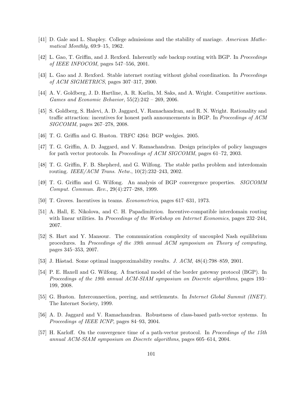- [41] D. Gale and L. Shapley. College admissions and the stability of mariage. American Mathematical Monthly, 69:9–15, 1962.
- [42] L. Gao, T. Griffin, and J. Rexford. Inherently safe backup routing with BGP. In Proceedings of IEEE INFOCOM, pages 547–556, 2001.
- [43] L. Gao and J. Rexford. Stable internet routing without global coordination. In Proceedings of ACM SIGMETRICS, pages 307–317, 2000.
- [44] A. V. Goldberg, J. D. Hartline, A. R. Karlin, M. Saks, and A. Wright. Competitive auctions. Games and Economic Behavior, 55(2):242 – 269, 2006.
- [45] S. Goldberg, S. Halevi, A. D. Jaggard, V. Ramachandran, and R. N. Wright. Rationality and traffic attraction: incentives for honest path announcements in BGP. In Proceedings of ACM SIGCOMM, pages 267–278, 2008.
- [46] T. G. Griffin and G. Huston. TRFC 4264: BGP wedgies. 2005.
- [47] T. G. Griffin, A. D. Jaggard, and V. Ramachandran. Design principles of policy languages for path vector protocols. In Proceedings of ACM SIGCOMM, pages 61–72, 2003.
- [48] T. G. Griffin, F. B. Shepherd, and G. Wilfong. The stable paths problem and interdomain routing. IEEE/ACM Trans. Netw., 10(2):232–243, 2002.
- [49] T. G. Griffin and G. Wilfong. An analysis of BGP convergence properties. SIGCOMM Comput. Commun. Rev., 29(4):277–288, 1999.
- [50] T. Groves. Incentives in teams. Econometrica, pages 617–631, 1973.
- [51] A. Hall, E. Nikolova, and C. H. Papadimitriou. Incentive-compatible interdomain routing with linear utilities. In Proceedings of the Workshop on Internet Economics, pages 232–244, 2007.
- [52] S. Hart and Y. Mansour. The communication complexity of uncoupled Nash equilibrium procedures. In Proceedings of the 39th annual ACM symposium on Theory of computing, pages 345–353, 2007.
- [53] J. Håstad. Some optimal inapproximability results. J.  $ACM$ ,  $48(4)$ : 798–859, 2001.
- [54] P. E. Haxell and G. Wilfong. A fractional model of the border gateway protocol (BGP). In Proceedings of the 19th annual ACM-SIAM symposium on Discrete algorithms, pages 193– 199, 2008.
- [55] G. Huston. Interconnection, peering, and settlements. In Internet Global Summit (INET). The Internet Society, 1999.
- [56] A. D. Jaggard and V. Ramachandran. Robustness of class-based path-vector systems. In Proceedings of IEEE ICNP, pages 84–93, 2004.
- [57] H. Karloff. On the convergence time of a path-vector protocol. In Proceedings of the 15th annual ACM-SIAM symposium on Discrete algorithms, pages 605–614, 2004.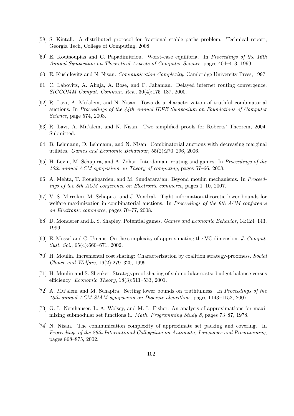- [58] S. Kintali. A distributed protocol for fractional stable paths problem. Technical report, Georgia Tech, College of Computing, 2008.
- [59] E. Koutsoupias and C. Papadimitriou. Worst-case equilibria. In Proceedings of the 16th Annual Symposium on Theoretical Aspects of Computer Science, pages 404–413, 1999.
- [60] E. Kushilevitz and N. Nisan. Communication Complexity. Cambridge University Press, 1997.
- [61] C. Labovitz, A. Ahuja, A. Bose, and F. Jahanian. Delayed internet routing convergence. SIGCOMM Comput. Commun. Rev., 30(4):175–187, 2000.
- [62] R. Lavi, A. Mu'alem, and N. Nisan. Towards a characterization of truthful combinatorial auctions. In Proceedings of the 44th Annual IEEE Symposium on Foundations of Computer Science, page 574, 2003.
- [63] R. Lavi, A. Mu'alem, and N. Nisan. Two simplified proofs for Roberts' Theorem, 2004. Submitted.
- [64] B. Lehmann, D. Lehmann, and N. Nisan. Combinatorial auctions with decreasing marginal utilities. Games and Economic Behaviour, 55(2):270–296, 2006.
- [65] H. Levin, M. Schapira, and A. Zohar. Interdomain routing and games. In Proceedings of the 40th annual ACM symposium on Theory of computing, pages 57–66, 2008.
- [66] A. Mehta, T. Roughgarden, and M. Sundararajan. Beyond moulin mechanisms. In Proceedings of the 8th ACM conference on Electronic commerce, pages 1–10, 2007.
- [67] V. S. Mirrokni, M. Schapira, and J. Vondrak. Tight information-theoretic lower bounds for welfare maximization in combinatorial auctions. In Proceedings of the 9th ACM conference on Electronic commerce, pages 70–77, 2008.
- [68] D. Monderer and L. S. Shapley. Potential games. Games and Economic Behavior, 14:124–143, 1996.
- [69] E. Mossel and C. Umans. On the complexity of approximating the VC dimension. J. Comput. Syst. Sci., 65(4):660–671, 2002.
- [70] H. Moulin. Incremental cost sharing: Characterization by coalition strategy-proofness. Social Choice and Welfare, 16(2):279–320, 1999.
- [71] H. Moulin and S. Shenker. Strategyproof sharing of submodular costs: budget balance versus efficiency. Economic Theory, 18(3):511–533, 2001.
- [72] A. Mu'alem and M. Schapira. Setting lower bounds on truthfulness. In Proceedings of the 18th annual ACM-SIAM symposium on Discrete algorithms, pages 1143–1152, 2007.
- [73] G. L. Nemhauser, L. A. Wolsey, and M. L. Fisher. An analysis of approximations for maximizing submodular set functions ii. Math. Programming Study 8, pages 73–87, 1978.
- [74] N. Nisan. The communication complexity of approximate set packing and covering. In Proceedings of the 29th International Colloquium on Automata, Languages and Programming, pages 868–875, 2002.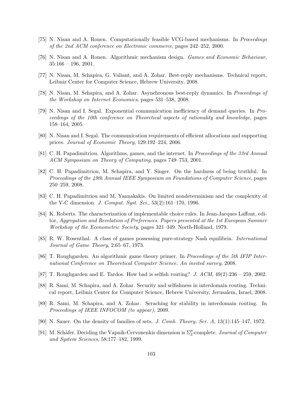- [75] N. Nisan and A. Ronen. Computationally feasible VCG-based mechanisms. In Proceedings of the 2nd ACM conference on Electronic commerce, pages 242–252, 2000.
- [76] N. Nisan and A. Ronen. Algorithmic mechanism design. Games and Economic Behaviour,  $35:166 - 196$ , 2001.
- [77] N. Nisan, M. Schapira, G. Valiant, and A. Zohar. Best-reply mechanisms. Technical report, Leibniz Center for Computer Science, Hebrew University, 2008.
- [78] N. Nisan, M. Schapira, and A. Zohar. Asynchronous best-reply dynamics. In Proceedings of the Workshop on Internet Economics, pages 531–538, 2008.
- [79] N. Nisan and I. Segal. Exponential communication inefficiency of demand queries. In Proceedings of the 10th conference on Theoretical aspects of rationality and knowledge, pages 158–164, 2005.
- [80] N. Nisan and I. Segal. The communication requirements of efficient allocations and supporting prices. Journal of Economic Theory, 129:192–224, 2006.
- [81] C. H. Papadimitriou. Algorithms, games, and the internet. In Proceedings of the 33rd Annual ACM Symposium on Theory of Computing, pages 749–753, 2001.
- [82] C. H. Papadimitriou, M. Schapira, and Y. Singer. On the hardness of being truthful. In Proceedings of the 49th Annual IEEE Symposium on Foundations of Computer Science, pages 250–259, 2008.
- [83] C. H. Papadimitriou and M. Yannakakis. On limited nondeterminism and the complexity of the V-C dimension. J. Comput. Syst. Sci., 53(2):161–170, 1996.
- [84] K. Roberts. The characterization of implementable choice rules. In Jean-Jacques Laffont, editor, Aggregation and Revelation of Preferences. Papers presented at the 1st European Summer Workshop of the Econometric Society, pages 321–349. North-Holland, 1979.
- [85] R. W. Rosenthal. A class of games possessing pure-strategy Nash equilibria. International Journal of Game Theory, 2:65–67, 1973.
- [86] T. Roughgarden. An algorithmic game theory primer. In Proceedings of the 5th IFIP International Conference on Theoretical Computer Science. An invited survey, 2008.
- [87] T. Roughgarden and E. Tardos. How bad is selfish routing? J.  $ACM$ ,  $49(2):236 259$ , 2002.
- [88] R. Sami, M. Schapira, and A. Zohar. Security and selfishness in interdomain routing. Technical report, Leibniz Center for Computer Science, Hebrew University, Jerusalem, Israel, 2008.
- [89] R. Sami, M. Schapira, and A. Zohar. Seraching for stability in interdomain routing. In Proceedings of IEEE INFOCOM (to appear), 2009.
- [90] N. Sauer. On the density of families of sets. J. Comb. Theory, Ser. A, 13(1):145–147, 1972.
- [91] M. Schäfer. Deciding the Vapnik-Cervonenkis dimension is  $\Sigma_3^p$ -complete. Journal of Computer and System Sciences, 58:177–182, 1999.